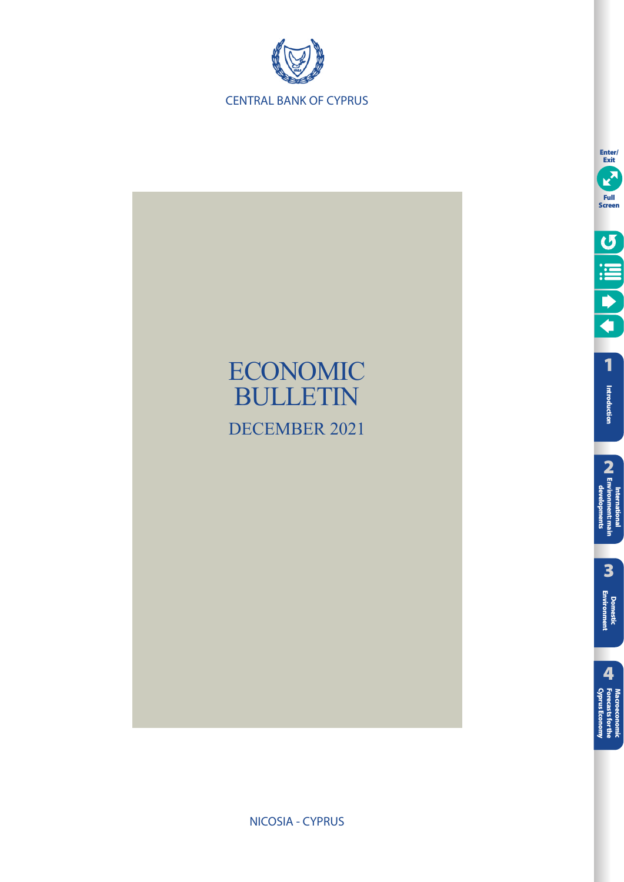



**Enter/ Exit** E **Full Screen** O III O **[1](#page-7-0)**Introduction **Introduction** International<br>**2**<br>developments<br>developments **[Environment: main](#page-12-0)  developments International** 

> **3[Domestic Environment](#page-17-0)**

Macroeconomic<br>**Forecasts for the**<br>Opprus Economy **[Cyprus Economy](#page-51-0) Forecasts for the Macroeconomic** 

NICOSIA - CYPRUS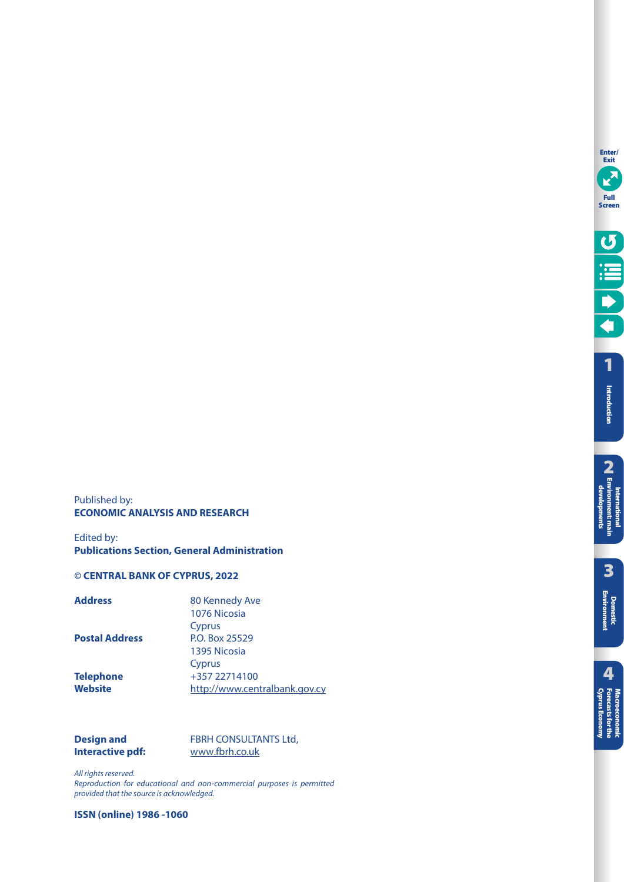**Enter/ Exit**

**[1](#page-7-0)**

Published by: **ECONOMIC ANALYSIS AND RESEARCH** 

Edited by: **Publications Section, General Administration** 

## **© CENTRAL BANK OF CYPRUS, 2022**

| <b>Address</b>        | 80 Kennedy Ave                |
|-----------------------|-------------------------------|
|                       | 1076 Nicosia                  |
|                       | Cyprus                        |
| <b>Postal Address</b> | P.O. Box 25529                |
|                       | 1395 Nicosia                  |
|                       | Cyprus                        |
| <b>Telephone</b>      | +357 22714100                 |
| Website               | http://www.centralbank.gov.cy |
|                       |                               |

| <b>Design and</b> | <b>FBRH CONSULTANTS Ltd,</b> |
|-------------------|------------------------------|
| Interactive pdf:  | www.fbrh.co.uk               |

All rights reserved. Reproduction for educational and non-commercial purposes is permitted provided that the source is acknowledged.

**ISSN (online) 1986 -1060**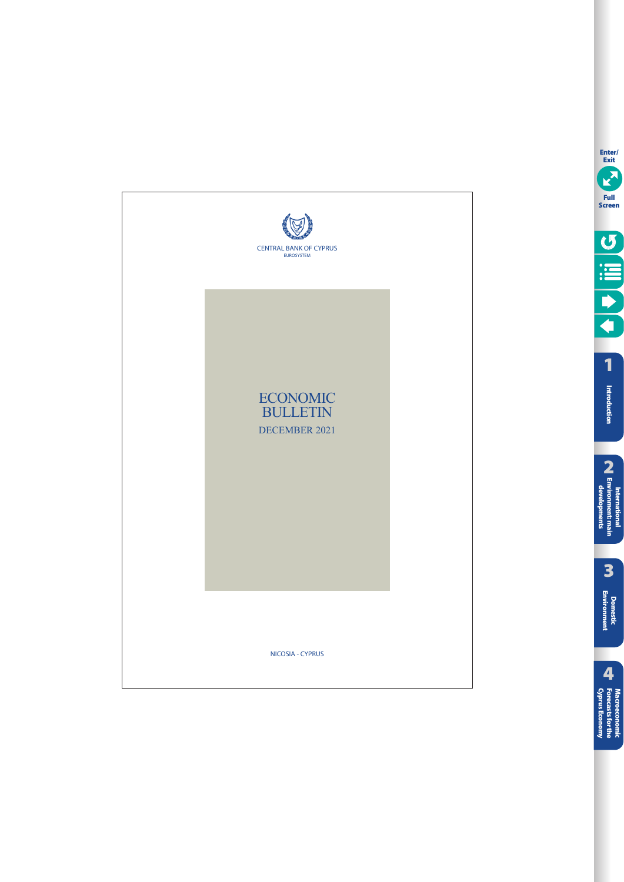

**[1](#page-7-0)**

**Enter/ Exit**

**Full Screen**

O III C

**Introduction**

Introduction

**3**

**Domestic**<br>**Environment** 

**4**

Macroeconomic<br>Forecasts for the<br>**Cyprus Economy** 

**[Domestic Environment](#page-17-0) 2[International Environment: main developments](#page-12-0)**

**National International International**<br>Nationmenti: main<br>developments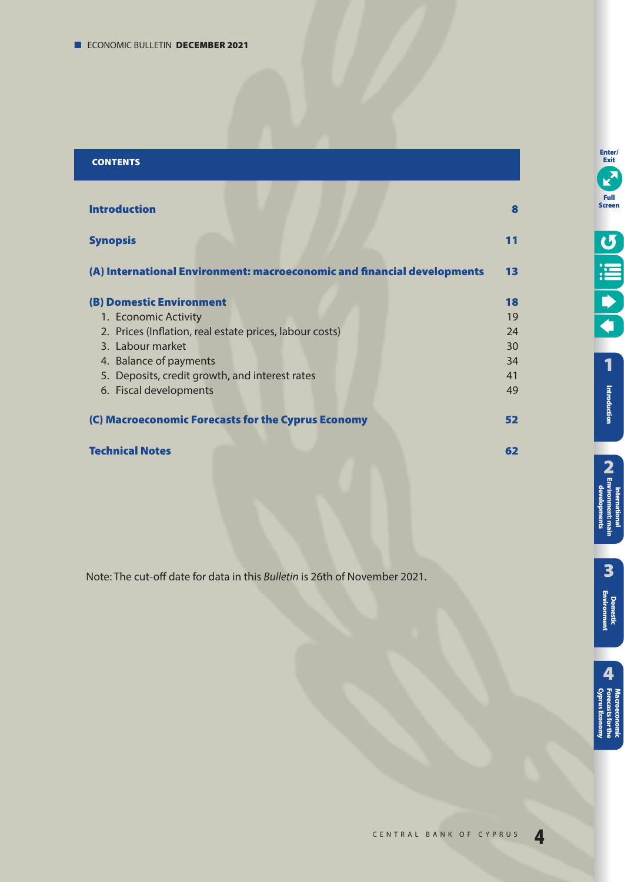# **CONTENTS**

| <b>Introduction</b>                                                     | 8  |
|-------------------------------------------------------------------------|----|
| <b>Synopsis</b>                                                         | 11 |
| (A) International Environment: macroeconomic and financial developments | 13 |
| <b>(B) Domestic Environment</b>                                         | 18 |
| 1. Economic Activity                                                    | 19 |
| 2. Prices (Inflation, real estate prices, labour costs)                 | 24 |
| 3. Labour market                                                        | 30 |
| 4. Balance of payments                                                  | 34 |
| 5. Deposits, credit growth, and interest rates                          | 41 |
| 6. Fiscal developments                                                  | 49 |
| (C) Macroeconomic Forecasts for the Cyprus Economy                      | 52 |
| <b>Technical Notes</b>                                                  | 62 |

Note: The cut-off date for data in this Bulletin is 26th of November 2021.

**Enter/ Exit**

Ø

**Full Screen**

**3**

**[Domestic Environment](#page-17-0)**

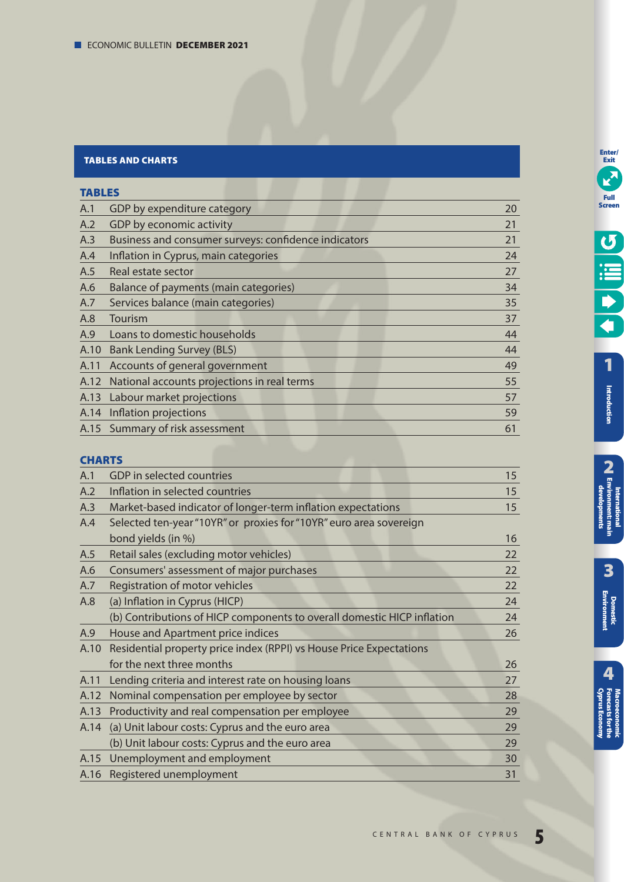# **TABLES AND CHARTS**

# **TABLES**

| A.1  | GDP by expenditure category                          | 20 |
|------|------------------------------------------------------|----|
| A.2  | GDP by economic activity                             | 21 |
| A.3  | Business and consumer surveys: confidence indicators | 21 |
| A.4  | Inflation in Cyprus, main categories                 | 24 |
| A.5  | Real estate sector                                   | 27 |
| A.6  | Balance of payments (main categories)                | 34 |
| A.7  | Services balance (main categories)                   | 35 |
| A.8  | Tourism                                              | 37 |
| A.9  | Loans to domestic households                         | 44 |
| A.10 | <b>Bank Lending Survey (BLS)</b>                     | 44 |
| A.11 | Accounts of general government                       | 49 |
| A.12 | National accounts projections in real terms          | 55 |
|      | A.13 Labour market projections                       | 57 |
|      | A.14 Inflation projections                           | 59 |
|      | A.15 Summary of risk assessment                      | 61 |
|      |                                                      |    |

# **CHARTS**

| GDP in selected countries                                               | 15 |
|-------------------------------------------------------------------------|----|
| Inflation in selected countries                                         | 15 |
| Market-based indicator of longer-term inflation expectations            | 15 |
| Selected ten-year "10YR" or proxies for "10YR" euro area sovereign      |    |
| bond yields (in %)                                                      | 16 |
| Retail sales (excluding motor vehicles)                                 | 22 |
| Consumers' assessment of major purchases                                | 22 |
| Registration of motor vehicles                                          | 22 |
| (a) Inflation in Cyprus (HICP)                                          | 24 |
| (b) Contributions of HICP components to overall domestic HICP inflation | 24 |
| House and Apartment price indices                                       | 26 |
| Residential property price index (RPPI) vs House Price Expectations     |    |
| for the next three months                                               | 26 |
| Lending criteria and interest rate on housing loans                     | 27 |
| Nominal compensation per employee by sector                             | 28 |
| Productivity and real compensation per employee                         | 29 |
| (a) Unit labour costs: Cyprus and the euro area                         | 29 |
| (b) Unit labour costs: Cyprus and the euro area                         | 29 |
| Unemployment and employment                                             | 30 |
| A.16 Registered unemployment                                            | 31 |
|                                                                         |    |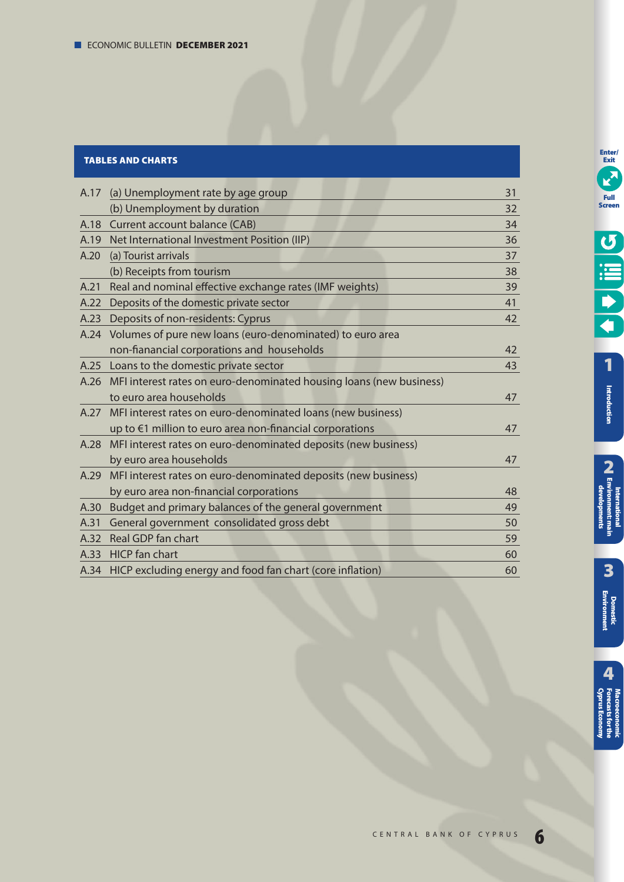# **TABLES AND CHARTS**

| A.17 | (a) Unemployment rate by age group                                       | 31 |
|------|--------------------------------------------------------------------------|----|
|      | (b) Unemployment by duration                                             | 32 |
|      | A.18 Current account balance (CAB)                                       | 34 |
|      | A.19 Net International Investment Position (IIP)                         | 36 |
| A.20 | (a) Tourist arrivals                                                     | 37 |
|      | (b) Receipts from tourism                                                | 38 |
| A.21 | Real and nominal effective exchange rates (IMF weights)                  | 39 |
| A.22 | Deposits of the domestic private sector                                  | 41 |
| A.23 | Deposits of non-residents: Cyprus                                        | 42 |
| A.24 | Volumes of pure new loans (euro-denominated) to euro area                |    |
|      | non-fianancial corporations and households                               | 42 |
|      | A.25 Loans to the domestic private sector                                | 43 |
|      | A.26 MFI interest rates on euro-denominated housing loans (new business) |    |
|      | to euro area households                                                  | 47 |
| A.27 | MFI interest rates on euro-denominated loans (new business)              |    |
|      | up to €1 million to euro area non-financial corporations                 | 47 |
|      | A.28 MFI interest rates on euro-denominated deposits (new business)      |    |
|      | by euro area households                                                  | 47 |
|      | A.29 MFI interest rates on euro-denominated deposits (new business)      |    |
|      | by euro area non-financial corporations                                  | 48 |
| A.30 | Budget and primary balances of the general government                    | 49 |
| A.31 | General government consolidated gross debt                               | 50 |
| A.32 | Real GDP fan chart                                                       | 59 |
|      | A.33 HICP fan chart                                                      | 60 |
|      | A.34 HICP excluding energy and food fan chart (core inflation)           | 60 |
|      |                                                                          |    |

**[1](#page-7-0)**

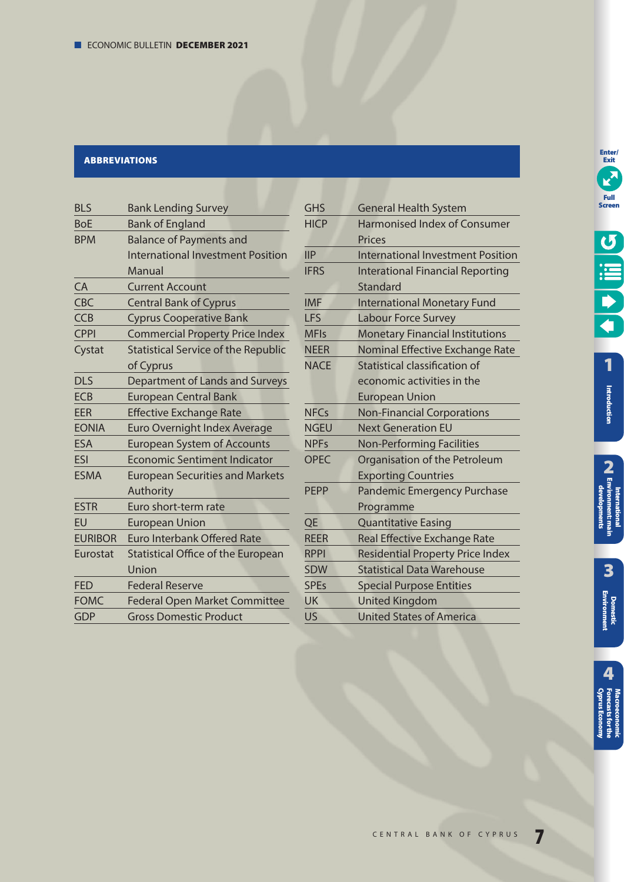# **ABBREVIATIONS**

| <b>BLS</b>     | <b>Bank Lending Survey</b>                 |
|----------------|--------------------------------------------|
| <b>BoE</b>     | <b>Bank of England</b>                     |
| <b>BPM</b>     | <b>Balance of Payments and</b>             |
|                | <b>International Investment Position</b>   |
|                | Manual                                     |
| CA             | <b>Current Account</b>                     |
| CBC            | <b>Central Bank of Cyprus</b>              |
| <b>CCB</b>     | <b>Cyprus Cooperative Bank</b>             |
| <b>CPPI</b>    | <b>Commercial Property Price Index</b>     |
| Cystat         | <b>Statistical Service of the Republic</b> |
|                | of Cyprus                                  |
| <b>DLS</b>     | Department of Lands and Surveys            |
| <b>ECB</b>     | <b>European Central Bank</b>               |
| <b>EER</b>     | <b>Effective Exchange Rate</b>             |
| <b>EONIA</b>   | Euro Overnight Index Average               |
| <b>ESA</b>     | <b>European System of Accounts</b>         |
| ESI            | Economic Sentiment Indicator               |
| <b>ESMA</b>    | <b>European Securities and Markets</b>     |
|                | Authority                                  |
| <b>ESTR</b>    | Euro short-term rate                       |
| EU             | <b>European Union</b>                      |
| <b>EURIBOR</b> | <b>Euro Interbank Offered Rate</b>         |
| Eurostat       | <b>Statistical Office of the European</b>  |
|                | Union                                      |
| <b>FED</b>     | <b>Federal Reserve</b>                     |
| <b>FOMC</b>    | <b>Federal Open Market Committee</b>       |
| <b>GDP</b>     | <b>Gross Domestic Product</b>              |

| <b>GHS</b>    | <b>General Health System</b>             |
|---------------|------------------------------------------|
| <b>HICP</b>   | <b>Harmonised Index of Consumer</b>      |
|               | <b>Prices</b>                            |
| $\mathsf{HP}$ | <b>International Investment Position</b> |
| <b>IFRS</b>   | <b>Interational Financial Reporting</b>  |
|               | Standard                                 |
| <b>IMF</b>    | <b>International Monetary Fund</b>       |
| <b>LFS</b>    | <b>Labour Force Survey</b>               |
| <b>MFIs</b>   | <b>Monetary Financial Institutions</b>   |
| <b>NEER</b>   | Nominal Effective Exchange Rate          |
| <b>NACE</b>   | Statistical classification of            |
|               | economic activities in the               |
|               | <b>European Union</b>                    |
| <b>NFCs</b>   | <b>Non-Financial Corporations</b>        |
| <b>NGEU</b>   | <b>Next Generation EU</b>                |
| <b>NPFs</b>   | <b>Non-Performing Facilities</b>         |
| <b>OPEC</b>   | Organisation of the Petroleum            |
|               | <b>Exporting Countries</b>               |
| <b>PEPP</b>   | <b>Pandemic Emergency Purchase</b>       |
|               | Programme                                |
| QE            | <b>Quantitative Easing</b>               |
| <b>REER</b>   | <b>Real Effective Exchange Rate</b>      |
| <b>RPPI</b>   | <b>Residential Property Price Index</b>  |
| <b>SDW</b>    | <b>Statistical Data Warehouse</b>        |
| <b>SPEs</b>   | <b>Special Purpose Entities</b>          |
| <b>UK</b>     | <b>United Kingdom</b>                    |
| US            | <b>United States of America</b>          |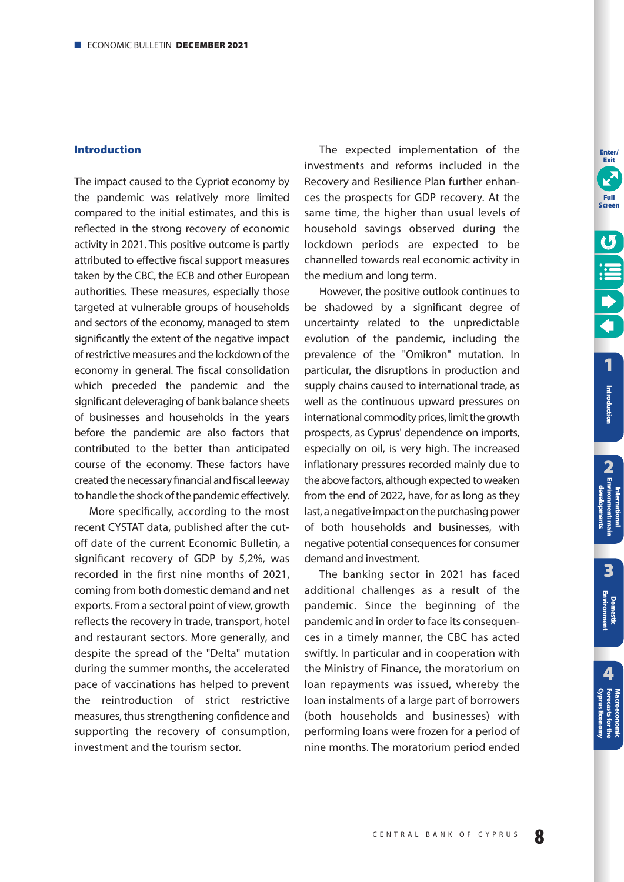## <span id="page-7-0"></span>**Introduction**

The impact caused to the Cypriot economy by the pandemic was relatively more limited compared to the initial estimates, and this is reflected in the strong recovery of economic activity in 2021. This positive outcome is partly attributed to effective fiscal support measures taken by the CBC, the ECB and other European authorities. These measures, especially those targeted at vulnerable groups of households and sectors of the economy, managed to stem significantly the extent of the negative impact of restrictive measures and the lockdown of the economy in general. The fiscal consolidation which preceded the pandemic and the significant deleveraging of bank balance sheets of businesses and households in the years before the pandemic are also factors that contributed to the better than anticipated course of the economy. These factors have created the necessary financial and fiscal leeway to handle the shock of the pandemic effectively.

More specifically, according to the most recent CYSTAT data, published after the cutoff date of the current Economic Bulletin, a significant recovery of GDP by 5,2%, was recorded in the first nine months of 2021, coming from both domestic demand and net exports. From a sectoral point of view, growth reflects the recovery in trade, transport, hotel and restaurant sectors. More generally, and despite the spread of the "Delta" mutation during the summer months, the accelerated pace of vaccinations has helped to prevent the reintroduction of strict restrictive measures, thus strengthening confidence and supporting the recovery of consumption, investment and the tourism sector.

The expected implementation of the investments and reforms included in the Recovery and Resilience Plan further enhances the prospects for GDP recovery. At the same time, the higher than usual levels of household savings observed during the lockdown periods are expected to be channelled towards real economic activity in the medium and long term.

However, the positive outlook continues to be shadowed by a significant degree of uncertainty related to the unpredictable evolution of the pandemic, including the prevalence of the "Omikron" mutation. In particular, the disruptions in production and supply chains caused to international trade, as well as the continuous upward pressures on international commodity prices, limit the growth prospects, as Cyprus' dependence on imports, especially on oil, is very high. The increased inflationary pressures recorded mainly due to the above factors, although expected to weaken from the end of 2022, have, for as long as they last, a negative impact on the purchasing power of both households and businesses, with negative potential consequences for consumer demand and investment.

The banking sector in 2021 has faced additional challenges as a result of the pandemic. Since the beginning of the pandemic and in order to face its consequences in a timely manner, the CBC has acted swiftly. In particular and in cooperation with the Ministry of Finance, the moratorium on loan repayments was issued, whereby the loan instalments of a large part of borrowers (both households and businesses) with performing loans were frozen for a period of nine months. The moratorium period ended **Enter/ Exit**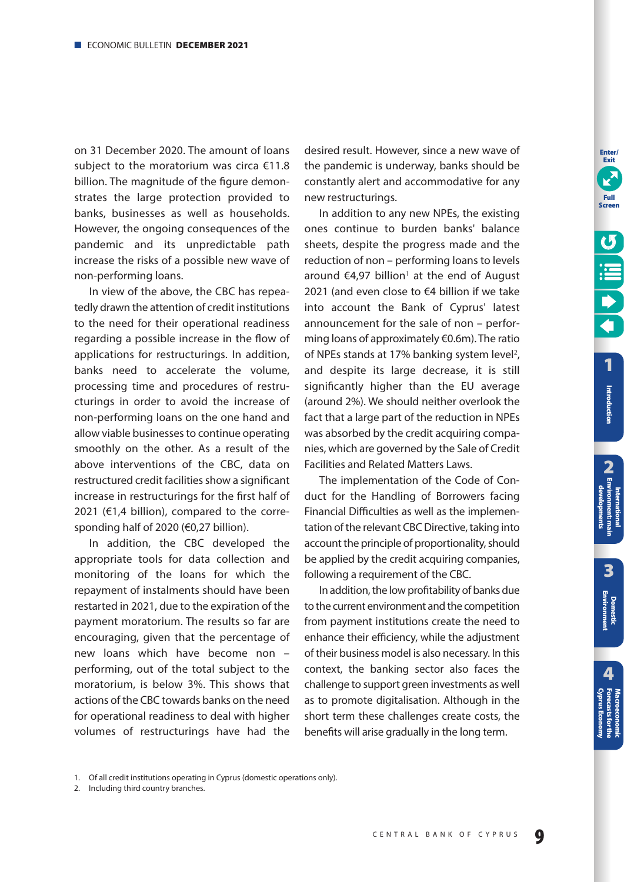on 31 December 2020. The amount of loans subject to the moratorium was circa €11.8 billion. The magnitude of the figure demonstrates the large protection provided to banks, businesses as well as households. However, the ongoing consequences of the pandemic and its unpredictable path increase the risks of a possible new wave of non-performing loans.

In view of the above, the CBC has repeatedly drawn the attention of credit institutions to the need for their operational readiness regarding a possible increase in the flow of applications for restructurings. In addition, banks need to accelerate the volume, processing time and procedures of restructurings in order to avoid the increase of non-performing loans on the one hand and allow viable businesses to continue operating smoothly on the other. As a result of the above interventions of the CBC, data on restructured credit facilities show a significant increase in restructurings for the first half of 2021 ( $\epsilon$ 1.4 billion), compared to the corresponding half of 2020 (€0,27 billion).

In addition, the CBC developed the appropriate tools for data collection and monitoring of the loans for which the repayment of instalments should have been restarted in 2021, due to the expiration of the payment moratorium. The results so far are encouraging, given that the percentage of new loans which have become non – performing, out of the total subject to the moratorium, is below 3%. This shows that actions of the CBC towards banks on the need for operational readiness to deal with higher volumes of restructurings have had the

desired result. However, since a new wave of the pandemic is underway, banks should be constantly alert and accommodative for any new restructurings.

In addition to any new NPEs, the existing ones continue to burden banks' balance sheets, despite the progress made and the reduction of non – performing loans to levels around  $\epsilon$ 4,97 billion<sup>1</sup> at the end of August 2021 (and even close to €4 billion if we take into account the Bank of Cyprus' latest announcement for the sale of non - performing loans of approximately €0.6m). The ratio of NPEs stands at 17% banking system level<sup>2</sup>, and despite its large decrease, it is still significantly higher than the EU average (around 2%). We should neither overlook the fact that a large part of the reduction in NPEs was absorbed by the credit acquiring companies, which are governed by the Sale of Credit Facilities and Related Matters Laws.

The implementation of the Code of Conduct for the Handling of Borrowers facing Financial Difficulties as well as the implementation of the relevant CBC Directive, taking into account the principle of proportionality, should be applied by the credit acquiring companies, following a requirement of the CBC.

In addition, the low profitability of banks due to the current environment and the competition from payment institutions create the need to enhance their efficiency, while the adjustment of their business model is also necessary. In this context, the banking sector also faces the challenge to support green investments as well as to promote digitalisation. Although in the short term these challenges create costs, the benefits will arise gradually in the long term.

**9** CENTRAL BANK OF CYPRUS

**[1](#page-7-0)**

**Enter/ Exit**

**Full Screen**

<sup>1.</sup> Of all credit institutions operating in Cyprus (domestic operations only).

<sup>2.</sup> Including third country branches.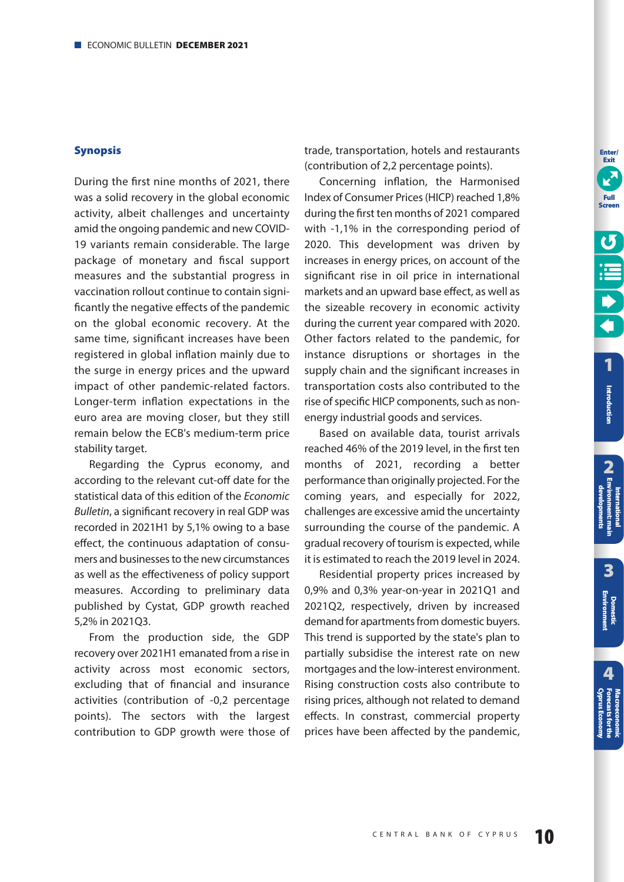## **Synopsis**

During the first nine months of 2021, there was a solid recovery in the global economic activity, albeit challenges and uncertainty amid the ongoing pandemic and new COVID-19 variants remain considerable. The large package of monetary and fiscal support measures and the substantial progress in vaccination rollout continue to contain significantly the negative effects of the pandemic on the global economic recovery. At the same time, significant increases have been registered in global inflation mainly due to the surge in energy prices and the upward impact of other pandemic-related factors. Longer-term inflation expectations in the euro area are moving closer, but they still remain below the ECB's medium-term price stability target.

Regarding the Cyprus economy, and according to the relevant cut-off date for the statistical data of this edition of the Economic Bulletin, a significant recovery in real GDP was recorded in 2021H1 by 5,1% owing to a base effect, the continuous adaptation of consumers and businesses to the new circum stances as well as the effectiveness of policy support measures. According to preliminary data published by Cystat, GDP growth reached 5,2% in 2021Q3.

From the production side, the GDP recovery over 2021H1 emanated from a rise in activity across most economic sectors, excluding that of financial and insurance activities (contribution of -0,2 percentage points). The sectors with the largest contribution to GDP growth were those of trade, transportation, hotels and restaurants (contribution of 2,2 percentage points).

Concerning inflation, the Harmonised Index of Consumer Prices (HICP) reached 1,8% during the first ten months of 2021 compared with -1,1% in the corresponding period of 2020. This development was driven by increases in energy prices, on account of the significant rise in oil price in international markets and an upward base effect, as well as the sizeable recovery in economic activity during the current year compared with 2020. Other factors related to the pandemic, for instance disruptions or shortages in the supply chain and the significant increases in transportation costs also contributed to the rise of specific HICP components, such as nonenergy industrial goods and services.

Based on available data, tourist arrivals reached 46% of the 2019 level, in the first ten months of 2021, recording a better performance than originally projected. For the coming years, and especially for 2022, challenges are excessive amid the uncertainty surrounding the course of the pandemic. A gradual recovery of tourism is expected, while it is estimated to reach the 2019 level in 2024.

Residential property prices increased by 0,9% and 0,3% year-on-year in 2021Q1 and 2021Q2, respectively, driven by increased demand for apartments from domestic buyers. This trend is supported by the state's plan to partially subsidise the interest rate on new mortgages and the low-interest environment. Rising construction costs also contribute to rising prices, although not related to demand effects. In constrast, commercial property prices have been affected by the pandemic, **Enter/ Exit**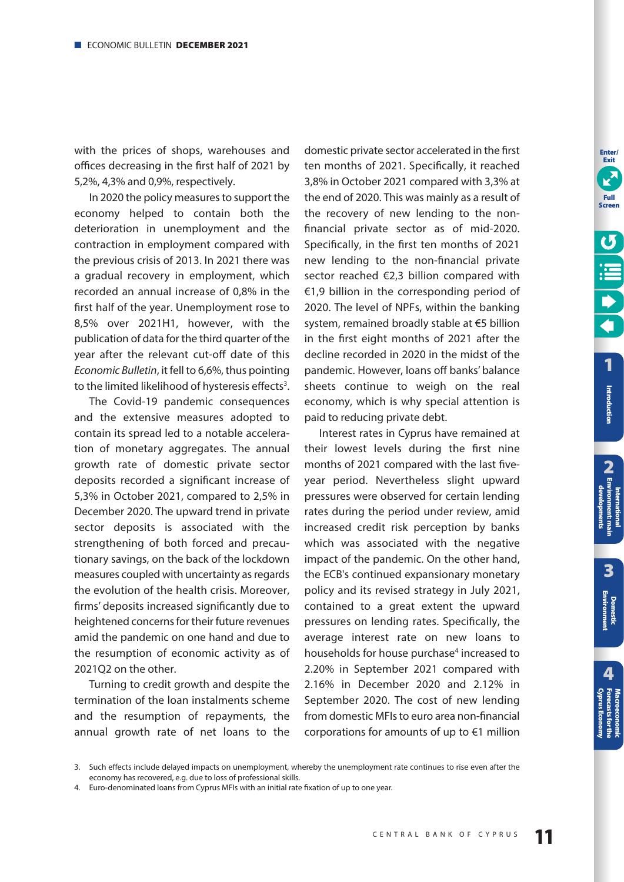<span id="page-10-0"></span>with the prices of shops, warehouses and offices decreasing in the first half of 2021 by 5,2%, 4,3% and 0,9%, respectively.

In 2020 the policy measures to support the economy helped to contain both the deterioration in unemployment and the contraction in employment compared with the previous crisis of 2013. In 2021 there was a gradual recovery in employment, which recorded an annual increase of 0,8% in the first half of the year. Unemployment rose to 8,5% over 2021H1, however, with the publication of data for the third quarter of the year after the relevant cut-off date of this Economic Bulletin, it fell to 6,6%, thus pointing to the limited likelihood of hysteresis effects<sup>3</sup>.

The Covid-19 pandemic consequences and the extensive measures adopted to contain its spread led to a notable acceleration of monetary aggregates. The annual growth rate of domestic private sector deposits recorded a significant increase of 5,3% in October 2021, compared to 2,5% in December 2020. The upward trend in private sector deposits is associated with the strengthening of both forced and precautionary savings, on the back of the lockdown measures coupled with uncertainty as regards the evolution of the health crisis. Moreover, firms' deposits increased significantly due to heightened concerns for their future revenues amid the pandemic on one hand and due to the resumption of economic activity as of 2021Q2 on the other.

Turning to credit growth and despite the termination of the loan instalments scheme and the resumption of repayments, the annual growth rate of net loans to the

domestic private sector accelerated in the first ten months of 2021. Specifically, it reached 3,8% in October 2021 compared with 3,3% at the end of 2020. This was mainly as a result of the recovery of new lending to the nonfinancial private sector as of mid-2020. Specifically, in the first ten months of 2021 new lending to the non-financial private sector reached €2,3 billion compared with €1,9 billion in the corresponding period of 2020. The level of NPFs, within the banking system, remained broadly stable at €5 billion in the first eight months of 2021 after the decline recorded in 2020 in the midst of the pandemic. However, loans off banks' balance sheets continue to weigh on the real economy, which is why special attention is paid to reducing private debt.

Interest rates in Cyprus have remained at their lowest levels during the first nine months of 2021 compared with the last fiveyear period. Nevertheless slight upward pressures were observed for certain lending rates during the period under review, amid increased credit risk perception by banks which was associated with the negative impact of the pandemic. On the other hand, the ECB's continued expansionary monetary policy and its revised strategy in July 2021, contained to a great extent the upward pressures on lending rates. Specifically, the average interest rate on new loans to households for house purchase<sup>4</sup> increased to 2.20% in September 2021 compared with 2.16% in December 2020 and 2.12% in September 2020. The cost of new lending from domestic MFIs to euro area non-financial corporations for amounts of up to €1 million

**4**

**[Cyprus Economy](#page-51-0) Forecasts for the Macroeconomic** 

<sup>3.</sup> Such effects include delayed impacts on unemployment, whereby the unemployment rate continues to rise even after the economy has recovered, e.g. due to loss of professional skills.

<sup>4.</sup> Euro-denominated loans from Cyprus MFIs with an initial rate fixation of up to one year.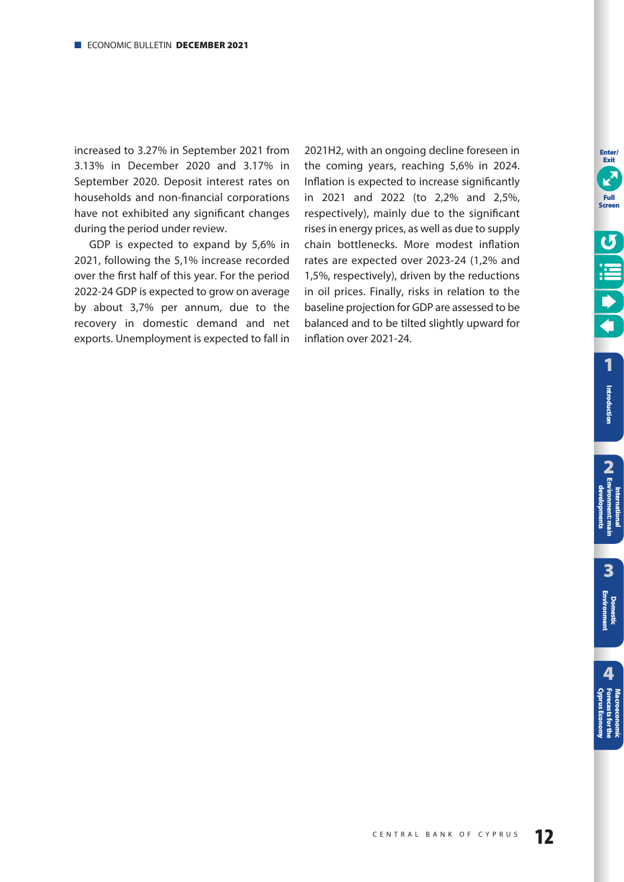increased to 3.27% in September 2021 from 3.13% in December 2020 and 3.17% in September 2020. Deposit interest rates on households and non-financial corporations have not exhibited any significant changes during the period under review.

GDP is expected to expand by 5,6% in 2021, following the 5,1% increase recorded over the first half of this year. For the period 2022-24 GDP is expected to grow on average by about 3,7% per annum, due to the recovery in domestic demand and net exports. Unemployment is expected to fall in 2021H2, with an ongoing decline foreseen in the coming years, reaching 5,6% in 2024. Inflation is expected to increase significantly in 2021 and 2022 (to 2,2% and 2,5%, respectively), mainly due to the significant rises in energy prices, as well as due to supply chain bottlenecks. More modest inflation rates are expected over 2023-24 (1,2% and 1,5%, respectively), driven by the reductions in oil prices. Finally, risks in relation to the baseline projection for GDP are assessed to be balanced and to be tilted slightly upward for inflation over 2021-24.

**12** CENTRAL BANK OF CYPRUS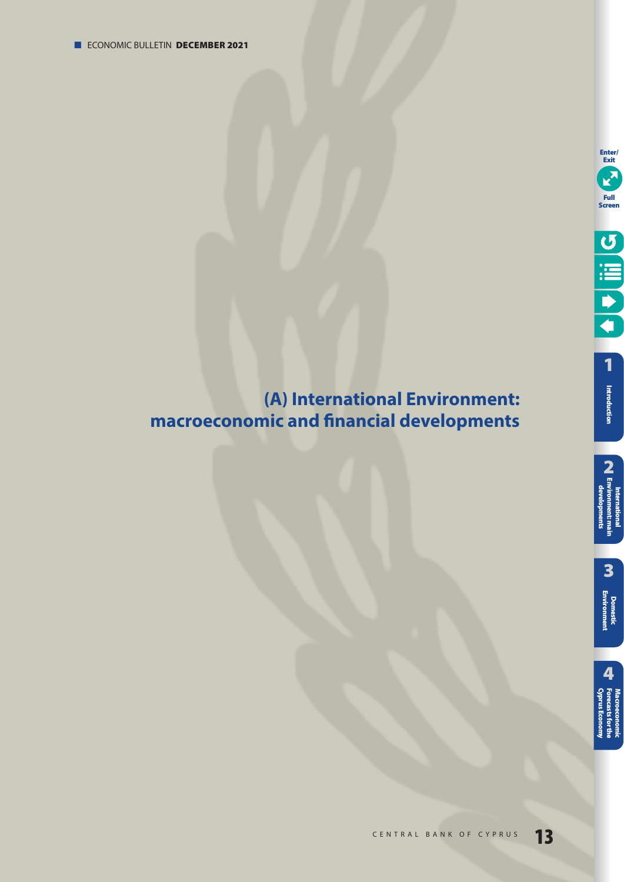# <span id="page-12-0"></span>**(Α) International Environment: macroeconomic and financial developments**

**Enter/ Exit**

E

**Full Screen**

O III C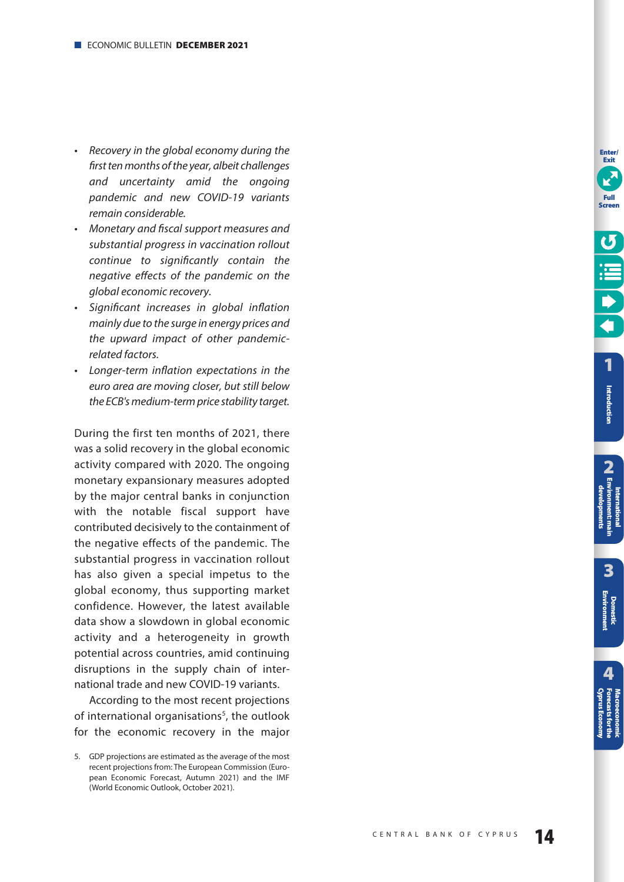- Recovery in the global economy during the first ten months of the year, albeit challenges and uncertainty amid the ongoing pandemic and new COVID-19 variants remain considerable.
- Monetary and fiscal support measures and substantial progress in vaccination rollout continue to significantly contain the negative effects of the pandemic on the global economic recovery.
- Significant increases in global inflation mainly due to the surge in energy prices and the upward impact of other pandemicrelated factors.
- Longer-term inflation expectations in the euro area are moving closer, but still below the ECB's medium-term price stability target.

During the first ten months of 2021, there was a solid recovery in the global economic activity compared with 2020. The ongoing monetary expansionary measures adopted by the major central banks in conjunction with the notable fiscal support have contributed decisively to the containment of the negative effects of the pandemic. The substantial progress in vaccination rollout has also given a special impetus to the global economy, thus supporting market confidence. However, the latest available data show a slowdown in global economic activity and a heterogeneity in growth potential across countries, amid continuing disruptions in the supply chain of international trade and new COVID-19 variants.

According to the most recent projections of international organisations<sup>5</sup>, the outlook for the economic recovery in the major **Enter/ Exit**

**Introduction**

Introduction

<sup>5.</sup> GDP projections are estimated as the average of the most recent projections from: The European Commission (European Economic Forecast, Autumn 2021) and the IMF (World Economic Outlook, October 2021).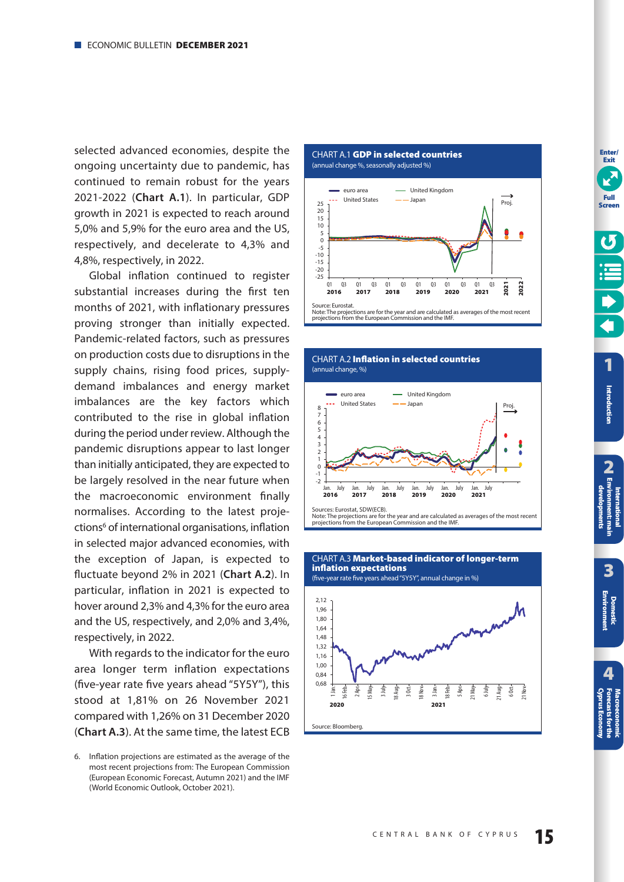<span id="page-14-0"></span>selected advanced economies, despite the ongoing uncertainty due to pandemic, has continued to remain robust for the years 2021-2022 (**Chart A.1**). In particular, GDP growth in 2021 is expected to reach around 5,0% and 5,9% for the euro area and the US, respectively, and decelerate to 4,3% and 4,8%, respectively, in 2022.

Global inflation continued to register substantial increases during the first ten months of 2021, with inflationary pressures proving stronger than initially expected. Pandemic-related factors, such as pressures on production costs due to disruptions in the supply chains, rising food prices, supplydemand imbalances and energy market imbalances are the key factors which contributed to the rise in global inflation during the period under review. Although the pandemic disruptions appear to last longer than initially anticipated, they are expected to be largely resolved in the near future when the macroeconomic environment finally normalises. According to the latest projections<sup>6</sup> of international organisations, inflation in selected major advanced economies, with the exception of Japan, is expected to fluctuate beyond 2% in 2021 (**Chart Α.2**). In particular, inflation in 2021 is expected to hover around 2,3% and 4,3% for the euro area and the US, respectively, and 2,0% and 3,4%, respectively, in 2022.

With regards to the indicator for the euro area longer term inflation expectations (five-year rate five years ahead "5Y5Y"), this stood at 1,81% on 26 November 2021 compared with 1,26% on 31 December 2020 (**Chart A.3**). At the same time, the latest ECB

CHART A.1 **GDP in selected countries** 

(annual change %, seasonally adjusted %)





CHART A.2 **Inflation in selected countries** 



Note: The projections are for the year and are calculated as averages of the most recent projections from the European Commission and the IMF.



**Exit Full Screen**

**Enter/** 

**[1](#page-7-0)**

<sup>6.</sup> Inflation projections are estimated as the average of the most recent projections from: The European Commission (European Economic Forecast, Autumn 2021) and the IMF (World Economic Outlook, October 2021).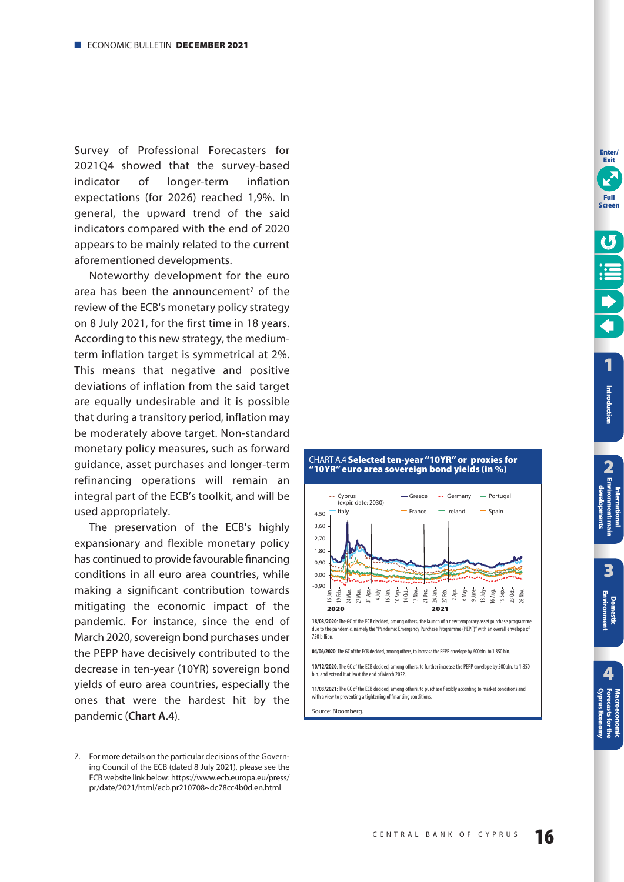<span id="page-15-0"></span>Survey of Professional Forecasters for 2021Q4 showed that the survey-based indicator of longer-term inflation expectations (for 2026) reached 1,9%. In general, the upward trend of the said indicators compared with the end of 2020 appears to be mainly related to the current aforementioned developments.

Noteworthy development for the euro area has been the announcement<sup>7</sup> of the review of the ECB's monetary policy strategy on 8 July 2021, for the first time in 18 years. According to this new strategy, the mediumterm inflation target is symmetrical at 2%. This means that negative and positive deviations of inflation from the said target are equally undesirable and it is possible that during a transitory period, inflation may be moderately above target. Non-standard monetary policy measures, such as forward guidance, asset purchases and longer-term refinancing operations will remain an integral part of the ECB's toolkit, and will be used appropriately.

The preservation of the ECB's highly expansionary and flexible monetary policy has continued to provide favourable financing conditions in all euro area countries, while making a significant contribution towards mitigating the economic impact of the pandemic. For instance, since the end of March 2020, sovereign bond purchases under the PEPP have decisively contributed to the decrease in ten-year (10YR) sovereign bond yields of euro area countries, especially the ones that were the hardest hit by the pandemic (**Chart A.4**).



#### CHART Α.4 **Selected ten-year "10YR" or proxies for "10YR" euro area sovereign bond yields (in %)**

**18/03/2020:** The GC of the ECB decided, among others, the launch of a new temporary asset purchase programme due to the nandemic namely the "Pandemic Emergency Purchase Programme (PEPP)" with an overall envelope of due to the pandemic, namely the "Pandemic Emergency Purchase Programme (PEPP)" with an overall erable of 750 billion.

**04/06/2020**: The GC of the ECB decided, among others, to increase the PEPP envelope by 600bln. to 1.350 bln.

**10/12/2020**: The GC of the ECB decided, among others, to further increase the PEPP envelope by 500bln. to 1.850 bln. and extend it at least the end of March 2022.

**11/03/2021**: The GC of the ECB decided, among others, to purchase flexibly according to market conditions and with a view to preventing a tightening of financing conditions

Source: Bloomberg.

**3**

**2 International [Environment: main](#page-12-0)  developments**

**[Domestic Environment](#page-17-0)**

**[1](#page-7-0)**

**Enter/ Exit**

**Full Screen**

**Introduction**

Introduction

<sup>7.</sup> For more details on the particular decisions of the Governing Council of the ECB (dated 8 July 2021), please see the ECB website link below: https://www.ecb.europa.eu/press/ pr/date/2021/html/ecb.pr210708~dc78cc4b0d.en.html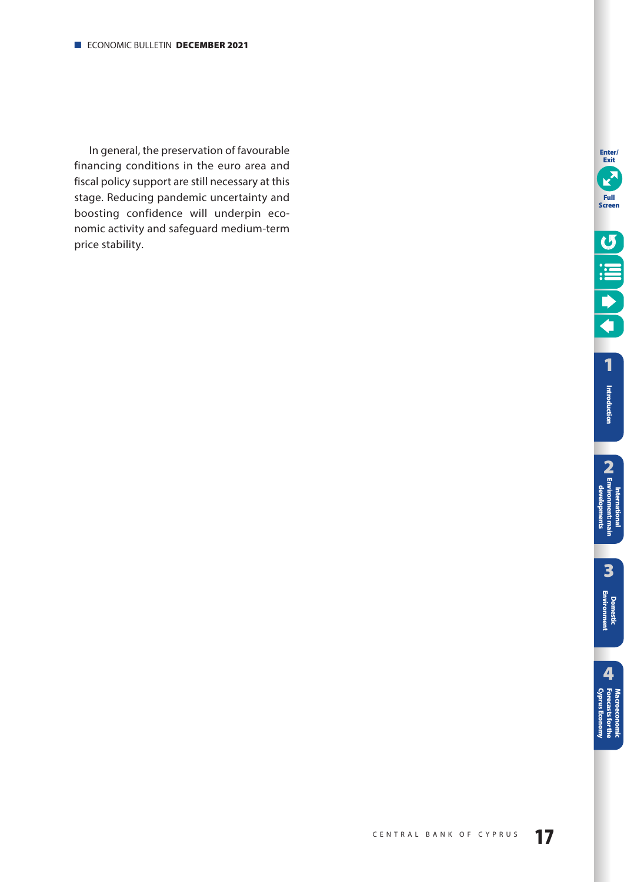In general, the preservation of favourable financing conditions in the euro area and fiscal policy support are still necessary at this stage. Reducing pandemic uncertainty and boosting confidence will underpin economic activity and safeguard medium-term price stability.

**Enter/ Exit**

**3**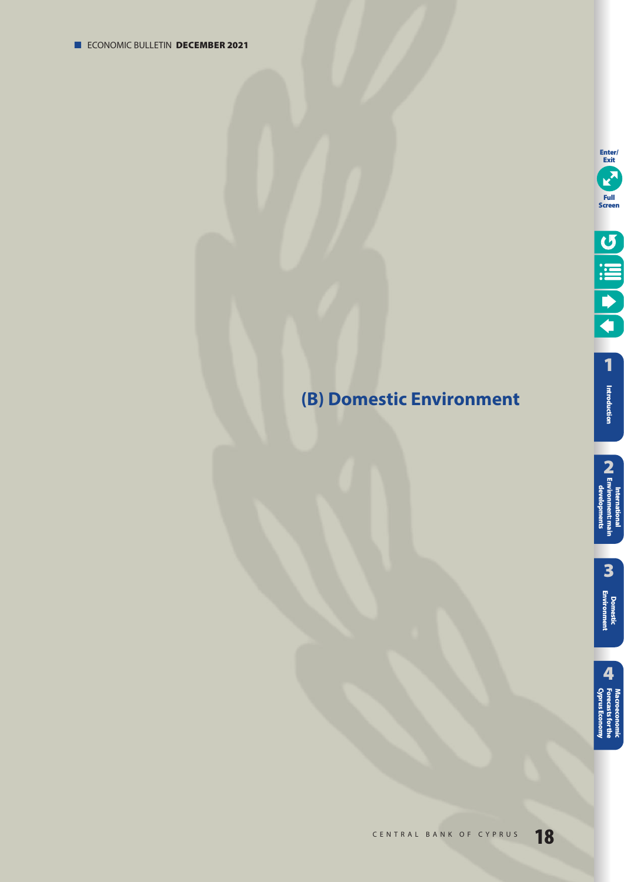# <span id="page-17-0"></span>**(B) Domestic Environment**

**3**

International<br>**[2** Environment: main<br>developments **International [Environment: main](#page-12-0)  developments**

**[Domestic Environment](#page-17-0)**

**[1](#page-7-0) Introduction**

**Enter/ Exit**

**Full Screen**

U lill D

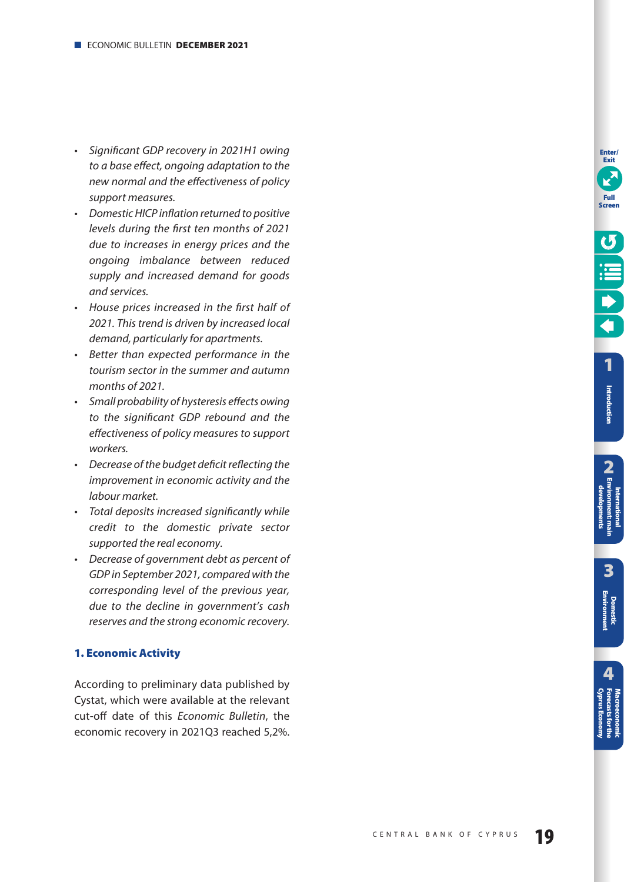- <span id="page-18-0"></span>• Significant GDP recovery in 2021H1 owing to a base effect, ongoing adaptation to the new normal and the effectiveness of policy support measures.
- Domestic HICP inflation returned to positive levels during the first ten months of 2021 due to increases in energy prices and the ongoing imbalance between reduced supply and increased demand for goods and services.
- House prices increased in the first half of 2021. This trend is driven by increased local demand, particularly for apartments.
- Better than expected performance in the tourism sector in the summer and autumn months of 2021.
- Small probability of hysteresis effects owing to the significant GDP rebound and the effectiveness of policy measures to support workers.
- Decrease of the budget deficit reflecting the improvement in economic activity and the labour market.
- Total deposits increased significantly while credit to the domestic private sector supported the real economy.
- Decrease of government debt as percent of GDP in September 2021, compared with the corresponding level of the previous year, due to the decline in government's cash reserves and the strong economic recovery.

# **1. Economic Activity**

According to preliminary data published by Cystat, which were available at the relevant cut-off date of this Economic Bulletin, the economic recovery in 2021Q3 reached 5,2%. **Enter/ Exit**

**Full Screen**

Introduction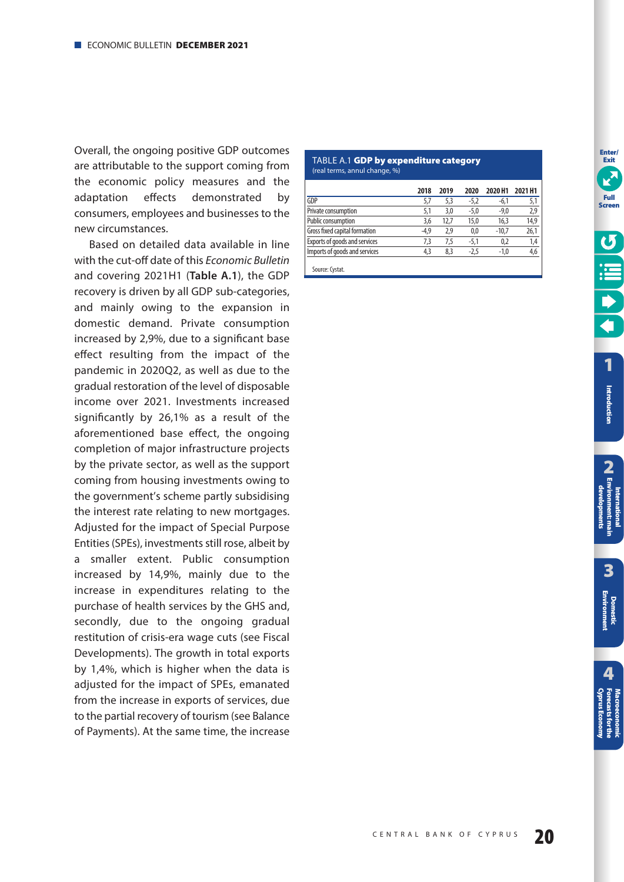<span id="page-19-0"></span>Overall, the ongoing positive GDP outcomes are attributable to the support coming from the economic policy measures and the adaptation effects demonstrated by consumers, employees and businesses to the new circumstances.

Based on detailed data available in line with the cut-off date of this Economic Bulletin and covering 2021H1 (**Table A.1**), the GDP recovery is driven by all GDP sub-categories, and mainly owing to the expansion in domestic demand. Private consumption increased by 2,9%, due to a significant base effect resulting from the impact of the pandemic in 2020Q2, as well as due to the gradual restoration of the level of disposable income over 2021. Investments increased significantly by 26,1% as a result of the aforementioned base effect, the ongoing completion of major infrastructure projects by the private sector, as well as the support coming from housing investments owing to the government's scheme partly subsidising the interest rate relating to new mortgages. Adjusted for the impact of Special Purpose Entities (SPEs), investments still rose, albeit by a smaller extent. Public consumption increased by 14,9%, mainly due to the increase in expenditures relating to the purchase of health services by the GHS and, secondly, due to the ongoing gradual restitution of crisis-era wage cuts (see Fiscal Developments). The growth in total exports by 1,4%, which is higher when the data is adjusted for the impact of SPEs, emanated from the increase in exports of services, due to the partial recovery of tourism (see Balance of Payments). At the same time, the increase

#### TABLE A.1 **GDP by expenditure category**  (real terms, annul change, %)

|                               | 2018   | 2019 | 2020   | 2020 H1 | 2021 H1 |
|-------------------------------|--------|------|--------|---------|---------|
| GDP                           | 5.7    | 5.3  | $-5,2$ | $-6.1$  | 5,1     |
| Private consumption           | 5,1    | 3.0  | $-5,0$ | $-9,0$  | 2,9     |
| Public consumption            | 3.6    | 12.7 | 15,0   | 16,3    | 14,9    |
| Gross fixed capital formation | $-4.9$ | 2.9  | 0.0    | $-10.7$ | 26,1    |
| Exports of goods and services | 7.3    | 7.5  | $-5.1$ | 0.2     | 1,4     |
| Imports of goods and services | 4,3    | 8.3  | $-2.5$ | $-1.0$  | 4,6     |
|                               |        |      |        |         |         |

Source: Cystat.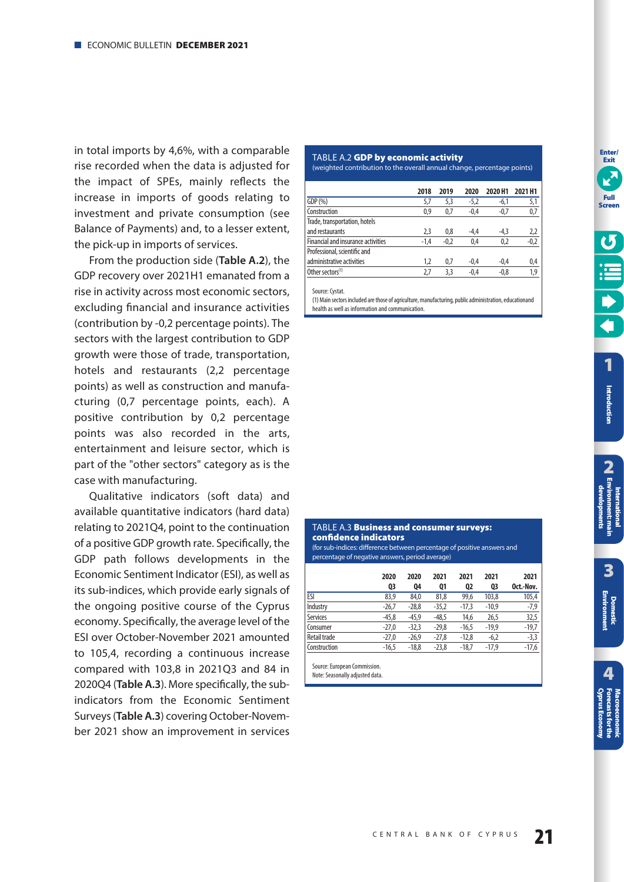<span id="page-20-0"></span>in total imports by 4,6%, with a comparable rise recorded when the data is adjusted for the impact of SPEs, mainly reflects the increase in imports of goods relating to investment and private consumption (see Balance of Payments) and, to a lesser extent, the pick-up in imports of services.

From the production side (**Table A.2**), the GDP recovery over 2021H1 emanated from a rise in activity across most economic sectors, excluding financial and insurance activities (contribution by -0,2 percentage points). The sectors with the largest contribution to GDP growth were those of trade, transportation, hotels and restaurants (2,2 percentage points) as well as construction and manufacturing (0,7 percentage points, each). A positive contribution by 0,2 percentage points was also recorded in the arts, entertainment and leisure sector, which is part of the "other sectors" category as is the case with manufacturing.

Qualitative indicators (soft data) and available quantitative indicators (hard data) relating to 2021Q4, point to the continuation of a positive GDP growth rate. Specifically, the GDP path follows developments in the Economic Sentiment Indicator (ESI), as well as its sub-indices, which provide early signals of the ongoing positive course of the Cyprus economy. Specifically, the average level of the ESI over October-November 2021 amounted to 105,4, recording a continuous increase compared with 103,8 in 2021Q3 and 84 in 2020Q4 (**Table A.3**). More specifically, the subindicators from the Economic Sentiment Surveys (Table A.3) covering October-November 2021 show an improvement in services

#### TABLE A.2 **GDP by economic activity**

(weighted contribution to the overall annual change, percentage points)

|                                           | 2018   | 2019   | 2020   | 2020 H1 | 2021 H1 |
|-------------------------------------------|--------|--------|--------|---------|---------|
| GDP(%)                                    | 5,7    | 5,3    | $-5,2$ | $-6,1$  | 5,1     |
| Construction                              | 0.9    | 0.7    | $-0.4$ | $-0,7$  | 0,7     |
| Trade, transportation, hotels             |        |        |        |         |         |
| and restaurants                           | 2,3    | 0,8    | -4,4   | $-4,3$  | 2,2     |
| <b>Financial and insurance activities</b> | $-1,4$ | $-0,2$ | 0,4    | 0,2     | $-0,2$  |
| Professional, scientific and              |        |        |        |         |         |
| administrative activities                 | 1,2    | 0,7    | $-0,4$ | $-0.4$  | 0,4     |
| Other sectors <sup>(1)</sup>              | 2.7    | 3.3    | $-0.4$ | $-0,8$  | 1.9     |

Source: Cystat.

(1) Main sectors included are those of agriculture, manufacturing, public administration, educationand health as well as information and communication.

| confidence indicators<br>(for sub-indices: difference between percentage of positive answers and<br>percentage of negative answers, period average) |            |            |            |            |            |                   |
|-----------------------------------------------------------------------------------------------------------------------------------------------------|------------|------------|------------|------------|------------|-------------------|
|                                                                                                                                                     | 2020<br>Q3 | 2020<br>04 | 2021<br>Q1 | 2021<br>02 | 2021<br>03 | 2021<br>Oct.-Nov. |
| <b>ESI</b>                                                                                                                                          | 83,9       | 84,0       | 81,8       | 99.6       | 103,8      | 105,4             |
| Industry                                                                                                                                            | $-26,7$    | $-28.8$    | $-35,2$    | $-17,3$    | $-10.9$    | $-7,9$            |
| <b>Services</b>                                                                                                                                     | $-45,8$    | $-45.9$    | $-48,5$    | 14,6       | 26,5       | 32,5              |
| Consumer                                                                                                                                            | $-27,0$    | $-32,3$    | $-29.8$    | $-16.5$    | $-19.9$    | $-19,7$           |
| Retail trade                                                                                                                                        | $-27.0$    | $-26.9$    | $-27.8$    | $-12.8$    | $-6.2$     | $-3,3$            |

Construction -16,5 -18,8 -23,8 -18,7 -17,9 -17,6

TABLE A.3 **Business and consumer surveys:** 

Source: European Commission. Note: Seasonally adjusted data.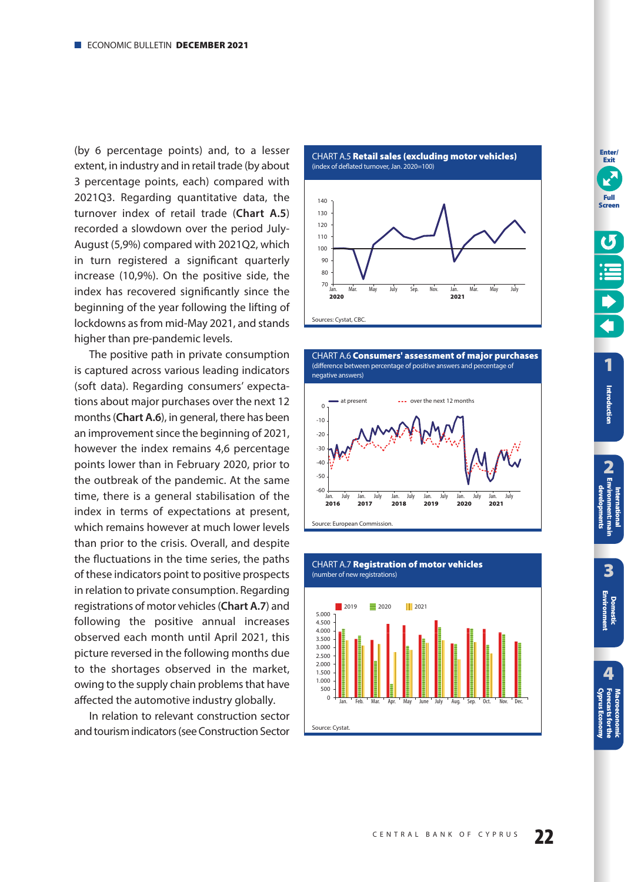<span id="page-21-0"></span>(by 6 percentage points) and, to a lesser extent, in industry and in retail trade (by about 3 percentage points, each) compared with 2021Q3. Regarding quantitative data, the turnover index of retail trade (**Chart A.5**) recorded a slowdown over the period July-August (5,9%) compared with 2021Q2, which in turn registered a significant quarterly increase (10,9%). On the positive side, the index has recovered significantly since the beginning of the year following the lifting of lockdowns as from mid-May 2021, and stands higher than pre-pandemic levels.

The positive path in private consumption is captured across various leading indicators (soft data). Regarding consumers' expecta tions about major purchases over the next 12 months (**Chart A.6**), in general, there has been an improvement since the beginning of 2021, however the index remains 4,6 percentage points lower than in February 2020, prior to the outbreak of the pandemic. At the same time, there is a general stabilisation of the index in terms of expectations at present, which remains however at much lower levels than prior to the crisis. Overall, and despite the fluctuations in the time series, the paths of these indicators point to positive prospects in relation to private consumption. Regarding registrations of motor vehicles (**Chart A.7**) and following the positive annual increases observed each month until April 2021, this picture reversed in the following months due to the shortages observed in the market, owing to the supply chain problems that have affected the automotive industry globally.

In relation to relevant construction sector and tourism indicators (see Construction Sector







**Enter/ Exit**

**3**

**4 [Cyprus Economy](#page-51-0) Forecasts for the Macroeconomic**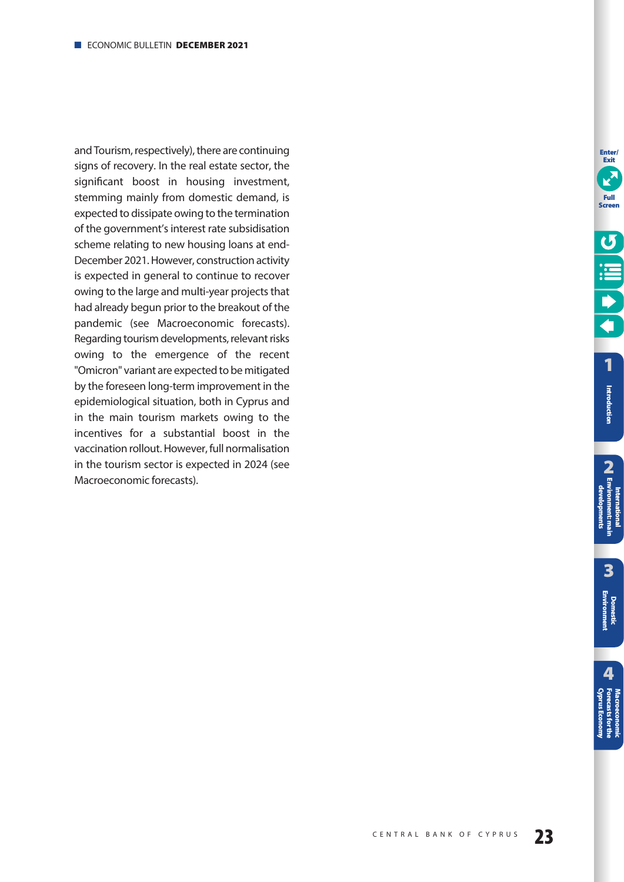and Tourism, respectively), there are continuing signs of recovery. In the real estate sector, the significant boost in housing investment, stemming mainly from domestic demand, is expected to dissipate owing to the termination of the government's interest rate subsidisation scheme relating to new housing loans at end-December 2021. However, construction activity is expected in general to continue to recover owing to the large and multi-year projects that had already begun prior to the breakout of the pandemic (see Macroeconomic forecasts). Regarding tourism developments, relevant risks owing to the emergence of the recent "Omicron" variant are expected to be mitigated by the foreseen long-term improvement in the epidemiological situation, both in Cyprus and in the main tourism markets owing to the incentives for a substantial boost in the vaccination rollout. However, full normalisation in the tourism sector is expected in 2024 (see Macroeconomic forecasts).

**Enter/ Exit**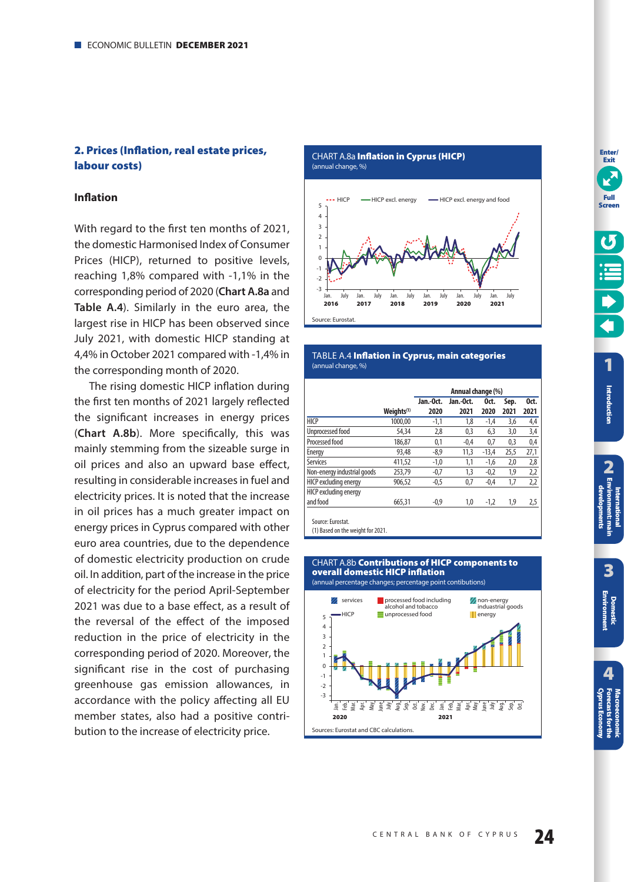# <span id="page-23-0"></span>**2. Prices (Inflation, real estate prices, labour costs)**

## **Inflation**

With regard to the first ten months of 2021, the domestic Harmonised Index of Consumer Prices (HICP), returned to positive levels, reaching 1,8% compared with -1,1% in the corresponding period of 2020 (**Chart A.8a** and **Table A.4**). Similarly in the euro area, the largest rise in HICP has been observed since July 2021, with domestic HICP standing at 4,4% in October 2021 compared with -1,4% in the corresponding month of 2020.

The rising domestic HICP inflation during the first ten months of 2021 largely reflected the significant increases in energy prices (**Chart A.8b**). More specifically, this was mainly stemming from the sizeable surge in oil prices and also an upward base effect, resulting in considerable increases in fuel and electricity prices. It is noted that the increase in oil prices has a much greater impact on energy prices in Cyprus compared with other euro area countries, due to the dependence of domestic electricity production on crude oil. In addition, part of the increase in the price of electricity for the period April-September 2021 was due to a base effect, as a result of the reversal of the effect of the imposed reduction in the price of electricity in the corresponding period of 2020. Moreover, the significant rise in the cost of purchasing greenhouse gas emission allowances, in accordance with the policy affecting all EU member states, also had a positive contribution to the increase of electricity price.

CHART Α.8a **Inflation in Cyprus (HICP)** 





#### TABLE Α.4 **Inflation in Cyprus, main categories**  (annual change, %)

|                             | Jan.-Oct.<br>Oct.<br>Jan.-Oct.<br>Sep.<br>Oct. |        |        |         |      |      |  |
|-----------------------------|------------------------------------------------|--------|--------|---------|------|------|--|
|                             | Weiahts <sup>(1)</sup>                         | 2020   | 2021   | 2020    | 2021 | 2021 |  |
| <b>HICP</b>                 | 1000.00                                        | $-1,1$ | 1,8    | $-1,4$  | 3,6  | 4,4  |  |
| Unprocessed food            | 54,34                                          | 2,8    | 0,3    | 6,3     | 3,0  | 3,4  |  |
| Processed food              | 186,87                                         | 0,1    | $-0,4$ | 0,7     | 0,3  | 0,4  |  |
| Energy                      | 93.48                                          | $-8.9$ | 11,3   | $-13.4$ | 25,5 | 27,1 |  |
| <b>Services</b>             | 411,52                                         | $-1,0$ | 1,1    | $-1,6$  | 2,0  | 2,8  |  |
| Non-energy industrial goods | 253.79                                         | $-0,7$ | 1,3    | $-0,2$  | 1,9  | 2,2  |  |
| HICP excluding energy       | 906.52                                         | $-0.5$ | 0,7    | $-0.4$  | 1,7  | 2,2  |  |
| HICP excluding energy       |                                                |        |        |         |      |      |  |
| and food                    | 665.31                                         | $-0,9$ | 1,0    | $-1,2$  | 1,9  | 2,5  |  |

(1) Based on the weight for 2021.

#### CHART Α.8b **Contributions of HICP components to overall domestic HICP inflation**  (annual percentage changes; percentage point contibutions)

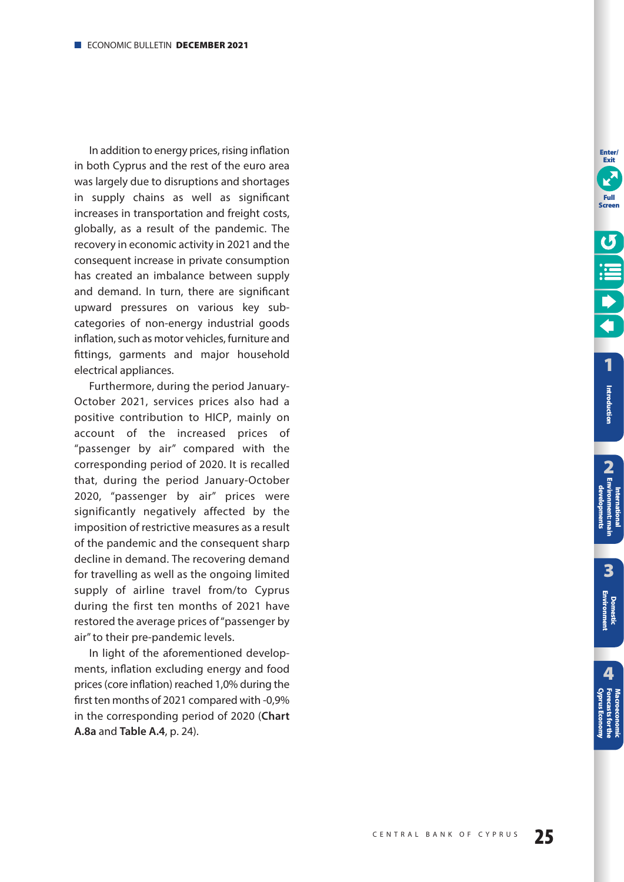In addition to energy prices, rising inflation in both Cyprus and the rest of the euro area was largely due to disruptions and shortages in supply chains as well as significant increases in transportation and freight costs, globally, as a result of the pandemic. The recovery in economic activity in 2021 and the consequent increase in private consumption has created an imbalance between supply and demand. In turn, there are significant upward pressures on various key subcategories of non-energy industrial goods inflation, such as motor vehicles, furniture and fittings, garments and major household electrical appliances.

Furthermore, during the period January-October 2021, services prices also had a positive contribution to HICP, mainly on account of the increased prices of "passenger by air" compared with the corresponding period of 2020. It is recalled that, during the period January-October 2020, "passenger by air" prices were significantly negatively affected by the imposition of restrictive measures as a result of the pandemic and the consequent sharp decline in demand. The recovering demand for travelling as well as the ongoing limited supply of airline travel from/to Cyprus during the first ten months of 2021 have restored the average prices of "passenger by air" to their pre-pandemic levels.

In light of the aforementioned developments, inflation excluding energy and food prices (core inflation) reached 1,0% during the first ten months of 2021 compared with -0,9% in the corresponding period of 2020 (**Chart A.8a** and **Table A.4**, [p. 24\)](#page-23-0).

**Enter/ Exit**

**Introduction**

Introduction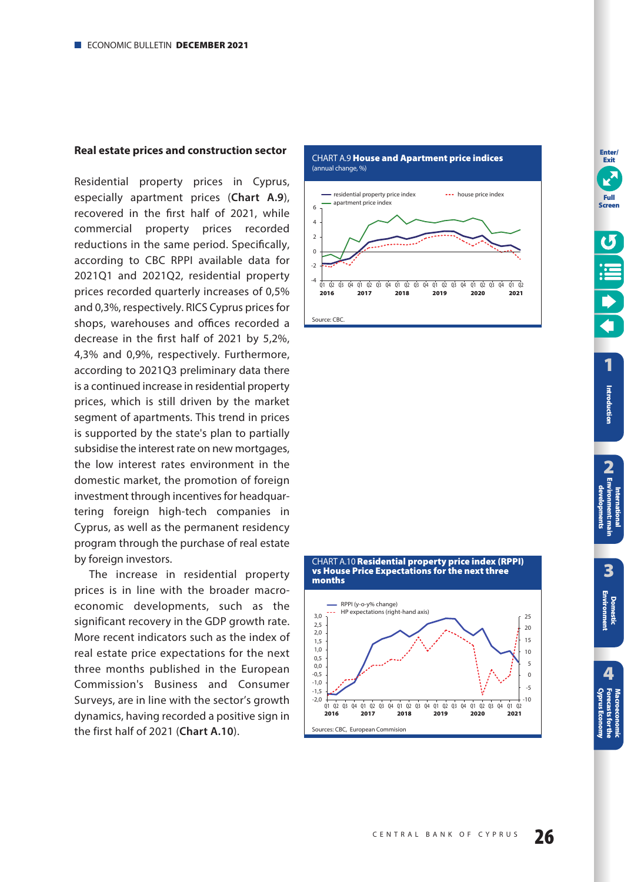## <span id="page-25-0"></span>**Real estate prices and construction sector**

Residential property prices in Cyprus, especially apartment prices (**Chart A.9**), recovered in the first half of 2021, while commercial property prices recorded reductions in the same period. Specifically, according to CBC RPPI available data for 2021Q1 and 2021Q2, residential property prices recorded quarterly increases of 0,5% and 0,3%, respectively. RICS Cyprus prices for shops, warehouses and offices recorded a decrease in the first half of 2021 by 5,2%, 4,3% and 0,9%, respectively. Furthermore, according to 2021Q3 preliminary data there is a continued increase in residential property prices, which is still driven by the market segment of apartments. This trend in prices is supported by the state's plan to partially subsidise the interest rate on new mortgages, the low interest rates environment in the domestic market, the promotion of foreign investment through incentives for headquartering foreign high-tech companies in Cyprus, as well as the permanent residency program through the purchase of real estate by foreign investors.

The increase in residential property prices is in line with the broader macroeconomic developments, such as the significant recovery in the GDP growth rate. More recent indicators such as the index of real estate price expectations for the next three months published in the European Commission's Business and Consumer Surveys, are in line with the sector's growth dynamics, having recorded a positive sign in the first half of 2021 (**Chart A.10**).



CHART Α.9 **House and Apartment price indices** 



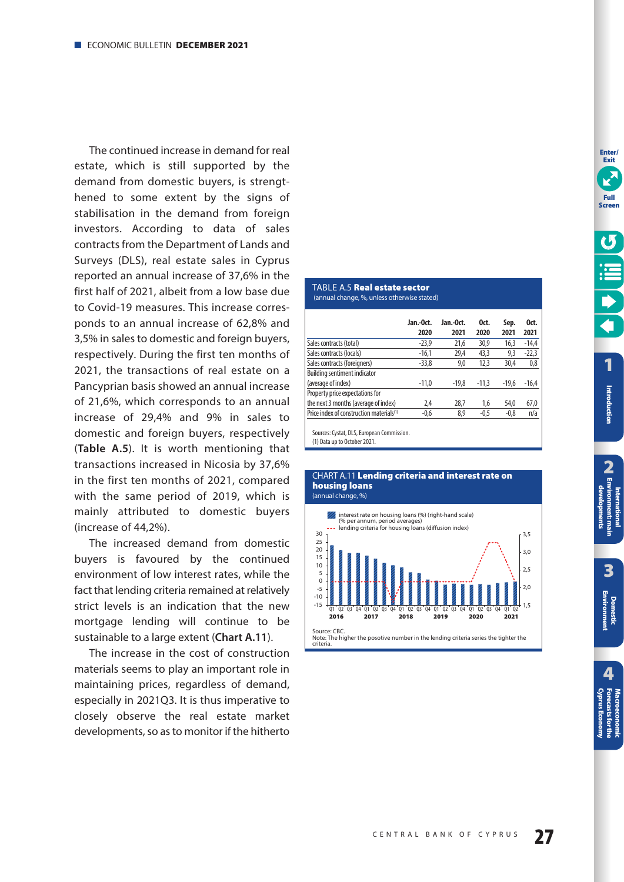<span id="page-26-0"></span>The continued increase in demand for real estate, which is still supported by the demand from domestic buyers, is strengthened to some extent by the signs of stabilisation in the demand from foreign investors. According to data of sales contracts from the Department of Lands and Surveys (DLS), real estate sales in Cyprus reported an annual increase of 37,6% in the first half of 2021, albeit from a low base due to Covid-19 measures. This increase corresponds to an annual increase of 62,8% and 3,5% in sales to domestic and foreign buyers, respectively. During the first ten months of 2021, the transactions of real estate on a Pancyprian basis showed an annual increase of 21,6%, which corresponds to an annual increase of 29,4% and 9% in sales to domestic and foreign buyers, respectively (**Table A.5**). It is worth mentioning that transactions increased in Nicosia by 37,6% in the first ten months of 2021, compared with the same period of 2019, which is mainly attributed to domestic buyers (increase of 44,2%).

The increased demand from domestic buyers is favoured by the continued environment of low interest rates, while the fact that lending criteria remained at relatively strict levels is an indication that the new mortgage lending will continue to be sustainable to a large extent (**Chart A.11**).

The increase in the cost of construction materials seems to play an important role in maintaining prices, regardless of demand, especially in 2021Q3. It is thus imperative to closely observe the real estate market developments, so as to monitor if the hitherto

#### TABLE A.5 **Real estate sector** (annual change, %, unless otherwise stated)

|                                                      | Jan.-Oct. | Jan.-Oct. | Oct.    | Sep.    | Oct.    |
|------------------------------------------------------|-----------|-----------|---------|---------|---------|
|                                                      | 2020      | 2021      | 2020    | 2021    | 2021    |
| Sales contracts (total)                              | $-23.9$   | 21.6      | 30,9    | 16.3    | $-14,4$ |
| Sales contracts (locals)                             | $-16,1$   | 29,4      | 43,3    | 9,3     | $-22,3$ |
| Sales contracts (foreigners)                         | $-33,8$   | 9,0       | 12,3    | 30.4    | 0,8     |
| <b>Building sentiment indicator</b>                  |           |           |         |         |         |
| (average of index)                                   | $-11.0$   | $-19.8$   | $-11.3$ | $-19.6$ | $-16,4$ |
| Property price expectations for                      |           |           |         |         |         |
| the next 3 months (average of index)                 | 2.4       | 28.7      | 1,6     | 54,0    | 67,0    |
| Price index of construction materials <sup>(1)</sup> | $-0,6$    | 8,9       | $-0.5$  | $-0,8$  | n/a     |
|                                                      |           |           |         |         |         |

Sources: Cystat, DLS, European Commission.

(1) Data up to October 2021.



# CHART Α.11 **Lending criteria and interest rate on housing loans**

**Enter/ Exit**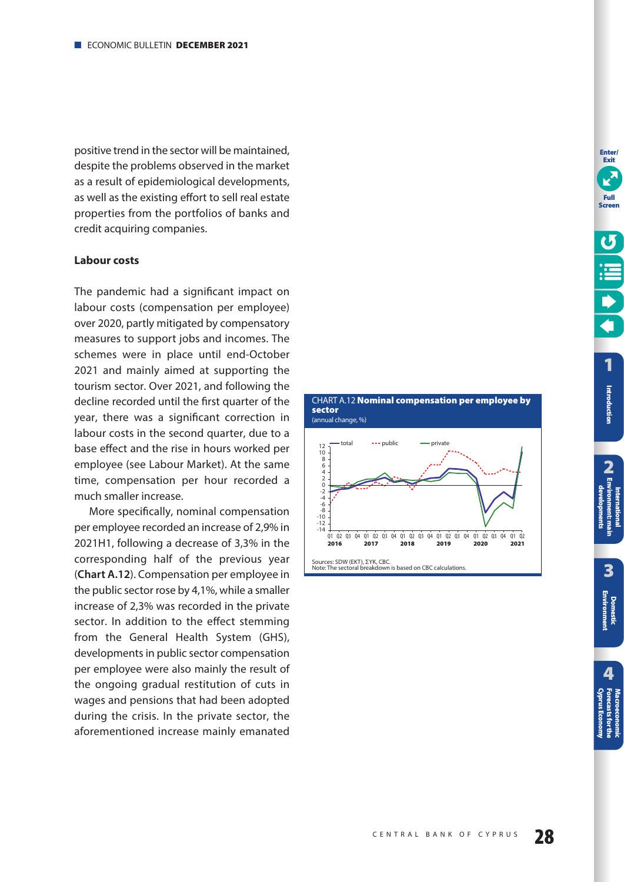<span id="page-27-0"></span>positive trend in the sector will be maintained, despite the problems observed in the market as a result of epidemiological developments, as well as the existing effort to sell real estate properties from the portfolios of banks and credit acquiring companies.

## **Labour costs**

The pandemic had a significant impact on labour costs (compensation per employee) over 2020, partly mitigated by compensatory measures to support jobs and incomes. The schemes were in place until end-October 2021 and mainly aimed at supporting the tourism sector. Over 2021, and following the decline recorded until the first quarter of the year, there was a significant correction in labour costs in the second quarter, due to a base effect and the rise in hours worked per employee (see Labour Market). At the same time, compensation per hour recorded a much smaller increase.

More specifically, nominal compensation per employee recorded an increase of 2,9% in 2021H1, following a decrease of 3,3% in the corresponding half of the previous year (**Chart A.12**). Compensation per employee in the public sector rose by 4,1%, while a smaller increase of 2,3% was recorded in the private sector. In addition to the effect stemming from the General Health System (GHS), developments in public sector compensation per employee were also mainly the result of the ongoing gradual restitution of cuts in wages and pensions that had been adopted during the crisis. In the private sector, the aforementioned increase mainly emanated



**Enter/**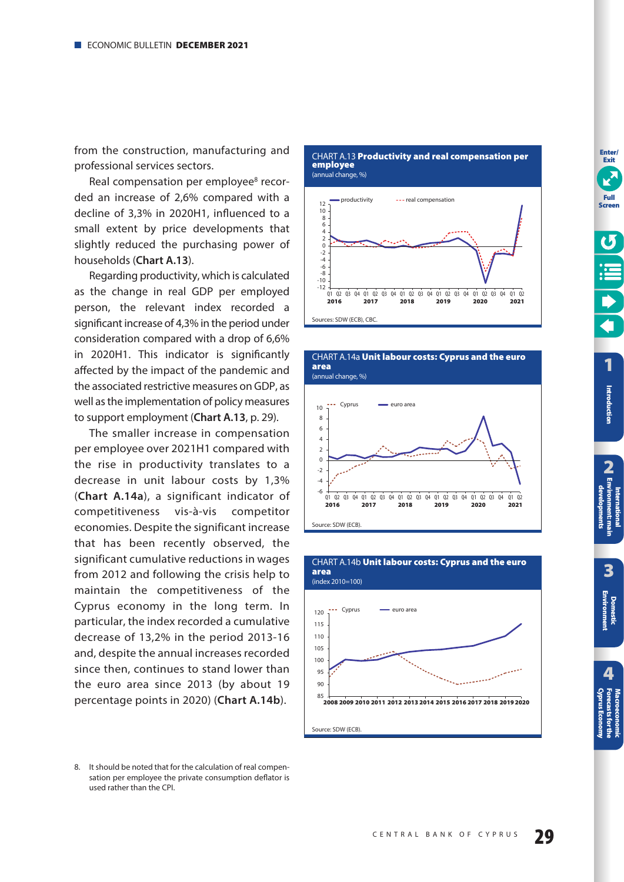<span id="page-28-0"></span>from the construction, manufacturing and professional services sectors.

Real compensation per employee<sup>8</sup> recorded an increase of 2,6% compared with a decline of 3,3% in 2020H1, influenced to a small extent by price developments that slightly reduced the purchasing power of households (**Chart A.13**).

Regarding productivity, which is calculated as the change in real GDP per employed person, the relevant index recorded a significant increase of 4,3% in the period under consideration compared with a drop of 6,6% in 2020H1. This indicator is significantly affected by the impact of the pandemic and the associated restrictive measures on GDP, as well as the implementation of policy measures to support employment (**Chart A.13**, [p. 29\)](#page-28-0).

The smaller increase in compensation per employee over 2021H1 compared with the rise in productivity translates to a decrease in unit labour costs by 1,3% (**Chart A.14a**), a significant indicator of competitiveness vis-à-vis competitor economies. Despite the significant increase that has been recently observed, the significant cumulative reductions in wages from 2012 and following the crisis help to maintain the competitiveness of the Cyprus economy in the long term. In particular, the index recorded a cumulative decrease of 13,2% in the period 2013-16 and, despite the annual increases recorded since then, continues to stand lower than the euro area since 2013 (by about 19 percentage points in 2020) (**Chart A.14b**).

CHART Α.13 **Productivity and real compensation per employee**  (annual change, %)





CHART Α.14a **Unit labour costs: Cyprus and the euro** 

**area** 



**3**

**2 International [Environment: main](#page-12-0)  developments**

developments

**[1](#page-7-0)**

**Enter/ Exit**

**Full Screen**

**Introduction**

Introduction

<sup>8.</sup> It should be noted that for the calculation of real compensation per employee the private consumption deflator is used rather than the CPI.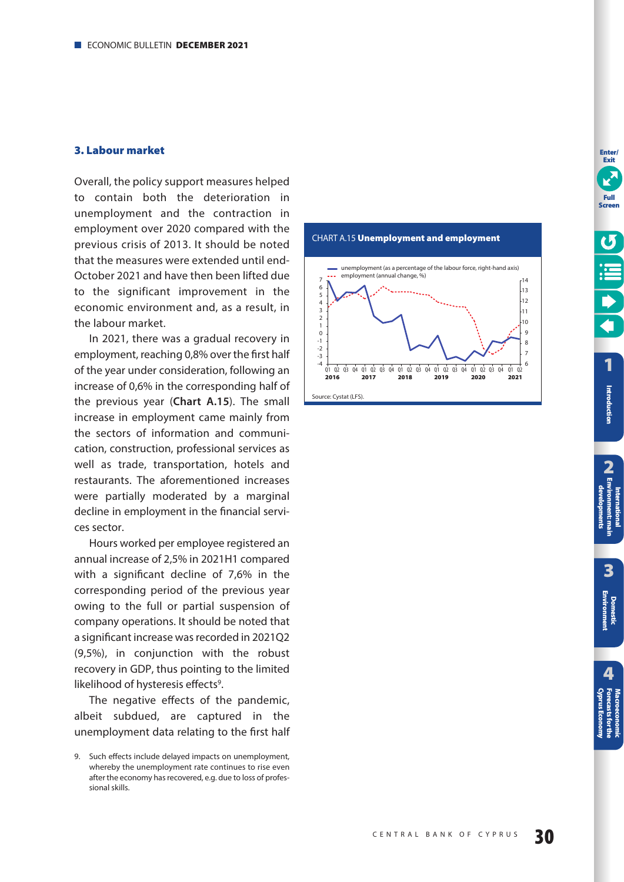## <span id="page-29-0"></span>**3. Labour market**

Overall, the policy support measures helped to contain both the deterioration in unemployment and the contraction in employment over 2020 compared with the previous crisis of 2013. It should be noted that the measures were extended until end-October 2021 and have then been lifted due to the significant improvement in the economic environment and, as a result, in the labour market.

In 2021, there was a gradual recovery in employment, reaching 0,8% over the first half of the year under consideration, following an increase of 0,6% in the corresponding half of the previous year (**Chart A.15**). The small increase in employment came mainly from the sectors of information and communication, construction, professional services as well as trade, transportation, hotels and restaurants. The aforementioned increases were partially moderated by a marginal decline in employment in the financial services sector.

Hours worked per employee registered an annual increase of 2,5% in 2021H1 compared with a significant decline of 7,6% in the corresponding period of the previous year owing to the full or partial suspension of company operations. It should be noted that a significant increase was recorded in 2021Q2 (9,5%), in conjunction with the robust recovery in GDP, thus pointing to the limited likelihood of hysteresis effects<sup>9</sup>.

The negative effects of the pandemic, albeit subdued, are captured in the unemployment data relating to the first half





<sup>9.</sup> Such effects include delayed impacts on unemployment, whereby the unemployment rate continues to rise even after the economy has recovered, e.g. due to loss of professional skills.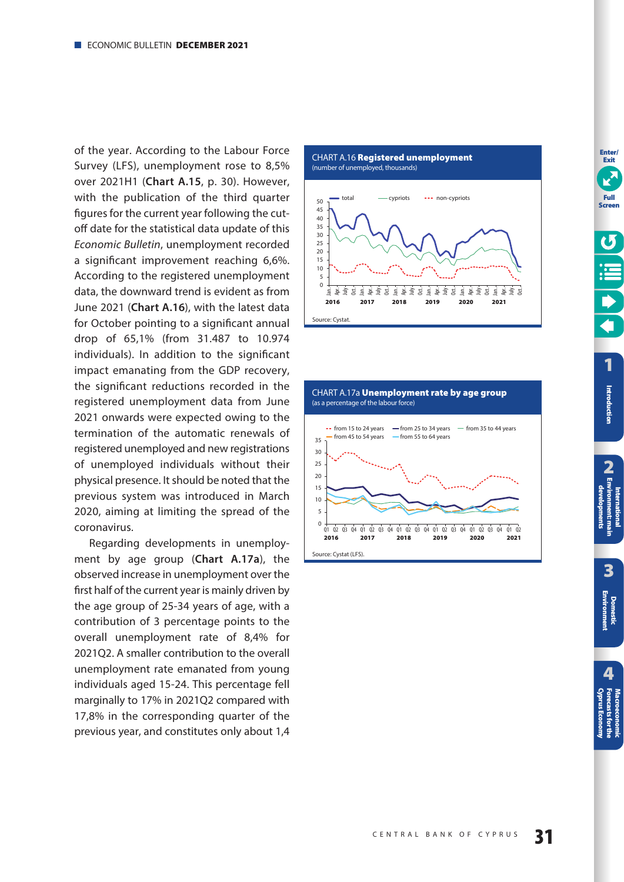<span id="page-30-0"></span>of the year. According to the Labour Force Survey (LFS), unemployment rose to 8,5% over 2021H1 (**Chart A.15**, [p. 30\)](#page-29-0). However, with the publication of the third quarter figures for the current year following the cutoff date for the statistical data update of this Economic Bulletin, unemployment recorded a significant improvement reaching 6,6%. According to the registered unemployment data, the downward trend is evident as from June 2021 (**Chart A.16**), with the latest data for October pointing to a significant annual drop of 65,1% (from 31.487 to 10.974 individuals). In addition to the significant impact emanating from the GDP recovery, the significant reductions recorded in the registered unemployment data from June 2021 onwards were expected owing to the termination of the automatic renewals of registered unemployed and new registrations of unemployed individuals without their physical presence. It should be noted that the previous system was introduced in March 2020, aiming at limiting the spread of the coronavirus.

Regarding developments in unemployment by age group (**Chart A.17a**), the observed increase in unemployment over the first half of the current year is mainly driven by the age group of 25-34 years of age, with a contribution of 3 percentage points to the overall unemployment rate of 8,4% for 2021Q2. A smaller contribution to the overall unemployment rate emanated from young individuals aged 15-24. This percentage fell marginally to 17% in 2021Q2 compared with 17,8% in the corresponding quarter of the previous year, and constitutes only about 1,4



15 호 국<br>2018 **z**  <u>로 분 출 경 등 중 중 중</u> 동<br>2019 - 2020 - 2021

2021

 $\overline{0}$ 5

Source: Cystat.

*로* 호르 경 로 호르 경<br>2016 - 2017



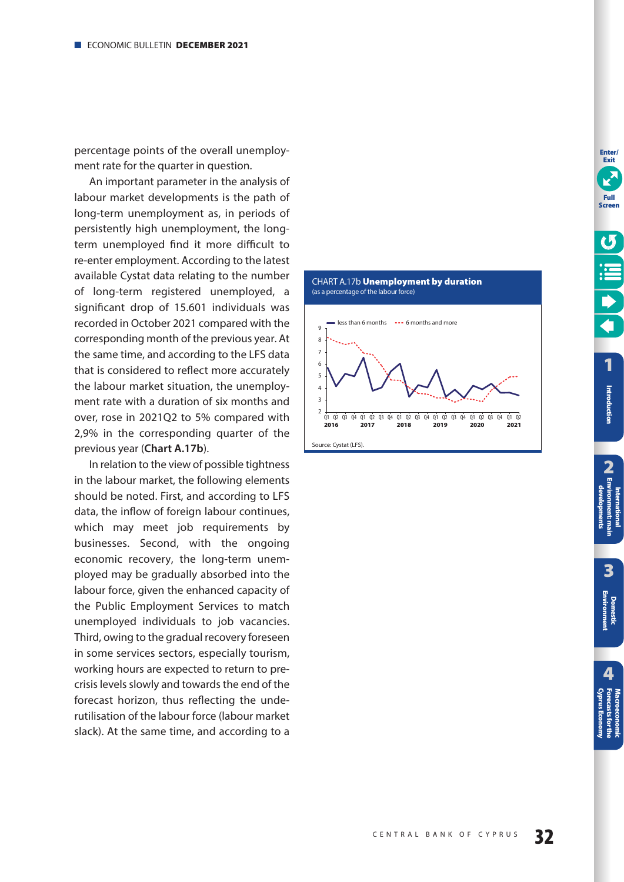<span id="page-31-0"></span>percentage points of the overall unemployment rate for the quarter in question.

An important parameter in the analysis of labour market developments is the path of long-term unemployment as, in periods of persistently high unemployment, the longterm unemployed find it more difficult to re-enter employment. According to the latest available Cystat data relating to the number of long-term registered unemployed, a significant drop of 15.601 individuals was recorded in October 2021 compared with the corresponding month of the previous year. At the same time, and according to the LFS data that is considered to reflect more accurately the labour market situation, the unemployment rate with a duration of six months and over, rose in 2021Q2 to 5% compared with 2,9% in the corresponding quarter of the previous year (**Chart A.17b**).

In relation to the view of possible tightness in the labour market, the following elements should be noted. First, and according to LFS data, the inflow of foreign labour continues, which may meet job requirements by businesses. Second, with the ongoing economic recovery, the long-term unemployed may be gradually absorbed into the labour force, given the enhanced capacity of the Public Employment Services to match unemployed individuals to job vacancies. Third, owing to the gradual recovery foreseen in some services sectors, especially tourism, working hours are expected to return to precrisis levels slowly and towards the end of the forecast horizon, thus reflecting the underutilisation of the labour force (labour market slack). At the same time, and according to a





**Enter/**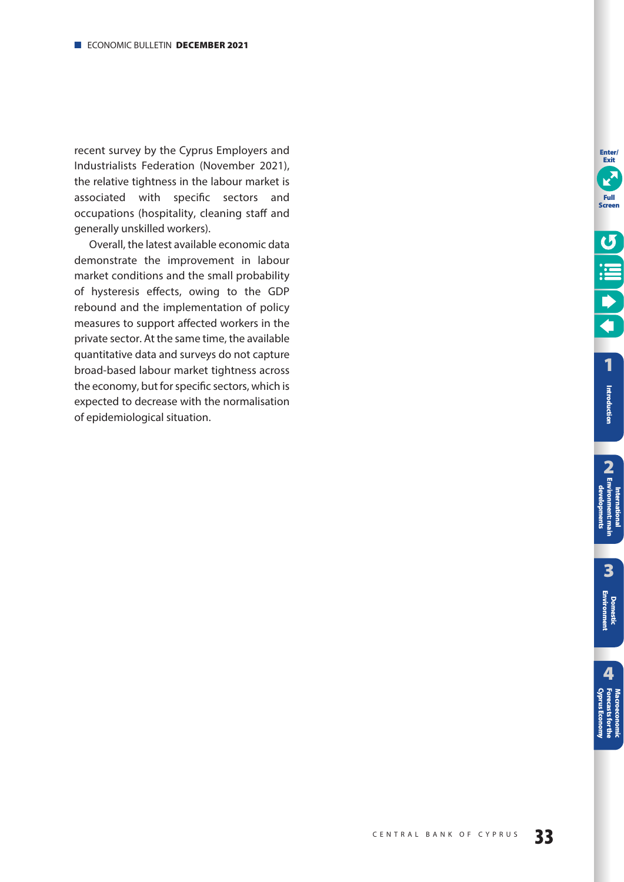recent survey by the Cyprus Employers and Industrialists Federation (November 2021), the relative tightness in the labour market is associated with specific sectors and occupations (hospitality, cleaning staff and generally unskilled workers).

Overall, the latest available economic data demonstrate the improvement in labour market conditions and the small probability of hysteresis effects, owing to the GDP rebound and the implementation of policy measures to support affected workers in the private sector. At the same time, the available quantitative data and surveys do not capture broad-based labour market tightness across the economy, but for specific sectors, which is expected to decrease with the normalisation of epidemiological situation.

**Enter/ Exit**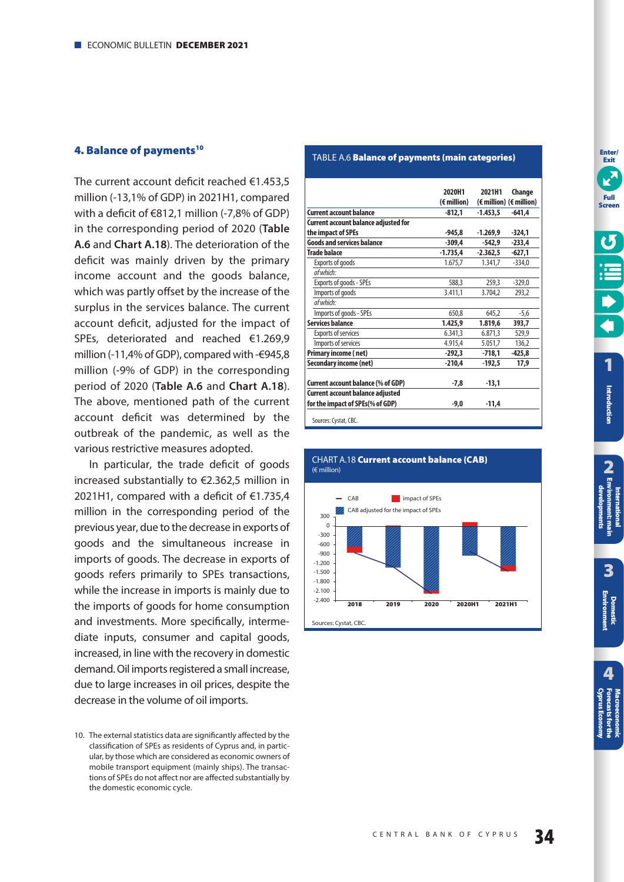### <span id="page-33-0"></span>**4. Balance of payments<sup>10</sup>**

The current account deficit reached €1.453,5 million (-13,1% of GDP) in 2021H1, compared with a deficit of €812,1 million (-7,8% of GDP) in the corresponding period of 2020 (**Table A.6** and **Chart A.18**). The deterioration of the deficit was mainly driven by the primary income account and the goods balance, which was partly offset by the increase of the surplus in the services balance. The current account deficit, adjusted for the impact of SPEs, deteriorated and reached €1.269,9 million (-11,4% of GDP), compared with -€945,8 million (-9% of GDP) in the corresponding period of 2020 (**Table A.6** and **Chart A.18**). The above, mentioned path of the current account deficit was determined by the outbreak of the pandemic, as well as the various restrictive measures adopted.

In particular, the trade deficit of goods increased substantially to €2.362,5 million in 2021H1, compared with a deficit of  $\epsilon$ 1.735,4 million in the corresponding period of the previous year, due to the decrease in exports of goods and the simultaneous increase in imports of goods. The decrease in exports of goods refers primarily to SPEs transactions, while the increase in imports is mainly due to the imports of goods for home consumption and investments. More specifically, intermediate inputs, consumer and capital goods, increased, in line with the recovery in domestic demand. Oil imports registered a small increase, due to large increases in oil prices, despite the decrease in the volume of oil imports.

## TABLE A.6 **Balance of payments (main categories)**

|                                         | 2020H1      | 2021H1     | Change                                             |
|-----------------------------------------|-------------|------------|----------------------------------------------------|
|                                         | (€ million) |            | $(\epsilon \text{ million})$ ( $\epsilon$ million) |
| <b>Current account balance</b>          | $-812.1$    | $-1.453.5$ | $-641.4$                                           |
| Current account balance adjusted for    |             |            |                                                    |
| the impact of SPEs                      | -945.8      | $-1.269.9$ | $-324.1$                                           |
| <b>Goods and services balance</b>       | $-309.4$    | -542.9     | $-233,4$                                           |
| <b>Trade balace</b>                     | $-1.735,4$  | $-2.362.5$ | $-627,1$                                           |
| <b>Exports of goods</b>                 | 1.675,7     | 1.341,7    | $-334,0$                                           |
| of which:                               |             |            |                                                    |
| Exports of goods - SPEs                 | 588.3       | 259.3      | $-329.0$                                           |
| Imports of goods                        | 3.411.1     | 3.704.2    | 293.2                                              |
| of which:                               |             |            |                                                    |
| Imports of goods - SPEs                 | 650.8       | 645.2      | $-5,6$                                             |
| <b>Services balance</b>                 | 1.425,9     | 1.819,6    | 393,7                                              |
| <b>Exports of services</b>              | 6.341,3     | 6.871,3    | 529,9                                              |
| Imports of services                     | 4.915,4     | 5.051,7    | 136,2                                              |
| Primary income (net)                    | $-292,3$    | $-718,1$   | $-425,8$                                           |
| Secondary income (net)                  | $-210,4$    | $-192.5$   | 17,9                                               |
|                                         |             |            |                                                    |
| Current account balance (% of GDP)      | -7.8        | $-13.1$    |                                                    |
| <b>Current account balance adjusted</b> |             |            |                                                    |
| for the impact of SPEs(% of GDP)        | -9,0        | $-11.4$    |                                                    |
| Sources: Cystat, CBC.                   |             |            |                                                    |





<sup>10.</sup> The external statistics data are significantly affected by the classification of SPEs as residents of Cyprus and, in particular, by those which are considered as economic owners of mobile transport equipment (mainly ships). The transactions of SPEs do not affect nor are affected substantially by the domestic economic cycle.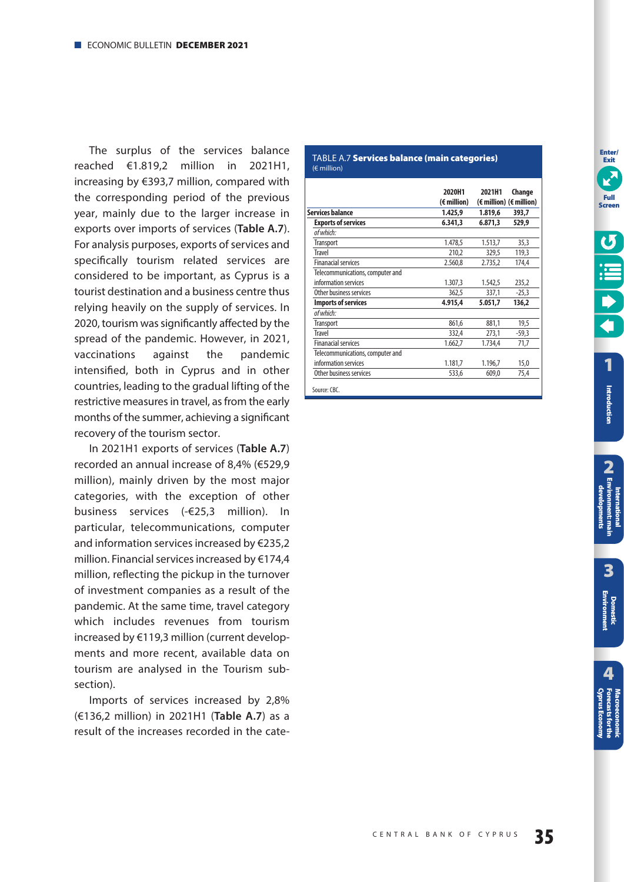<span id="page-34-0"></span>The surplus of the services balance reached €1.819,2 million in 2021H1, increasing by €393,7 million, compared with the corresponding period of the previous year, mainly due to the larger increase in exports over imports of services (**Table A.7**). For analysis purposes, exports of services and specifically tourism related services are considered to be important, as Cyprus is a tourist destination and a business centre thus relying heavily on the supply of services. In 2020, tourism was significantly affected by the spread of the pandemic. However, in 2021, vaccinations against the pandemic intensified, both in Cyprus and in other countries, leading to the gradual lifting of the restrictive measures in travel, as from the early months of the summer, achieving a significant recovery of the tourism sector.

Ιn 2021H1 exports of services (**Table A.7**) recorded an annual increase of 8,4% (€529,9 million), mainly driven by the most major categories, with the exception of other business services (-€25,3 million). In particular, telecommunications, computer and information services increased by  $E$ 235,2 million. Financial services increased by €174,4 million, reflecting the pickup in the turnover of investment companies as a result of the pandemic. At the same time, travel category which includes revenues from tourism increased by  $€119,3$  million (current developments and more recent, available data on tourism are analysed in the Tourism subsection).

Imports of services increased by 2,8% (€136,2 million) in 2021H1 (**Table A.7**) as a result of the increases recorded in the cate-

#### TABLE A.7 **Services balance (main categories)**  (€ million)

|                                  | 2020H1      | 2021H1  | Change                  |
|----------------------------------|-------------|---------|-------------------------|
|                                  | (€ million) |         | (€ million) (€ million) |
| <b>Services balance</b>          | 1.425.9     | 1.819,6 | 393,7                   |
| <b>Exports of services</b>       | 6.341,3     | 6.871,3 | 529.9                   |
| of which:                        |             |         |                         |
| <b>Transport</b>                 | 1.478,5     | 1.513,7 | 35,3                    |
| <b>Travel</b>                    | 210,2       | 329,5   | 119,3                   |
| <b>Finanacial services</b>       | 2.560,8     | 2.735,2 | 174,4                   |
| Telecommunications, computer and |             |         |                         |
| information services             | 1.307,3     | 1.542,5 | 235,2                   |
| Other business services          | 362,5       | 337,1   | $-25,3$                 |
| <b>Imports of services</b>       | 4.915,4     | 5.051,7 | 136,2                   |
| of which:                        |             |         |                         |
| <b>Transport</b>                 | 861,6       | 881,1   | 19,5                    |
| <b>Travel</b>                    | 332,4       | 273,1   | $-59.3$                 |
| <b>Finanacial services</b>       | 1.662,7     | 1.734,4 | 71,7                    |
| Telecommunications, computer and |             |         |                         |
| information services             | 1.181,7     | 1.196,7 | 15,0                    |
| Other business services          | 533,6       | 609,0   | 75,4                    |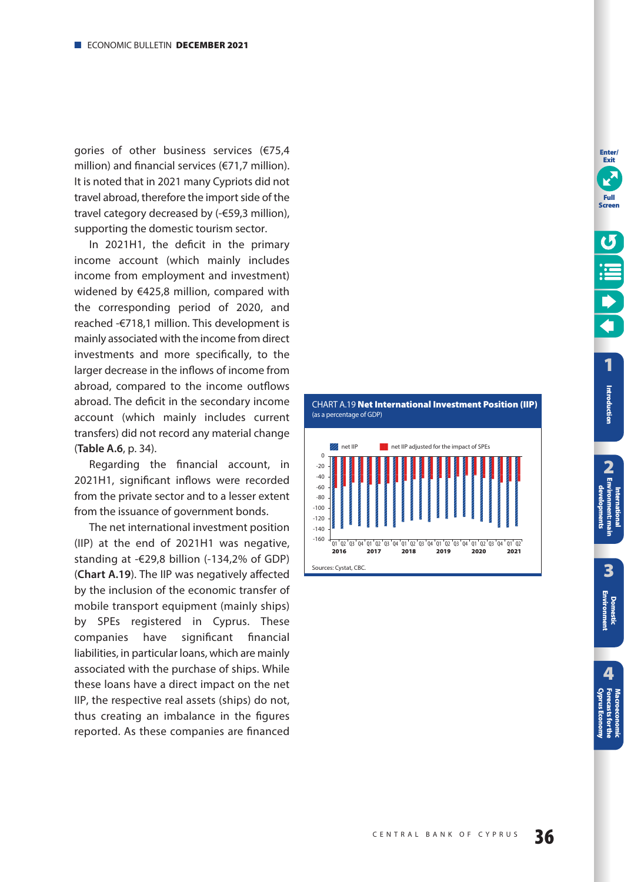<span id="page-35-0"></span>gories of other business services (€75,4 million) and financial services (€71,7 million). It is noted that in 2021 many Cypriots did not travel abroad, therefore the import side of the travel category decreased by (-€59,3 million), supporting the domestic tourism sector.

In 2021H1, the deficit in the primary income account (which mainly includes income from employment and investment) widened by €425,8 million, compared with the corresponding period of 2020, and reached -€718,1 million. This development is mainly associated with the income from direct investments and more specifically, to the larger decrease in the inflows of income from abroad, compared to the income outflows abroad. The deficit in the secondary income account (which mainly includes current transfers) did not record any material change (**Table A.6**, [p. 34\)](#page-33-0).

Regarding the financial account, in 2021H1, significant inflows were recorded from the private sector and to a lesser extent from the issuance of government bonds.

The net international investment position (IIP) at the end of 2021H1 was negative, standing at -€29,8 billion (-134,2% of GDP) (**Chart A.19**). The IIP was negatively affected by the inclusion of the economic transfer of mobile transport equipment (mainly ships) by SPEs registered in Cyprus. These companies have significant financial liabilities, in particular loans, which are mainly associated with the purchase of ships. While these loans have a direct impact on the net IIP, the respective real assets (ships) do not, thus creating an imbalance in the figures reported. As these companies are financed



**Enter/ Exit**

**Full Screen**

**Introduction**

Introduction

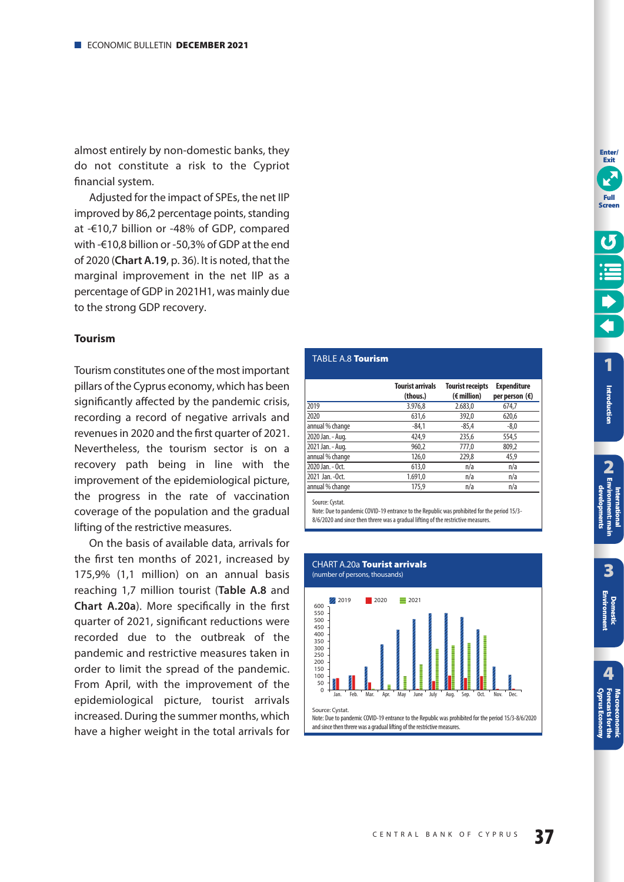<span id="page-36-0"></span>almost entirely by non-domestic banks, they do not constitute a risk to the Cypriot financial system.

Adjusted for the impact of SPEs, the net IIP improved by 86,2 percentage points, standing at -€10,7 billion or -48% of GDP, compared with -€10,8 billion or -50,3% of GDP at the end of 2020 (**Chart A.19**, [p. 36\)](#page-35-0). It is noted, that the marginal improvement in the net IIP as a percentage of GDP in 2021H1, was mainly due to the strong GDP recovery.

## **Tourism**

Tourism constitutes one of the most important pillars of the Cyprus economy, which has been significantly affected by the pandemic crisis, recording a record of negative arrivals and revenues in 2020 and the first quarter of 2021. Nevertheless, the tourism sector is on a recovery path being in line with the improvement of the epidemiological picture, the progress in the rate of vaccination coverage of the population and the gradual lifting of the restrictive measures.

On the basis of available data, arrivals for the first ten months of 2021, increased by 175,9% (1,1 million) on an annual basis reaching 1,7 million tourist (**Table A.8** and **Chart A.20a**). More specifically in the first quarter of 2021, significant reductions were recorded due to the outbreak of the pandemic and restrictive measures taken in order to limit the spread of the pandemic. From April, with the improvement of the epidemiological picture, tourist arrivals increased. During the summer months, which have a higher weight in the total arrivals for

# TABLE A.8 **Tourism**

|                  | <b>Tourist arrivals</b><br>(thous.) | <b>Tourist receipts</b><br>$(\epsilon$ million) | <b>Expenditure</b><br>per person $(\epsilon)$ |
|------------------|-------------------------------------|-------------------------------------------------|-----------------------------------------------|
| 2019             | 3.976.8                             | 2.683.0                                         | 674,7                                         |
| 2020             | 631,6                               | 392,0                                           | 620,6                                         |
| annual % change  | $-84,1$                             | $-85,4$                                         | $-8,0$                                        |
| 2020 Jan. - Aug. | 424.9                               | 235,6                                           | 554,5                                         |
| 2021 Jan. - Aug. | 960,2                               | 777,0                                           | 809,2                                         |
| annual % change  | 126,0                               | 229,8                                           | 45,9                                          |
| 2020 Jan. - Oct. | 613,0                               | n/a                                             | n/a                                           |
| 2021 Jan. - Oct. | 1.691,0                             | n/a                                             | n/a                                           |
| annual % change  | 175,9                               | n/a                                             | n/a                                           |

Source: Cystat.

Note: Due to pandemic COVID-19 entrance to the Republic was prohibited for the period 15/3- 8/6/2020 and since then threre was a gradual lifting of the restrictive measures.



**[Cyprus Economy](#page-51-0) Forecasts for the Macroeconomic** 

**International** 

**3**

**[Domestic Environment](#page-17-0)**

**[1](#page-7-0)**

**Enter/ Exit**

**Full Screen**

**Introduction**

Introduction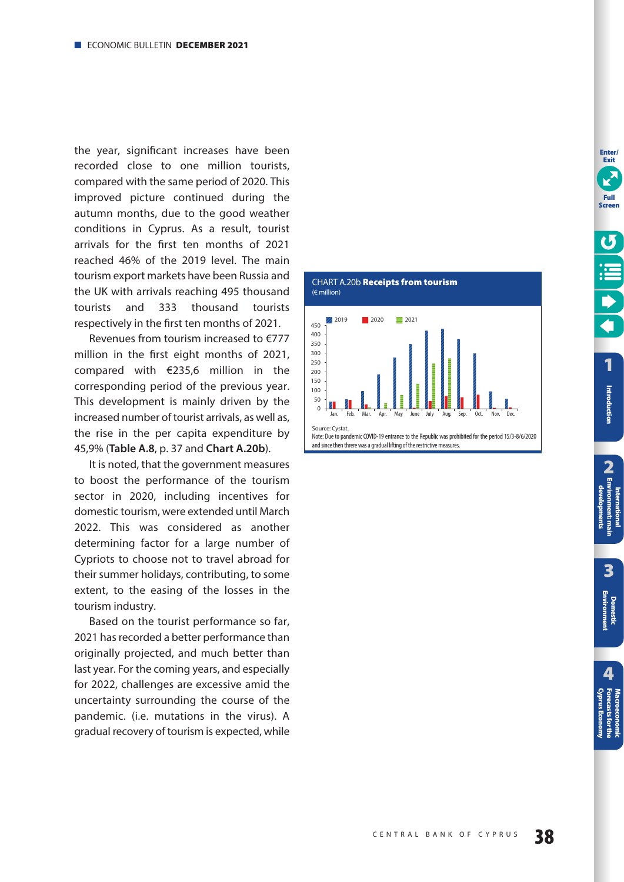<span id="page-37-0"></span>the year, significant increases have been recorded close to one million tourists, compared with the same period of 2020. This improved picture continued during the autumn months, due to the good weather conditions in Cyprus. As a result, tourist arrivals for the first ten months of 2021 reached 46% of the 2019 level. The main tourism export markets have been Russia and the UK with arrivals reaching 495 thousand tourists and 333 thousand tourists respectively in the first ten months of 2021.

Revenues from tourism increased to €777 million in the first eight months of 2021, compared with €235,6 million in the corresponding period of the previous year. This development is mainly driven by the increased number of tourist arrivals, as well as, the rise in the per capita expenditure by 45,9% (**Table A.8**, [p. 37](#page-36-0) and **Chart A.20b**).

It is noted, that the government measures to boost the performance of the tourism sector in 2020, including incentives for domestic tourism, were extended until March 2022. This was considered as another determining factor for a large number of Cypriots to choose not to travel abroad for their summer holidays, contributing, to some extent, to the easing of the losses in the tourism industry.

Based on the tourist performance so far, 2021 has recorded a better performance than originally projected, and much better than last year. For the coming years, and especially for 2022, challenges are excessive amid the uncertainty surrounding the course of the pandemic. (i.e. mutations in the virus). A gradual recovery of tourism is expected, while



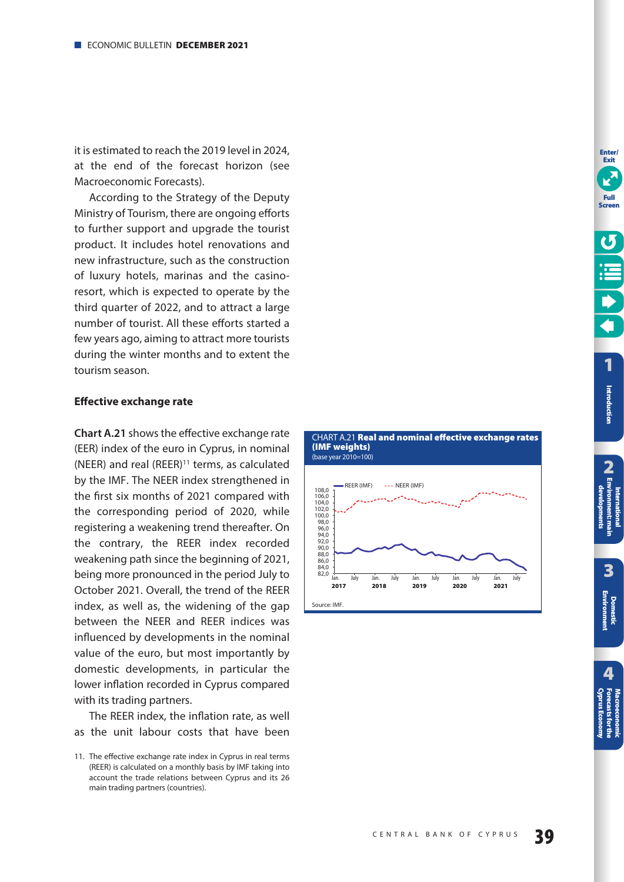<span id="page-38-0"></span>it is estimated to reach the 2019 level in 2024, at the end of the forecast horizon (see Macroeconomic Forecasts).

According to the Strategy of the Deputy Ministry of Tourism, there are ongoing efforts to further support and upgrade the tourist product. It includes hotel renovations and new infrastructure, such as the construction of luxury hotels, marinas and the casinoresort, which is expected to operate by the third quarter of 2022, and to attract a large number of tourist. All these efforts started a few years ago, aiming to attract more tourists during the winter months and to extent the tourism season.

## **Effective exchange rate**

**Chart A.21** shows the effective exchange rate (EER) index of the euro in Cyprus, in nominal (NEER) and real (REER) $11$  terms, as calculated by the IMF. The NEER index strengthened in the first six months of 2021 compared with the corresponding period of 2020, while registering a weakening trend thereafter. On the contrary, the REER index recorded weakening path since the beginning of 2021, being more pronounced in the period July to October 2021. Overall, the trend of the REER index, as well as, the widening of the gap between the NEER and REER indices was influenced by developments in the nominal value of the euro, but most importantly by domestic developments, in particular the lower inflation recorded in Cyprus compared with its trading partners.

The REER index, the inflation rate, as well as the unit labour costs that have been







**[1](#page-7-0)**

**Enter/ Exit**

**Full Screen**

**Introduction**

Introduction

<sup>11.</sup> The effective exchange rate index in Cyprus in real terms (REER) is calculated on a monthly basis by IMF taking into account the trade relations between Cyprus and its 26 main trading partners (countries).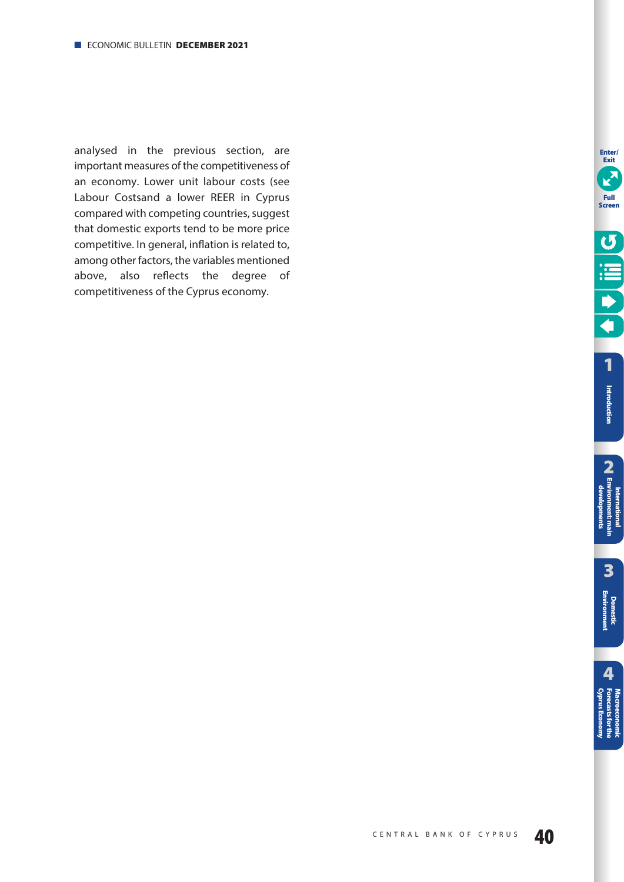analysed in the previous section, are important measures of the competitiveness of an economy. Lower unit labour costs (see Labour Costsand a lower REER in Cyprus compared with competing countries, suggest that domestic exports tend to be more price competitive. In general, inflation is related to, among other factors, the variables mentioned above, also reflects the degree of competitiveness of the Cyprus economy.

**Enter/ Exit**

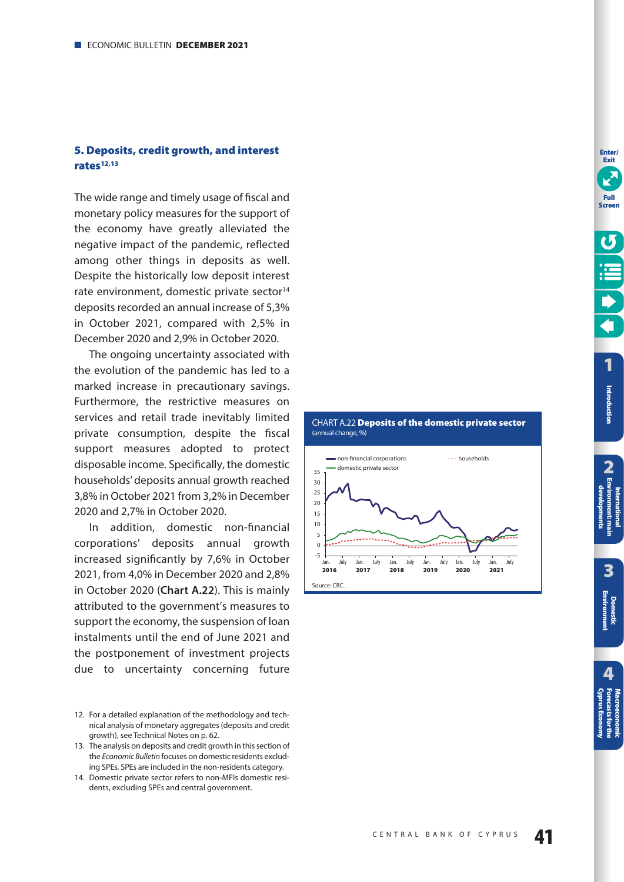# <span id="page-40-0"></span>**5. Deposits, credit growth, and interest rates12,13**

The wide range and timely usage of fiscal and monetary policy measures for the support of the economy have greatly alleviated the negative impact of the pandemic, reflected among other things in deposits as well. Despite the historically low deposit interest rate environment, domestic private sector<sup>14</sup> deposits recorded an annual increase of 5,3% in October 2021, compared with 2,5% in December 2020 and 2,9% in October 2020.

The ongoing uncertainty associated with the evolution of the pandemic has led to a marked increase in precautionary savings. Furthermore, the restrictive measures on services and retail trade inevitably limited private consumption, despite the fiscal support measures adopted to protect disposable income. Specifically, the domestic households' deposits annual growth reached 3,8% in October 2021 from 3,2% in December 2020 and 2,7% in October 2020.

In addition, domestic non-financial corporations' deposits annual growth increased significantly by 7,6% in October 2021, from 4,0% in December 2020 and 2,8% in October 2020 (**Chart A.22**). This is mainly attributed to the government's measures to support the economy, the suspension of loan instalments until the end of June 2021 and the postponement of investment projects due to uncertainty concerning future

14. Domestic private sector refers to non-MFIs domestic residents, excluding SPEs and central government.



#### CHART A.22 **Deposits of the domestic private sector**  (annual change, %)

<sup>12.</sup> For a detailed explanation of the methodology and technical analysis of monetary aggregates (deposits and credit growth), see Technical Notes on [p. 62.](#page-61-0)

<sup>13.</sup> The analysis on deposits and credit growth in this section of the Economic Bulletin focuses on domestic residents excluding SPEs. SPEs are included in the non-residents category.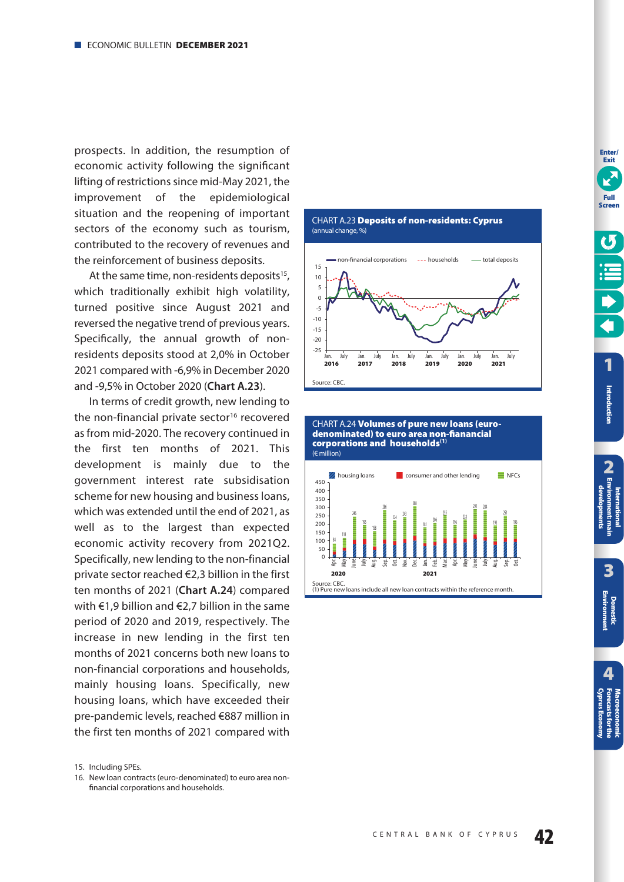<span id="page-41-0"></span>prospects. In addition, the resumption of economic activity following the significant lifting of restrictions since mid-May 2021, the improvement of the epidemiological situation and the reopening of important sectors of the economy such as tourism, contributed to the recovery of revenues and the reinforcement of business deposits.

At the same time, non-residents deposits $15$ , which traditionally exhibit high volatility, turned positive since August 2021 and reversed the negative trend of previous years. Specifically, the annual growth of nonresidents deposits stood at 2,0% in October 2021 compared with -6,9% in December 2020 and -9,5% in October 2020 (**Chart A.23**).

In terms of credit growth, new lending to the non-financial private sector<sup>16</sup> recovered as from mid-2020. The recovery continued in the first ten months of 2021. This development is mainly due to the government interest rate subsidisation scheme for new housing and business loans, which was extended until the end of 2021, as well as to the largest than expected economic activity recovery from 2021Q2. Specifically, new lending to the non-financial private sector reached €2,3 billion in the first ten months of 2021 (**Chart A.24**) compared with €1,9 billion and €2,7 billion in the same period of 2020 and 2019, respectively. The increase in new lending in the first ten months of 2021 concerns both new loans to non-financial corporations and households, mainly housing loans. Specifically, new housing loans, which have exceeded their pre-pandemic levels, reached €887 million in the first ten months of 2021 compared with

16. New loan contracts (euro-denominated) to euro area nonfinancial corporations and households.



CHART Α.24 **Volumes of pure new loans (eurodenominated) to euro area non-fianancial corporations and households(1)** (€ million)



**Enter/ Exit**

<sup>15.</sup> Including SPEs.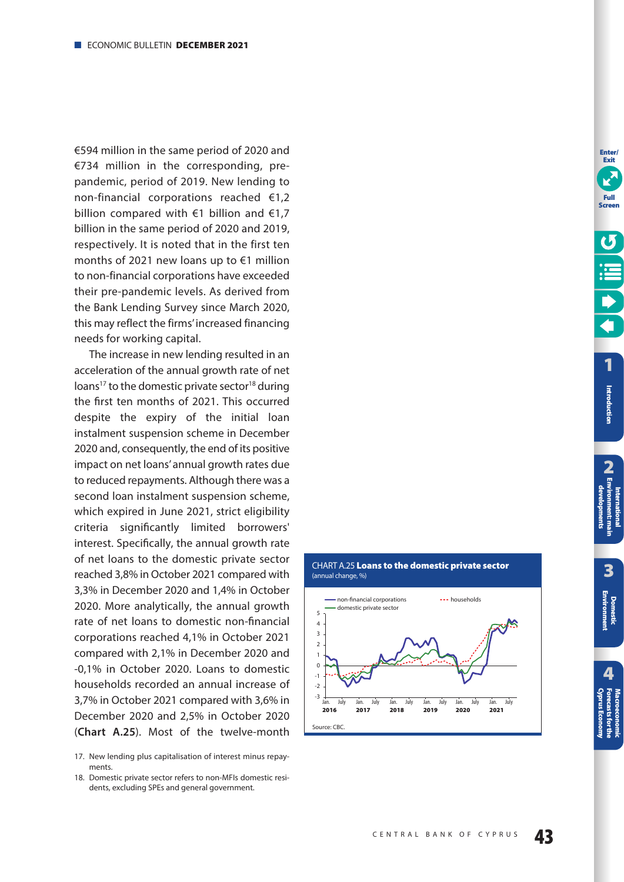<span id="page-42-0"></span>€594 million in the same period of 2020 and €734 million in the corresponding, prepandemic, period of 2019. New lending to non-financial corporations reached €1,2 billion compared with €1 billion and €1,7 billion in the same period of 2020 and 2019, respectively. It is noted that in the first ten months of 2021 new loans up to €1 million to non-financial corporations have exceeded their pre-pandemic levels. As derived from the Bank Lending Survey since March 2020, this may reflect the firms' increased financing needs for working capital.

The increase in new lending resulted in an acceleration of the annual growth rate of net loans<sup>17</sup> to the domestic private sector<sup>18</sup> during the first ten months of 2021. This occurred despite the expiry of the initial loan instalment suspension scheme in December 2020 and, consequently, the end of its positive impact on net loans' annual growth rates due to reduced repayments. Although there was a second loan instalment suspension scheme, which expired in June 2021, strict eligibility criteria significantly limited borrowers' interest. Specifically, the annual growth rate of net loans to the domestic private sector reached 3,8% in October 2021 compared with 3,3% in December 2020 and 1,4% in October 2020. More analytically, the annual growth rate of net loans to domestic non-financial corporations reached 4,1% in October 2021 compared with 2,1% in December 2020 and -0,1% in October 2020. Loans to domestic households recorded an annual increase of 3,7% in October 2021 compared with 3,6% in December 2020 and 2,5% in October 2020 (**Chart A.25**). Most of the twelve-month

<sup>18.</sup> Domestic private sector refers to non-MFIs domestic residents, excluding SPEs and general government.





**Enter/** 

<sup>17.</sup> New lending plus capitalisation of interest minus repayments.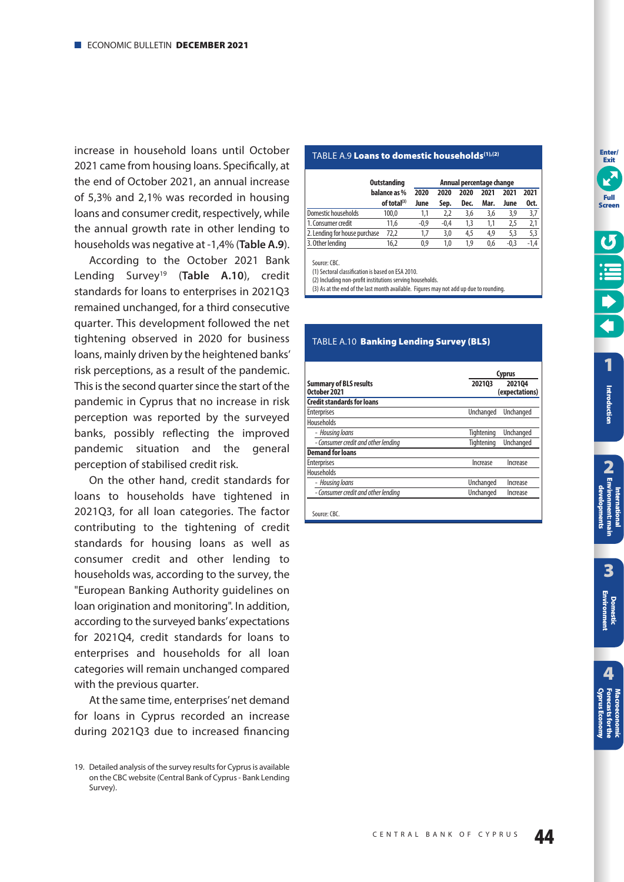<span id="page-43-0"></span>increase in household loans until October 2021 came from housing loans. Specifically, at the end of October 2021, an annual increase of 5,3% and 2,1% was recorded in housing loans and consumer credit, respectively, while the annual growth rate in other lending to households was negative at -1,4% (**Table A.9**).

According to the October 2021 Bank Lending Survey19 (**Table A.10**), credit standards for loans to enterprises in 2021Q3 remained unchanged, for a third consecutive quarter. This development followed the net tightening observed in 2020 for business loans, mainly driven by the heightened banks' risk perceptions, as a result of the pandemic. This is the second quarter since the start of the pandemic in Cyprus that no increase in risk perception was reported by the surveyed banks, possibly reflecting the improved pandemic situation and the general perception of stabilised credit risk.

On the other hand, credit standards for loans to households have tightened in 2021Q3, for all loan categories. The factor contributing to the tightening of credit standards for housing loans as well as consumer credit and other lending to households was, according to the survey, the "European Banking Authority guidelines on loan origination and monitoring". In addition, according to the surveyed banks' expectations for 2021Q4, credit standards for loans to enterprises and households for all loan categories will remain unchanged compared with the previous quarter.

At the same time, enterprises' net demand for loans in Cyprus recorded an increase during 2021Q3 due to increased financing

## TABLE A.9 **Loans to domestic households(1),(2)**

|                               | <b>Outstanding</b>      | Annual percentage change |      |      |      |        |      |
|-------------------------------|-------------------------|--------------------------|------|------|------|--------|------|
|                               | balance as %            | 2020                     | 2020 | 2020 | 2021 | 2021   | 2021 |
|                               | of total <sup>(3)</sup> | June                     | Sep. | Dec. | Mar. | June   | Oct. |
| Domestic households           | 100.0                   | 1.1                      | 2.2  | 3.6  | 3,6  | 3.9    | 3,7  |
| 1. Consumer credit            | 11.6                    | $-0.9$                   | -0.4 | 1.3  | 1.1  | 2.5    | 2.1  |
| 2. Lending for house purchase | 72,2                    | 1.7                      | 3,0  | 4,5  | 4,9  | 5.3    | 5.3  |
| 3. Other lending              | 16.2                    | 0.9                      | 1.0  | 1.9  | 0.6  | $-0.3$ | -1.4 |

Source: CBC.

(1) Sectoral classification is based on ESA 2010.

(2) Including non-profit institutions serving households.

(3) As at the end of the last month available. Figures may not add up due to rounding.

|                                               |                  | <b>Cyprus</b>            |
|-----------------------------------------------|------------------|--------------------------|
| <b>Summary of BLS results</b><br>October 2021 | 202103           | 202104<br>(expectations) |
| <b>Credit standards for loans</b>             |                  |                          |
| <b>Enterprises</b>                            | <b>Unchanged</b> | <b>Unchanged</b>         |
| Households                                    |                  |                          |
| - Housing loans                               | Tightening       | <b>Unchanged</b>         |
| - Consumer credit and other lending           | Tightening       | <b>Unchanged</b>         |
| <b>Demand for loans</b>                       |                  |                          |
| <b>Enterprises</b>                            | Increase         | Increase                 |
| Households                                    |                  |                          |
| - Housing loans                               | Unchanged        | Increase                 |
| - Consumer credit and other lending           | Unchanged        | Increase                 |

Πίνακας A.6 **Επιτόκια νέων καταθέσεων σε ευρώ σε TABLE A.10 <b>Banking Lending Survey (BLS)**  **Enter/** 

<sup>19.</sup> Detailed analysis of the survey results for Cyprus is available on the CBC website (Central Bank of Cyprus - Bank Lending Survey).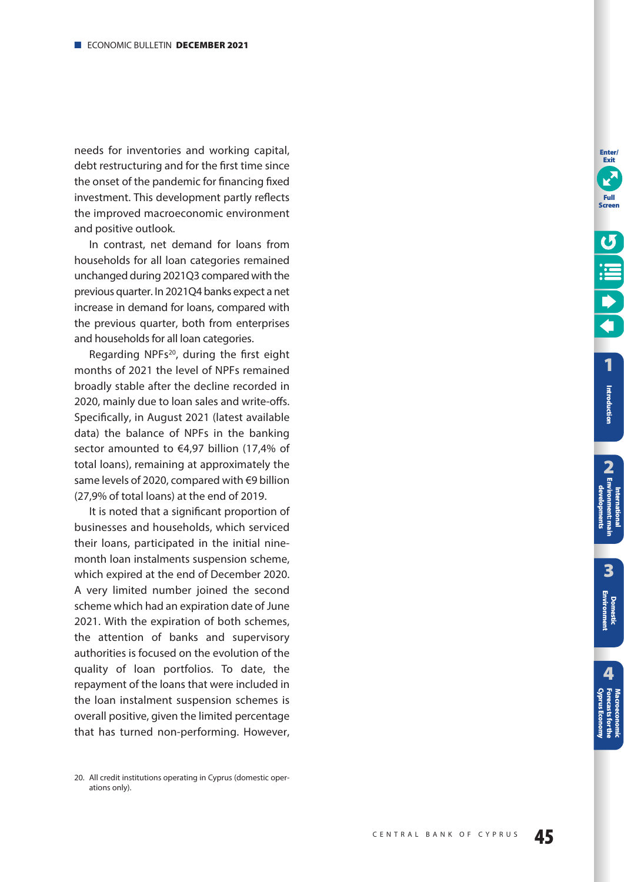needs for inventories and working capital, debt restructuring and for the first time since the onset of the pandemic for financing fixed investment. This development partly reflects the improved macroeconomic environment and positive outlook.

In contrast, net demand for loans from households for all loan categories remained unchanged during 2021Q3 compared with the previous quarter. In 2021Q4 banks expect a net increase in demand for loans, compared with the previous quarter, both from enterprises and households for all loan categories.

Regarding NPFs<sup>20</sup>, during the first eight months of 2021 the level of NPFs remained broadly stable after the decline recorded in 2020, mainly due to loan sales and write-offs. Specifically, in August 2021 (latest available data) the balance of NPFs in the banking sector amounted to €4,97 billion (17,4% of total loans), remaining at approximately the same levels of 2020, compared with €9 billion (27,9% of total loans) at the end of 2019.

It is noted that a significant proportion of businesses and households, which serviced their loans, participated in the initial ninemonth loan instalments suspension scheme, which expired at the end of December 2020. A very limited number joined the second scheme which had an expiration date of June 2021. With the expiration of both schemes, the attention of banks and supervisory authorities is focused on the evolution of the quality of loan portfolios. To date, the repayment of the loans that were included in the loan instalment suspension schemes is overall positive, given the limited percentage that has turned non-performing. However,



**Enter/ Exit**

<sup>20.</sup> All credit institutions operating in Cyprus (domestic operations only).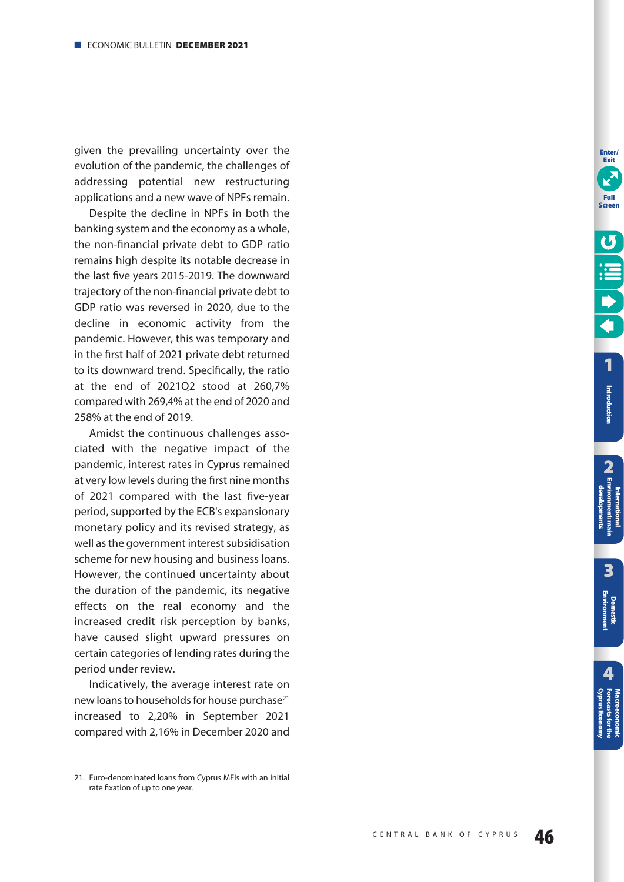given the prevailing uncertainty over the evolution of the pandemic, the challenges of addressing potential new restructuring applications and a new wave of NPFs remain.

Despite the decline in NPFs in both the banking system and the economy as a whole, the non-financial private debt to GDP ratio remains high despite its notable decrease in the last five years 2015-2019. The downward trajectory of the non-financial private debt to GDP ratio was reversed in 2020, due to the decline in economic activity from the pandemic. However, this was temporary and in the first half of 2021 private debt returned to its downward trend. Specifically, the ratio at the end of 2021Q2 stood at 260,7% compared with 269,4% at the end of 2020 and 258% at the end of 2019.

Amidst the continuous challenges associated with the negative impact of the pandemic, interest rates in Cyprus remained at very low levels during the first nine months of 2021 compared with the last five-year period, supported by the ECB's expansionary monetary policy and its revised strategy, as well as the government interest subsidisation scheme for new housing and business loans. However, the continued uncertainty about the duration of the pandemic, its negative effects on the real economy and the increased credit risk perception by banks, have caused slight upward pressures on certain categories of lending rates during the period under review.

Indicatively, the average interest rate on new loans to households for house purchase<sup>21</sup> increased to 2,20% in September 2021 compared with 2,16% in December 2020 and

**[1](#page-7-0)Full Screen**

**Enter/ Exit**

<sup>21.</sup> Euro-denominated loans from Cyprus MFIs with an initial rate fixation of up to one year.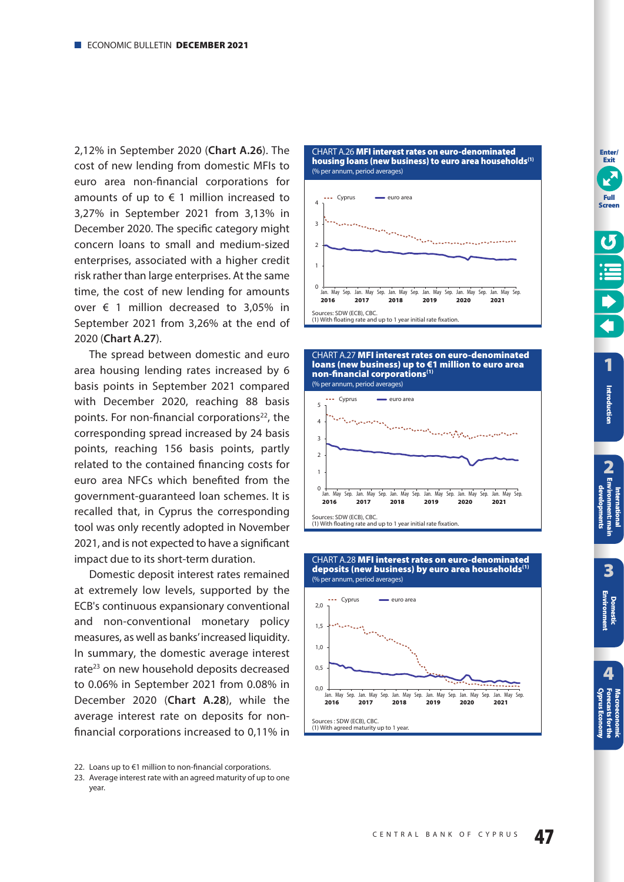<span id="page-46-0"></span>2,12% in September 2020 (**Chart A.26**). The cost of new lending from domestic MFIs to euro area non-financial corporations for amounts of up to  $\epsilon$  1 million increased to 3,27% in September 2021 from 3,13% in December 2020. The specific category might concern loans to small and medium-sized enterprises, associated with a higher credit risk rather than large enterprises. At the same time, the cost of new lending for amounts over € 1 million decreased to 3,05% in September 2021 from 3,26% at the end of 2020 (**Chart A.27**).

The spread between domestic and euro area housing lending rates increased by 6 basis points in September 2021 compared with December 2020, reaching 88 basis points. For non-financial corporations<sup>22</sup>, the corresponding spread increased by 24 basis points, reaching 156 basis points, partly related to the contained financing costs for euro area NFCs which benefited from the government-guaranteed loan schemes. It is recalled that, in Cyprus the corresponding tool was only recently adopted in November 2021, and is not expected to have a significant impact due to its short-term duration.

Domestic deposit interest rates remained at extremely low levels, supported by the ECB's continuous expansionary conventional and non-conventional monetary policy measures, as well as banks' increased liquidity. In summary, the domestic average interest rate<sup>23</sup> on new household deposits decreased to 0.06% in September 2021 from 0.08% in December 2020 (**Chart A.28**), while the average interest rate on deposits for nonfinancial corporations increased to 0,11% in



<sup>23.</sup> Average interest rate with an agreed maturity of up to one year.







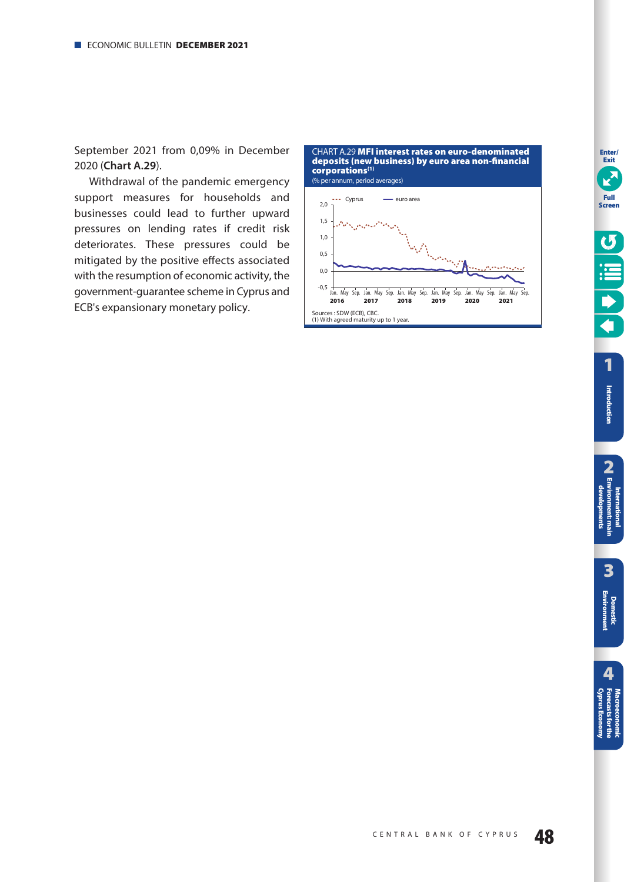<span id="page-47-0"></span>September 2021 from 0,09% in December 2020 (**Chart A.29**).

Withdrawal of the pandemic emergency support measures for households and businesses could lead to further upward pressures on lending rates if credit risk deteriorates. These pressures could be mitigated by the positive effects associated with the resumption of economic activity, the government-guarantee scheme in Cyprus and ECB's expansionary monetary policy.

CHART Α.29 **MFI interest rates on euro-denominated deposits (new business) by euro area non-financial corporations(1)** (% per annum, period averages)



**Enter/ Exit**

E

**Full Screen**

 $\boldsymbol{\mathcal{G}}$ 

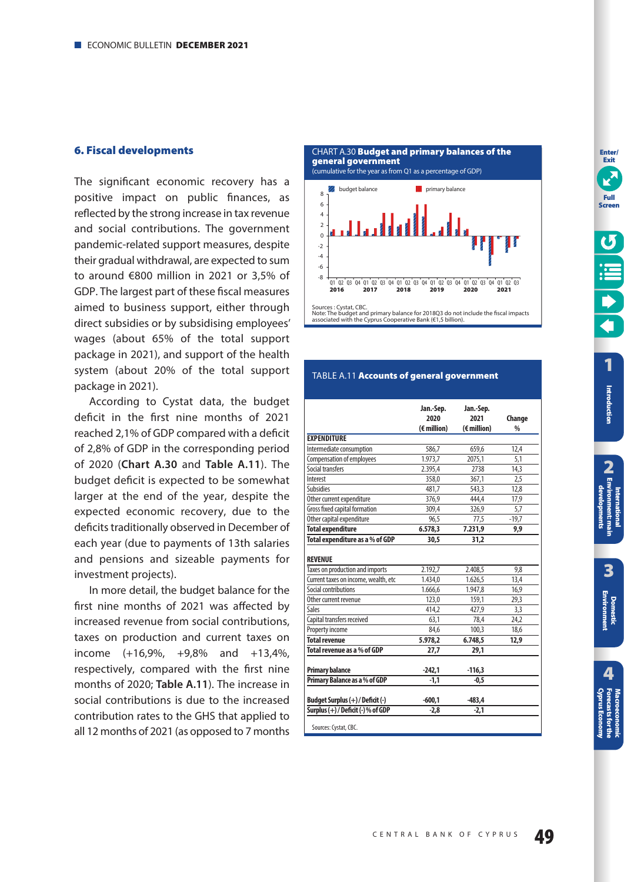### <span id="page-48-0"></span>**6. Fiscal developments**

The significant economic recovery has a positive impact on public finances, as reflected by the strong increase in tax revenue and social contributions. The government pandemic-related support measures, despite their gradual withdrawal, are expected to sum to around €800 million in 2021 or 3,5% of GDP. The largest part of these fiscal measures aimed to business support, either through direct subsidies or by subsidising employees' wages (about 65% of the total support package in 2021), and support of the health system (about 20% of the total support package in 2021).

According to Cystat data, the budget deficit in the first nine months of 2021 reached 2,1% of GDP compared with a deficit of 2,8% of GDP in the corresponding period of 2020 (**Chart A.30** and **Table A.11**). The budget deficit is expected to be somewhat larger at the end of the year, despite the expected economic recovery, due to the deficits traditionally observed in December of each year (due to payments of 13th salaries and pensions and sizeable payments for investment projects).

In more detail, the budget balance for the first nine months of 2021 was affected by increased revenue from social contributions, taxes on production and current taxes on income (+16,9%, +9,8% and +13,4%, respectively, compared with the first nine months of 2020; **Table A.11**). The increase in social contributions is due to the increased contribution rates to the GHS that applied to all 12 months of 2021 (as opposed to 7 months





# Note: The budget and primary balance for 2018Q3 do not include the fiscal impacts associated with the Cyprus Cooperative Bank (€1,5 billion).

#### TABLE A.11 **Accounts of general government**

|                                        | Jan.-Sep.<br>2020    | Jan.-Sep.<br>2021    | Change        |
|----------------------------------------|----------------------|----------------------|---------------|
|                                        | $(\epsilon$ million) | $(\epsilon$ million) | $\frac{0}{0}$ |
| <b>EXPENDITURE</b>                     |                      |                      |               |
| Intermediate consumption               | 586,7                | 659,6                | 12,4          |
| <b>Compensation of employees</b>       | 1.973.7              | 2075,1               | 5,1           |
| Social transfers                       | 2.395,4              | 2738                 | 14,3          |
| Interest                               | 358,0                | 367,1                | 2,5           |
| Subsidies                              | 481,7                | 543,3                | 12,8          |
| Other current expenditure              | 376,9                | 444,4                | 17,9          |
| Gross fixed capital formation          | 309,4                | 326,9                | 5,7           |
| Other capital expenditure              | 96,5                 | 77,5                 | $-19,7$       |
| <b>Total expenditure</b>               | 6.578,3              | 7.231,9              | 9,9           |
| Total expenditure as a % of GDP        | 30,5                 | 31,2                 |               |
| <b>REVENUE</b>                         |                      |                      |               |
| Taxes on production and imports        | 2.192,7              | 2.408,5              | 9,8           |
| Current taxes on income, wealth, etc   | 1.434,0              | 1.626,5              | 13,4          |
| Social contributions                   | 1.666,6              | 1.947,8              | 16,9          |
| Other current revenue                  | 123,0                | 159,1                | 29,3          |
| <b>Sales</b>                           | 414,2                | 427,9                | 3,3           |
| Capital transfers received             | 63,1                 | 78,4                 | 24,2          |
| Property income                        | 84,6                 | 100,3                | 18,6          |
| <b>Total revenue</b>                   | 5.978,2              | 6.748,5              | 12,9          |
| Total revenue as a % of GDP            | 27,7                 | 29,1                 |               |
| <b>Primary balance</b>                 | $-242,1$             | $-116,3$             |               |
| Primary Balance as a % of GDP          | $-1.1$               | $-0.5$               |               |
| Budget Surplus (+) / Deficit (-)       | $-600,1$             | $-483.4$             |               |
| Surplus $(+)$ / Deficit $(-)$ % of GDP | $-2,8$               | $-2,1$               |               |
| Sources: Cystat, CBC.                  |                      |                      |               |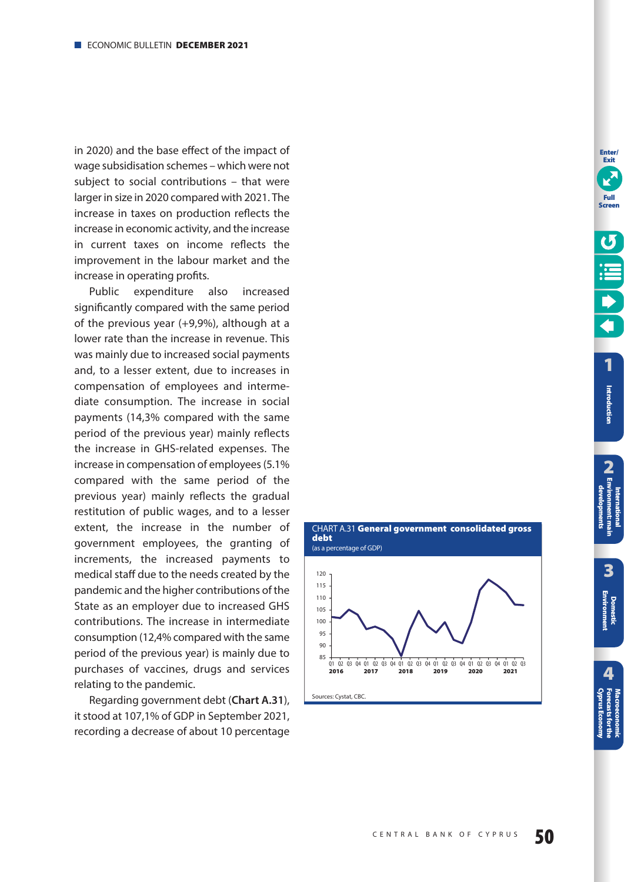<span id="page-49-0"></span>in 2020) and the base effect of the impact of wage subsidisation schemes – which were not subject to social contributions – that were larger in size in 2020 compared with 2021. The increase in taxes on production reflects the increase in economic activity, and the increase in current taxes on income reflects the improvement in the labour market and the increase in operating profits.

Public expenditure also increased significantly compared with the same period of the previous year (+9,9%), although at a lower rate than the increase in revenue. This was mainly due to increased social payments and, to a lesser extent, due to increases in compensation of employees and interme diate consumption. The increase in social payments (14,3% compared with the same period of the previous year) mainly reflects the increase in GHS-related expenses. The increase in compensation of employees (5.1% compared with the same period of the previous year) mainly reflects the gradual restitution of public wages, and to a lesser extent, the increase in the number of government employees, the granting of increments, the increased payments to medical staff due to the needs created by the pandemic and the higher contributions of the State as an employer due to increased GHS contributions. The increase in intermediate consumption (12,4% compared with the same period of the previous year) is mainly due to purchases of vaccines, drugs and services relating to the pandemic.

Regarding government debt (**Chart A.31**), it stood at 107,1% of GDP in September 2021, recording a decrease of about 10 percentage



**Full Screen**

**Enter/ Exit**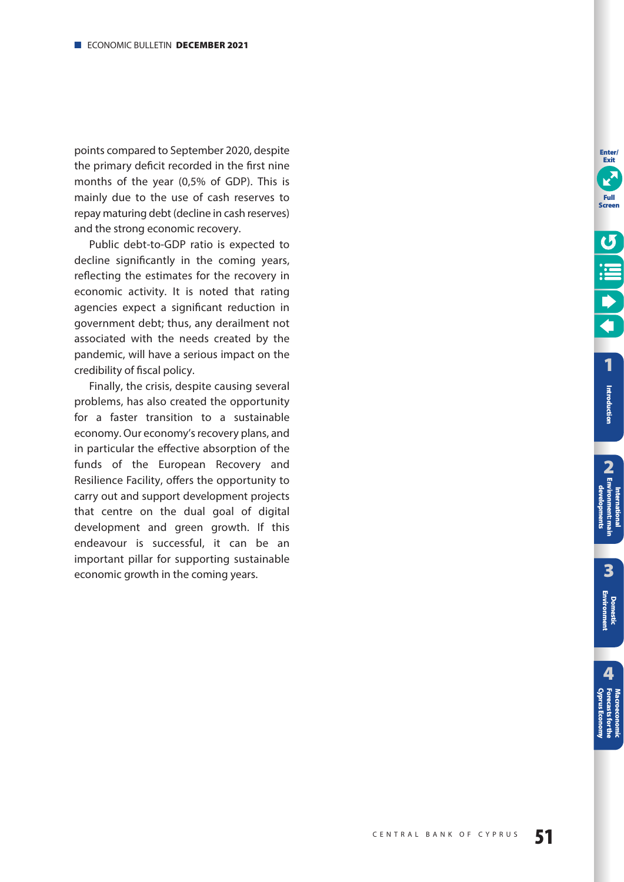points compared to September 2020, despite the primary deficit recorded in the first nine months of the year (0,5% of GDP). This is mainly due to the use of cash reserves to repay maturing debt (decline in cash reserves) and the strong economic recovery.

Public debt-to-GDP ratio is expected to decline significantly in the coming years, reflecting the estimates for the recovery in economic activity. It is noted that rating agencies expect a significant reduction in government debt; thus, any derailment not associated with the needs created by the pandemic, will have a serious impact on the credibility of fiscal policy.

Finally, the crisis, despite causing several problems, has also created the opportunity for a faster transition to a sustainable economy. Our economy's recovery plans, and in particular the effective absorption of the funds of the European Recovery and Resilience Facility, offers the opportunity to carry out and support development projects that centre on the dual goal of digital development and green growth. If this endeavour is successful, it can be an important pillar for supporting sustainable economic growth in the coming years.

**Enter/ Exit**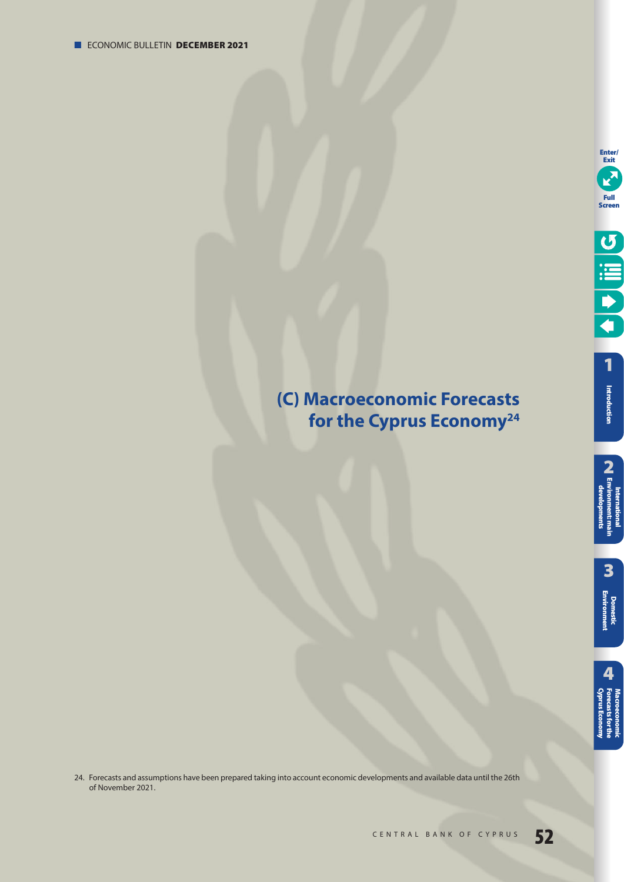# <span id="page-51-0"></span>**(C) Macroeconomic Forecasts for the Cyprus Economy24**

24. Forecasts and assumptions have been prepared taking into account economic developments and available data until the 26th of November 2021.

**3**

**2**<br>**2** Environment: main **International [Environment: main](#page-12-0)  developments**

**[Domestic Environment](#page-17-0)**

**[1](#page-7-0)** Introduction **Introduction**

**Enter/ Exit**

K

**Full Screen**

O III C

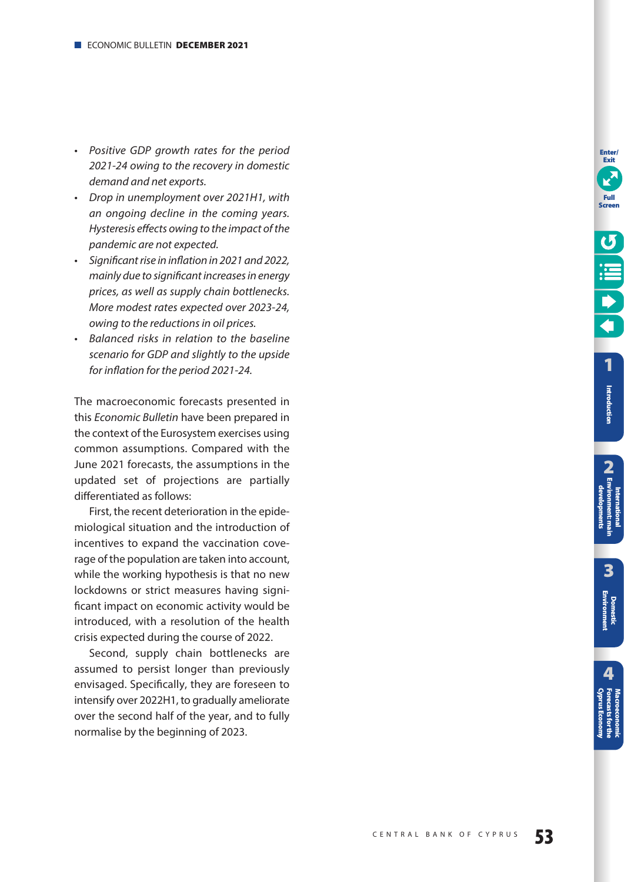- Positive GDP growth rates for the period 2021-24 owing to the recovery in domestic demand and net exports.
- Drop in unemployment over 2021H1, with an ongoing decline in the coming years. Hysteresis effects owing to the impact of the pandemic are not expected.
- Significant rise in inflation in 2021 and 2022, mainly due to significant increases in energy prices, as well as supply chain bottlenecks. More modest rates expected over 2023-24, owing to the reductions in oil prices.
- Balanced risks in relation to the baseline scenario for GDP and slightly to the upside for inflation for the period 2021-24.

The macroeconomic forecasts presented in this Economic Bulletin have been prepared in the context of the Eurosystem exercises using common assumptions. Compared with the June 2021 forecasts, the assumptions in the updated set of projections are partially differentiated as follows:

First, the recent deterioration in the epidemiological situation and the introduction of incentives to expand the vaccination coverage of the population are taken into account, while the working hypothesis is that no new lockdowns or strict measures having significant impact on economic activity would be introduced, with a resolution of the health crisis expected during the course of 2022.

Second, supply chain bottlenecks are assumed to persist longer than previously envisaged. Specifically, they are foreseen to intensify over 2022H1, to gradually ameliorate over the second half of the year, and to fully normalise by the beginning of 2023.

**Enter/ Exit**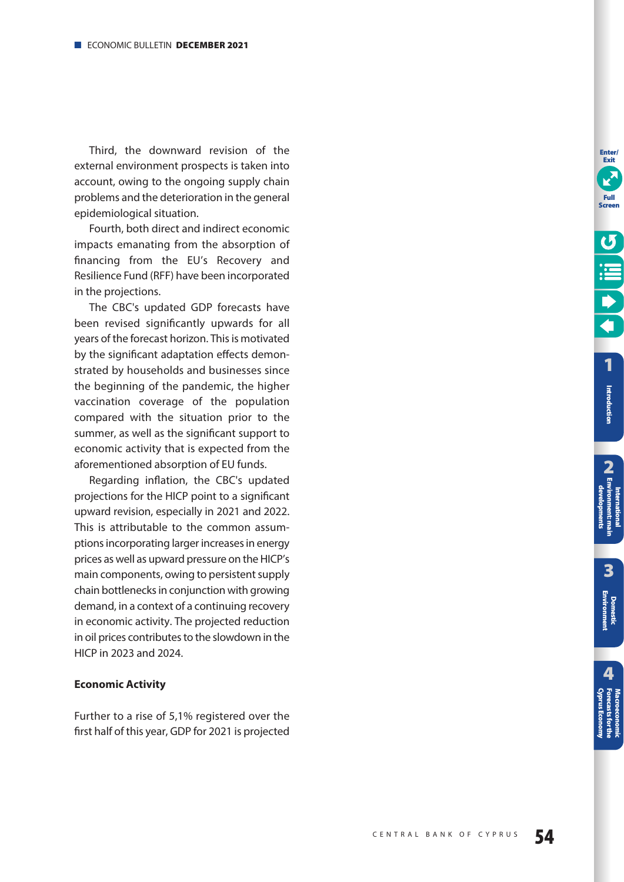Third, the downward revision of the external environment prospects is taken into account, owing to the ongoing supply chain problems and the deterioration in the general epidemiological situation.

Fourth, both direct and indirect economic impacts emanating from the absorption of financing from the EU's Recovery and Resilience Fund (RFF) have been incorporated in the projections.

The CBC's updated GDP forecasts have been revised significantly upwards for all years of the forecast horizon. This is motivated by the significant adaptation effects demonstrated by households and businesses since the beginning of the pandemic, the higher vaccination coverage of the population compared with the situation prior to the summer, as well as the significant support to economic activity that is expected from the aforementioned absorption of EU funds.

Regarding inflation, the CBC's updated projections for the HICP point to a significant upward revision, especially in 2021 and 2022. This is attributable to the common assumptions incorporating larger increases in energy prices as well as upward pressure on the HICP's main components, owing to persistent supply chain bottlenecks in conjunction with growing demand, in a context of a continuing recovery in economic activity. The projected reduction in oil prices contributes to the slowdown in the HICP in 2023 and 2024.

## **Economic Activity**

Further to a rise of 5,1% registered over the first half of this year, GDP for 2021 is projected **Enter/ Exit**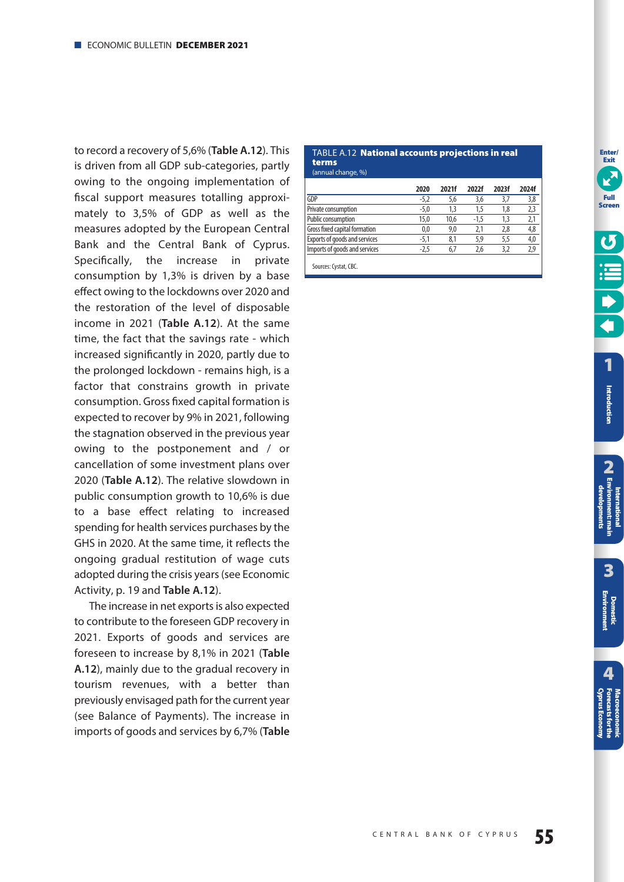<span id="page-54-0"></span>to record a recovery of 5,6% (**Table A.12**). This is driven from all GDP sub-categories, partly owing to the ongoing implementation of fiscal support measures totalling approximately to 3,5% of GDP as well as the measures adopted by the European Central Bank and the Central Bank of Cyprus. Specifically, the increase in private consumption by 1,3% is driven by a base effect owing to the lockdowns over 2020 and the restoration of the level of disposable income in 2021 (**Table A.12**). At the same time, the fact that the savings rate - which increased significantly in 2020, partly due to the prolonged lockdown - remains high, is a factor that constrains growth in private consumption. Gross fixed capital formation is expected to recover by 9% in 2021, following the stagnation observed in the previous year owing to the postponement and / or cancellation of some investment plans over 2020 (**Table A.12**). The relative slowdown in public consumption growth to 10,6% is due to a base effect relating to increased spending for health services purchases by the GHS in 2020. At the same time, it reflects the ongoing gradual restitution of wage cuts adopted during the crisis years (see Economic Activity, [p. 19](#page-18-0) and **Table A.12**).

The increase in net exports is also expected to contribute to the foreseen GDP recovery in 2021. Exports of goods and services are foreseen to increase by 8,1% in 2021 (**Table A.12**), mainly due to the gradual recovery in tourism revenues, with a better than previously envisaged path for the current year (see Balance of Payments). The increase in imports of goods and services by 6,7% (**Table** 

#### TABLE A.12 **National accounts projections in real terms**  (annual change, %)

| 2020   | 2021f | 2022f  | 2023f | 2024f |
|--------|-------|--------|-------|-------|
| $-5,2$ | 5.6   | 3,6    | 3.7   | 3,8   |
| $-5,0$ | 1,3   | 1,5    | 1,8   | 2,3   |
| 15.0   | 10.6  | $-1.5$ | 1.3   | 2,1   |
| 0.0    | 9.0   | 2.1    | 2.8   | 4,8   |
| -5.1   | 8,1   | 5,9    | 5.5   | 4,0   |
| -2.5   | 6.7   | 2.6    | 3.2   | 2.9   |
|        |       |        |       |       |

Sources: Cystat, CBC.

**Enter/ Exit**

**[1](#page-7-0)**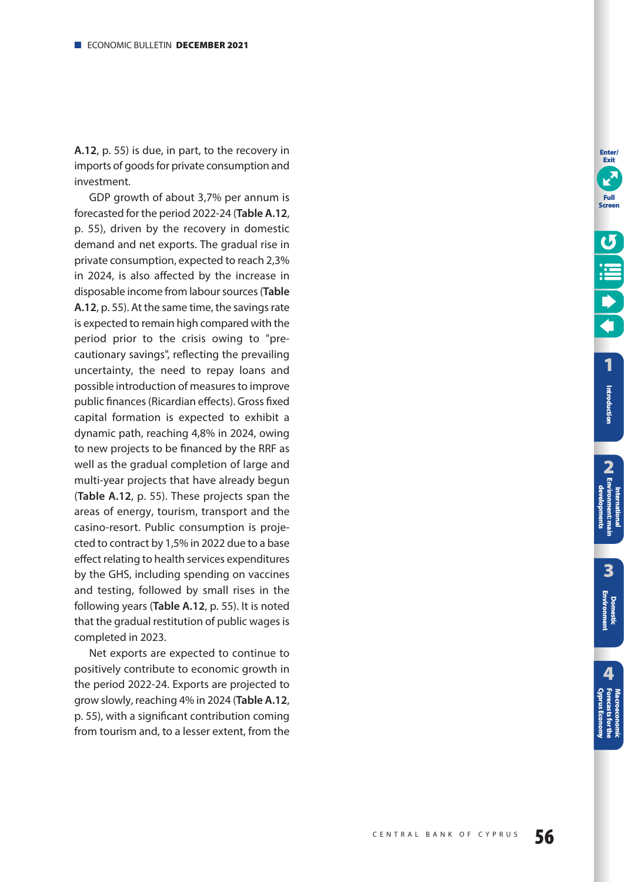**A.12**, [p. 55\)](#page-54-0) is due, in part, to the recovery in imports of goods for private consumption and investment.

GDP growth of about 3,7% per annum is forecasted for the period 2022-24 (**Table A.12**, [p. 55\)](#page-54-0), driven by the recovery in domestic demand and net exports. The gradual rise in private consumption, expected to reach 2,3% in 2024, is also affected by the increase in disposable income from labour sources (**Table A.12**, [p. 55\)](#page-54-0). At the same time, the savings rate is expected to remain high compared with the period prior to the crisis owing to "precautionary savings", reflecting the prevailing uncertainty, the need to repay loans and possible introduction of measures to improve public finances (Ricardian effects). Gross fixed capital formation is expected to exhibit a dynamic path, reaching 4,8% in 2024, owing to new projects to be financed by the RRF as well as the gradual completion of large and multi-year projects that have already begun (**Table A.12**, [p. 55\)](#page-54-0). These projects span the areas of energy, tourism, transport and the casino-resort. Public consumption is projected to contract by 1,5% in 2022 due to a base effect relating to health services expenditures by the GHS, including spending on vaccines and testing, followed by small rises in the following years (**Table A.12**, [p. 55\)](#page-54-0). It is noted that the gradual restitution of public wages is completed in 2023.

Net exports are expected to continue to positively contribute to economic growth in the period 2022-24. Exports are projected to grow slowly, reaching 4% in 2024 (**Table A.12**, [p. 55\)](#page-54-0), with a significant contribution coming from tourism and, to a lesser extent, from the

**Enter/ Exit**

**Introduction**

Introduction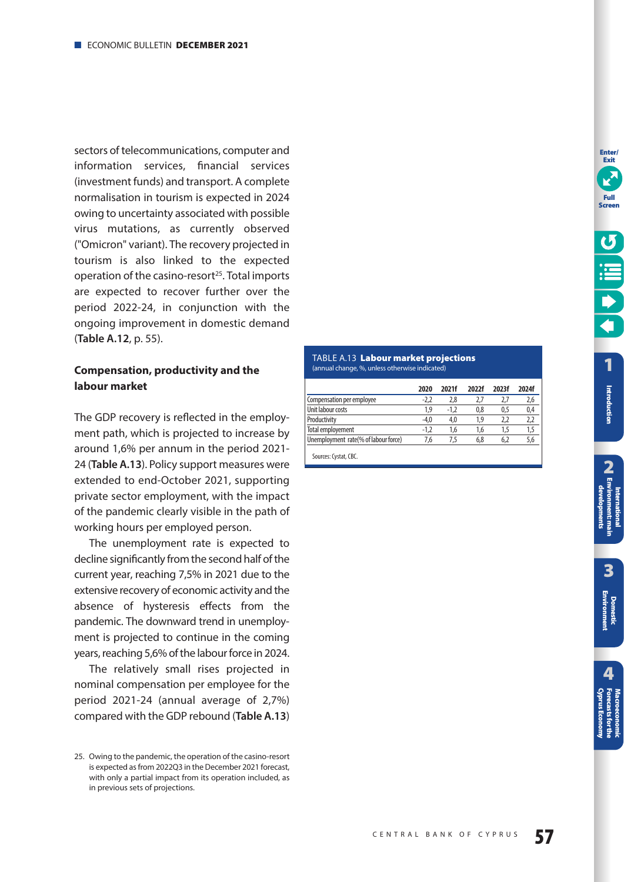<span id="page-56-0"></span>sectors of telecommunications, computer and information services, financial services (investment funds) and transport. A complete normalisation in tourism is expected in 2024 owing to uncertainty associated with possible virus mutations, as currently observed ("Omicron" variant). The recovery projected in tourism is also linked to the expected operation of the casino-resort<sup>25</sup>. Total imports are expected to recover further over the period 2022-24, in conjunction with the ongoing improvement in domestic demand (**Table A.12**, [p. 55\)](#page-54-0).

# **Compensation, productivity and the labour market**

The GDP recovery is reflected in the employment path, which is projected to increase by around 1,6% per annum in the period 2021- 24 (**Table A.13**). Policy support measures were extended to end-October 2021, supporting private sector employment, with the impact of the pandemic clearly visible in the path of working hours per employed person.

The unemployment rate is expected to decline significantly from the second half of the current year, reaching 7,5% in 2021 due to the extensive recovery of economic activity and the absence of hysteresis effects from the pandemic. The downward trend in unemployment is projected to continue in the coming years, reaching 5,6% of the labour force in 2024.

The relatively small rises projected in nominal compensation per employee for the period 2021-24 (annual average of 2,7%) compared with the GDP rebound (**Table A.13**)

#### TABLE A.13 **Labour market projections**  (annual change, %, unless otherwise indicated)

|                                      | 2020 | 2021f  | 2022f | 2023f | 2024f |
|--------------------------------------|------|--------|-------|-------|-------|
| Compensation per employee            |      | 2,8    | 2.7   | 2.1   | 2,6   |
| Unit labour costs                    | 1.9  | $-1.2$ | 0.8   | 0.5   | 0,4   |
| Productivity                         | -4.0 | 4.0    | 1.9   | 2.2   | 2.2   |
| Total employement                    | -1.2 | 1.6    | 1.6   | 1.5   |       |
| Unemployment rate(% of labour force) | 7.6  | 7.5    | 6.8   | 6.2   | 5.6   |
|                                      |      |        |       |       |       |

Sources: Cystat, CBC.

**[1](#page-7-0)**

**Enter/ Exit**

**Full Screen**

**Introduction**

Introduction

<sup>25.</sup> Owing to the pandemic, the operation of the casino-resort is expected as from 2022Q3 in the December 2021 forecast, with only a partial impact from its operation included, as in previous sets of projections.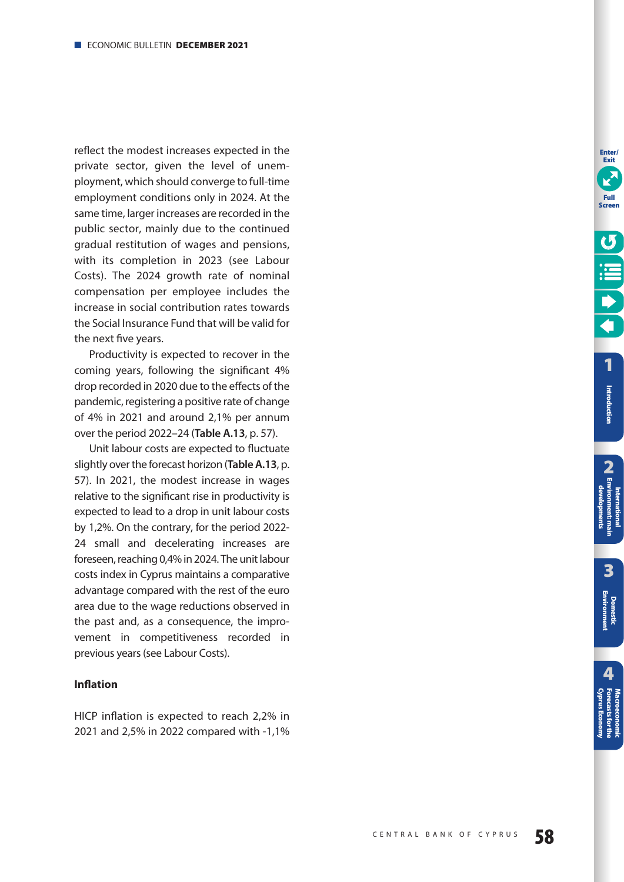reflect the modest increases expected in the private sector, given the level of unemployment, which should converge to full-time employment conditions only in 2024. At the same time, larger increases are recorded in the public sector, mainly due to the continued gradual restitution of wages and pensions, with its completion in 2023 (see Labour Costs). The 2024 growth rate of nominal compensation per employee includes the increase in social contribution rates towards the Social Insurance Fund that will be valid for the next five years.

Productivity is expected to recover in the coming years, following the significant 4% drop recorded in 2020 due to the effects of the pandemic, registering a positive rate of change of 4% in 2021 and around 2,1% per annum over the period 2022–24 (**Table A.13**, [p. 57\)](#page-56-0).

Unit labour costs are expected to fluctuate slightly over the forecast horizon (**Table A.13**, [p.](#page-56-0)  [57\)](#page-56-0). In 2021, the modest increase in wages relative to the significant rise in productivity is expected to lead to a drop in unit labour costs by 1,2%. On the contrary, for the period 2022- 24 small and decelerating increases are foreseen, reaching 0,4% in 2024. The unit labour costs index in Cyprus maintains a comparative advantage compared with the rest of the euro area due to the wage reductions observed in the past and, as a consequence, the improvement in competitiveness recorded in previous years (see Labour Costs).

## **Inflation**

HICP inflation is expected to reach 2,2% in 2021 and 2,5% in 2022 compared with -1,1%

**Enter/ Exit**

**Full Screen**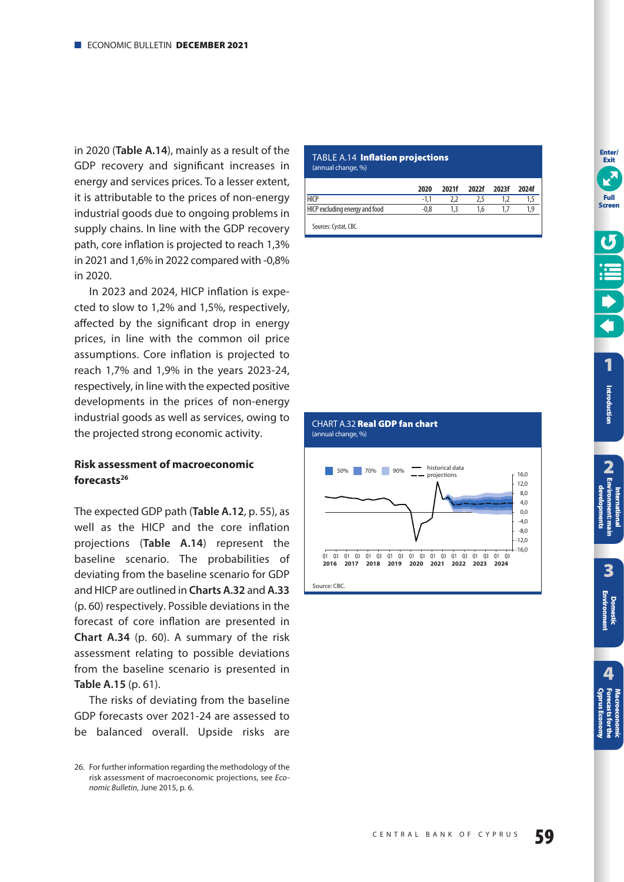<span id="page-58-0"></span>in 2020 (**Table A.14**), mainly as a result of the GDP recovery and significant increases in energy and services prices. To a lesser extent, it is attributable to the prices of non-energy industrial goods due to ongoing problems in supply chains. In line with the GDP recovery path, core inflation is projected to reach 1,3% in 2021 and 1,6% in 2022 compared with -0,8% in 2020.

In 2023 and 2024, HICP inflation is expected to slow to 1,2% and 1,5%, respectively, affected by the significant drop in energy prices, in line with the common oil price assumptions. Core inflation is projected to reach 1,7% and 1,9% in the years 2023-24, respectively, in line with the expected positive developments in the prices of non-energy industrial goods as well as services, owing to the projected strong economic activity.

# **Risk assessment of macroeconomic forecasts26**

The expected GDP path (**Table A.12**, [p. 55\)](#page-54-0), as well as the HICP and the core inflation projections (**Table A.14**) represent the baseline scenario. The probabilities of deviating from the baseline scenario for GDP and HICP are outlined in **Charts A.32** and **A.33** [\(p. 60\)](#page-59-0) respectively. Possible deviations in the forecast of core inflation are presented in **Chart A.34** [\(p. 60\)](#page-59-0). A summary of the risk assessment relating to possible deviations from the baseline scenario is presented in **Table A.15** [\(p. 61\)](#page-60-0).

The risks of deviating from the baseline GDP forecasts over 2021-24 are assessed to be balanced overall. Upside risks are

#### TABLE A.14 **Inflation projections**  (annual change, %)

CHART A.32 **Real GDP fan chart** 

(annual change, %)

|                                | 2020   | 2021f | 2022f 2023f | 2024f |
|--------------------------------|--------|-------|-------------|-------|
| <b>HICP</b>                    | $-1.1$ |       | 2.5         |       |
| HICP excluding energy and food |        | ا - 1 | 1.6         |       |
| Sources: Cystat, CBC.          |        |       |             |       |



**Enter/ Exit**

<sup>26.</sup> For further information regarding the methodology of the risk assessment of macroeconomic projections, see Economic Bulletin, June 2015, p. 6.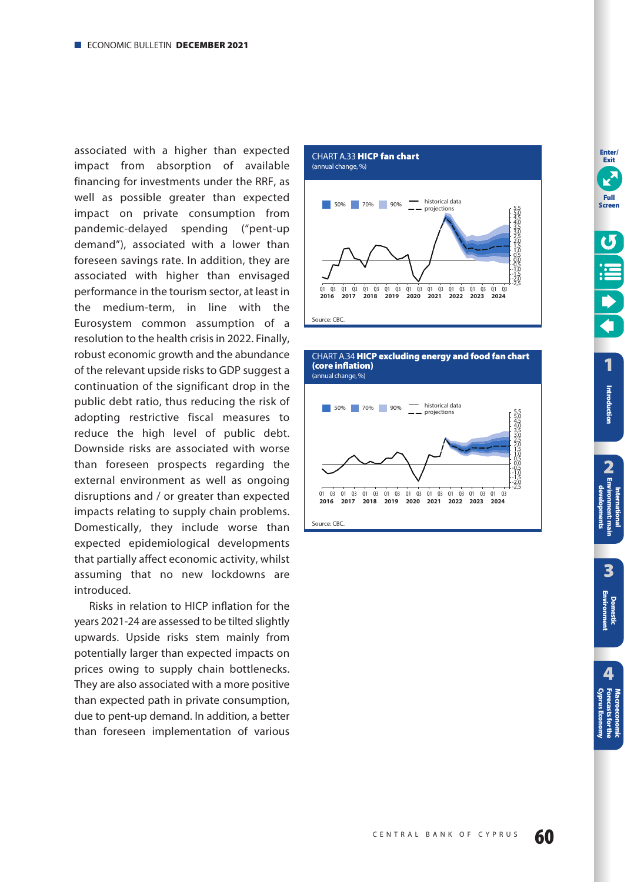<span id="page-59-0"></span>associated with a higher than expected impact from absorption of available financing for investments under the RRF, as well as possible greater than expected impact on private consumption from pandemic-delayed spending ("pent-up demand"), associated with a lower than foreseen savings rate. In addition, they are associated with higher than envisaged performance in the tourism sector, at least in the medium-term, in line with the Eurosystem common assumption of a resolution to the health crisis in 2022. Finally, robust economic growth and the abundance of the relevant upside risks to GDP suggest a continuation of the significant drop in the public debt ratio, thus reducing the risk of adopting restrictive fiscal measures to reduce the high level of public debt. Downside risks are associated with worse than foreseen prospects regarding the external environment as well as ongoing disruptions and / or greater than expected impacts relating to supply chain problems. Domestically, they include worse than expected epidemiological developments that partially affect economic activity, whilst assuming that no new lockdowns are introduced.

Risks in relation to HICP inflation for the years 2021-24 are assessed to be tilted slightly upwards. Upside risks stem mainly from potentially larger than expected impacts on prices owing to supply chain bottlenecks. They are also associated with a more positive than expected path in private consumption, due to pent-up demand. In addition, a better than foreseen implementation of various







**Enter/ Exit**



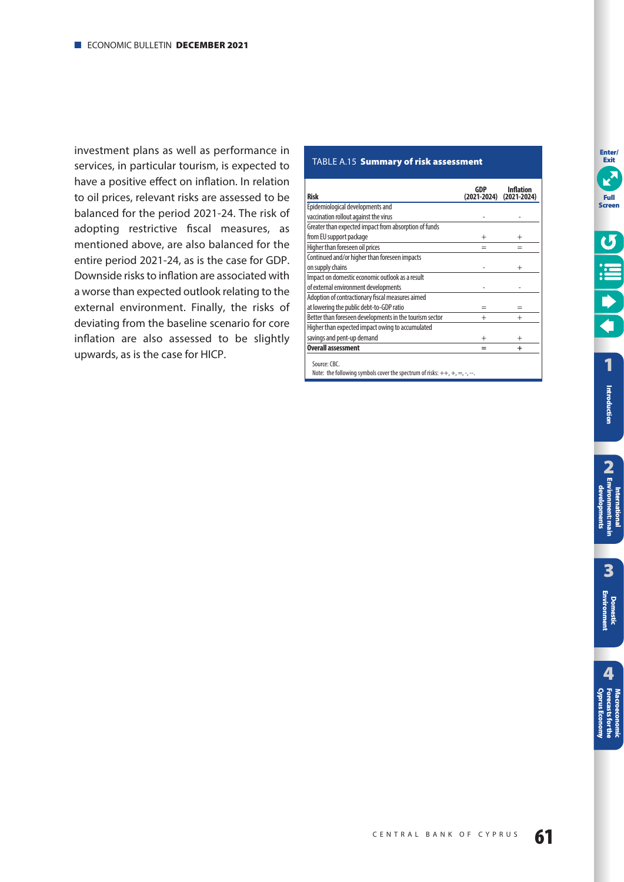<span id="page-60-0"></span>investment plans as well as performance in services, in particular tourism, is expected to have a positive effect on inflation. In relation to oil prices, relevant risks are assessed to be balanced for the period 2021-24. The risk of adopting restrictive fiscal measures, as mentioned above, are also balanced for the entire period 2021-24, as is the case for GDP. Downside risks to inflation are associated with a worse than expected outlook relating to the external environment. Finally, the risks of deviating from the baseline scenario for core inflation are also assessed to be slightly upwards, as is the case for HICP.

### TABLE A.15 **Summary of risk assessment**

| <b>Risk</b>                                                                                             | GDP<br>(2021-2024) | <b>Inflation</b><br>$(2021 - 2024)$ |
|---------------------------------------------------------------------------------------------------------|--------------------|-------------------------------------|
| Epidemiological developments and                                                                        |                    |                                     |
| vaccination rollout against the virus                                                                   |                    |                                     |
| Greater than expected impact from absorption of funds                                                   |                    |                                     |
| from EU support package                                                                                 | $\overline{+}$     |                                     |
| Higher than foreseen oil prices                                                                         |                    |                                     |
| Continued and/or higher than foreseen impacts                                                           |                    |                                     |
| on supply chains                                                                                        |                    | $^{+}$                              |
| Impact on domestic economic outlook as a result                                                         |                    |                                     |
| of external environment developments                                                                    |                    |                                     |
| Adoption of contractionary fiscal measures aimed                                                        |                    |                                     |
| at lowering the public debt-to-GDP ratio                                                                |                    |                                     |
| Better than foreseen developments in the tourism sector                                                 | $^{+}$             |                                     |
| Higher than expected impact owing to accumulated                                                        |                    |                                     |
| savings and pent-up demand                                                                              | $^{+}$             | $^{+}$                              |
| <b>Overall assessment</b>                                                                               |                    | +                                   |
| Source: CBC.<br>Note: the following symbols cover the spectrum of risks: $++$ , $+$ , $=$ , $-$ , $-$ . |                    |                                     |

**[1](#page-7-0)**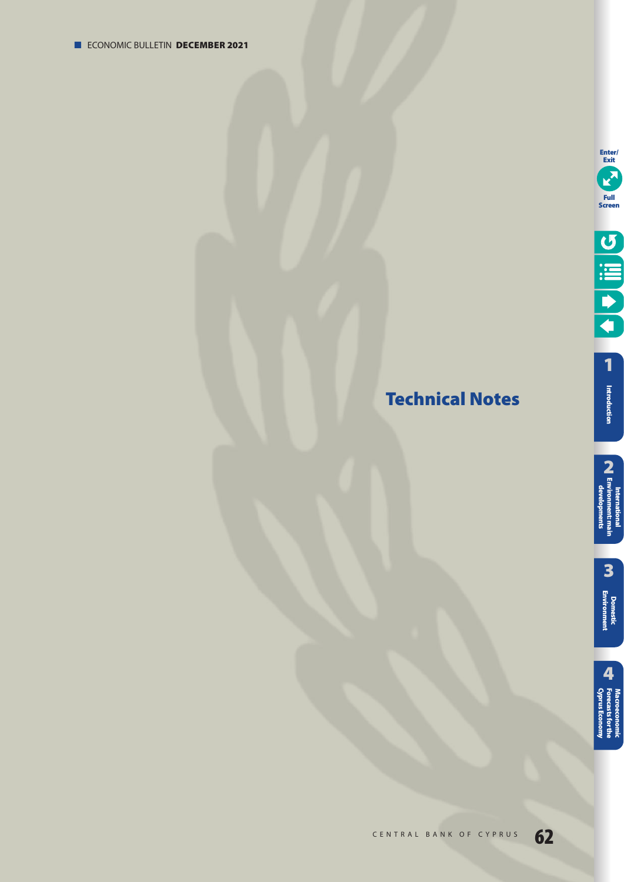# <span id="page-61-0"></span>**Technical Notes**

**3**

International<br>**2**<br>developments<br>developments **International [Environment: main](#page-12-0)  developments**

**[Domestic Environment](#page-17-0)**

**[1](#page-7-0) Introduction**

**Enter/ Exit**

**Full Screen**

U BILL

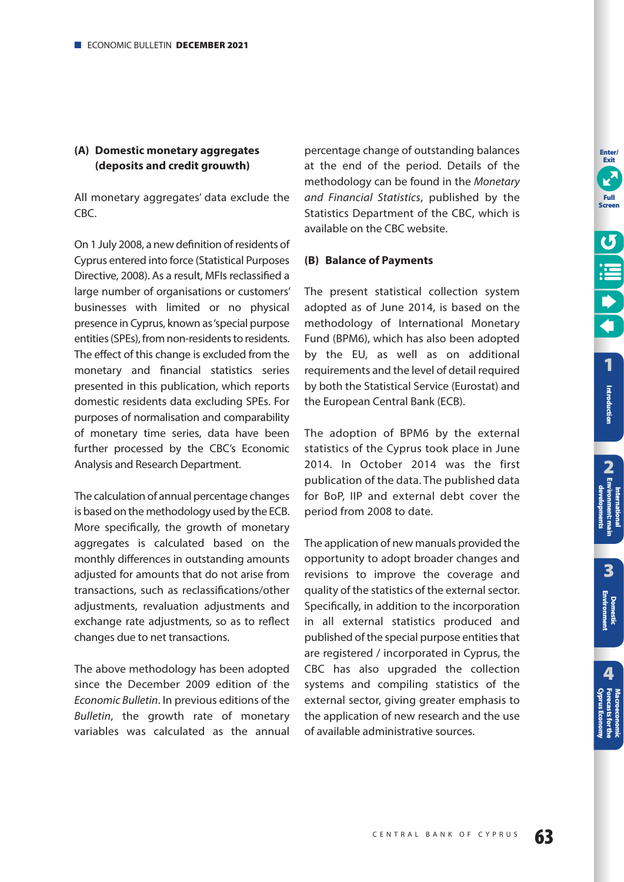# **(A) Domestic monetary aggregates (deposits and credit grouwth)**

All monetary aggregates' data exclude the CBC.

On 1 July 2008, a new definition of residents of Cyprus entered into force (Statistical Purposes Directive, 2008). As a result, MFIs reclassified a large number of organisations or customers' businesses with limited or no physical presence in Cyprus, known as 'special purpose entities (SPEs), from non-residents to residents. The effect of this change is excluded from the monetary and financial statistics series presented in this publication, which reports domestic residents data excluding SPEs. For purposes of normalisation and comparability of monetary time series, data have been further processed by the CBC's Economic Analysis and Research Department.

The calculation of annual percentage changes is based on the methodology used by the ECB. More specifically, the growth of monetary aggregates is calculated based on the monthly differences in outstanding amounts adjusted for amounts that do not arise from transactions, such as reclassifications/other adjustments, revaluation adjustments and exchange rate adjustments, so as to reflect changes due to net transactions.

The above methodology has been adopted since the December 2009 edition of the Economic Bulletin. In previous editions of the Bulletin, the growth rate of monetary variables was calculated as the annual

percentage change of outstanding balances at the end of the period. Details of the methodology can be found in the Monetary and Financial Statistics, published by the Statistics Department of the CBC, which is available on the CBC website.

## **(B) Balance of Payments**

The present statistical collection system adopted as of June 2014, is based on the methodology of International Monetary Fund (BPM6), which has also been adopted by the EU, as well as on additional requirements and the level of detail required by both the Statistical Service (Eurostat) and the European Central Bank (ECB).

The adoption of BPM6 by the external statistics of the Cyprus took place in June 2014. In October 2014 was the first publication of the data. The published data for BoP, IIP and external debt cover the period from 2008 to date.

The application of new manuals provided the opportunity to adopt broader changes and revisions to improve the coverage and quality of the statistics of the external sector. Specifically, in addition to the incorporation in all external statistics produced and published of the special purpose entities that are registered / incorporated in Cyprus, the CBC has also upgraded the collection systems and compiling statistics of the external sector, giving greater emphasis to the application of new research and the use of available administrative sources.

**[1](#page-7-0)**

**Enter/ Exit**

**Full Screen**

**Introduction**

Introduction